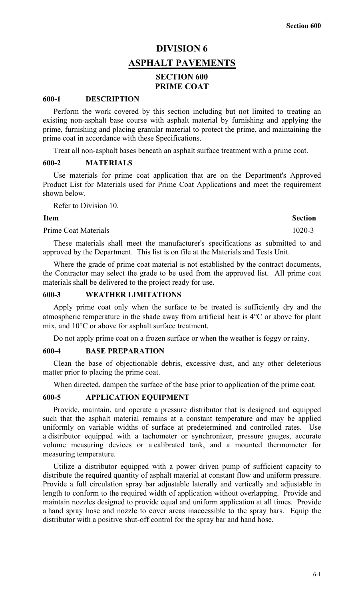# **DIVISION 6 ASPHALT PAVEMENTS SECTION 600 PRIME COAT**

#### **600-1 DESCRIPTION**

Perform the work covered by this section including but not limited to treating an existing non-asphalt base course with asphalt material by furnishing and applying the prime, furnishing and placing granular material to protect the prime, and maintaining the prime coat in accordance with these Specifications.

Treat all non-asphalt bases beneath an asphalt surface treatment with a prime coat.

## **600-2 MATERIALS**

Use materials for prime coat application that are on the Department's Approved Product List for Materials used for Prime Coat Applications and meet the requirement shown below.

Refer to Division 10.

#### **Item** Section

Prime Coat Materials 1020-3

These materials shall meet the manufacturer's specifications as submitted to and approved by the Department. This list is on file at the Materials and Tests Unit.

Where the grade of prime coat material is not established by the contract documents, the Contractor may select the grade to be used from the approved list. All prime coat materials shall be delivered to the project ready for use.

#### **600-3 WEATHER LIMITATIONS**

Apply prime coat only when the surface to be treated is sufficiently dry and the atmospheric temperature in the shade away from artificial heat is 4°C or above for plant mix, and 10°C or above for asphalt surface treatment.

Do not apply prime coat on a frozen surface or when the weather is foggy or rainy.

## **600-4 BASE PREPARATION**

Clean the base of objectionable debris, excessive dust, and any other deleterious matter prior to placing the prime coat.

When directed, dampen the surface of the base prior to application of the prime coat.

## **600-5 APPLICATION EQUIPMENT**

Provide, maintain, and operate a pressure distributor that is designed and equipped such that the asphalt material remains at a constant temperature and may be applied uniformly on variable widths of surface at predetermined and controlled rates. Use a distributor equipped with a tachometer or synchronizer, pressure gauges, accurate volume measuring devices or a calibrated tank, and a mounted thermometer for measuring temperature.

Utilize a distributor equipped with a power driven pump of sufficient capacity to distribute the required quantity of asphalt material at constant flow and uniform pressure. Provide a full circulation spray bar adjustable laterally and vertically and adjustable in length to conform to the required width of application without overlapping. Provide and maintain nozzles designed to provide equal and uniform application at all times. Provide a hand spray hose and nozzle to cover areas inaccessible to the spray bars. Equip the distributor with a positive shut-off control for the spray bar and hand hose.

6-1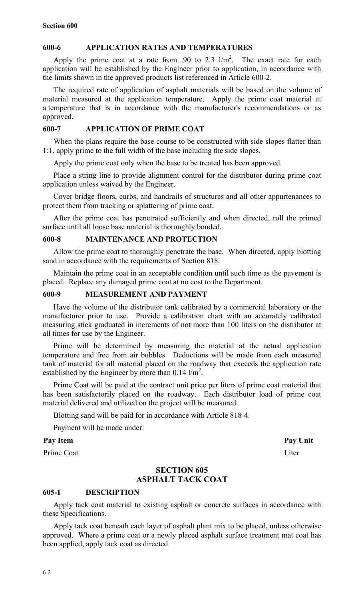## **600-6 APPLICATION RATES AND TEMPERATURES**

Apply the prime coat at a rate from .90 to 2.3  $1/m^2$ . The exact rate for each application will be established by the Engineer prior to application, in accordance with the limits shown in the approved products list referenced in Article 600-2.

The required rate of application of asphalt materials will be based on the volume of material measured at the application temperature. Apply the prime coat material at a temperature that is in accordance with the manufacturer's recommendations or as approved.

## **600-7 APPLICATION OF PRIME COAT**

When the plans require the base course to be constructed with side slopes flatter than 1:1, apply prime to the full width of the base including the side slopes.

Apply the prime coat only when the base to be treated has been approved.

Place a string line to provide alignment control for the distributor during prime coat application unless waived by the Engineer.

Cover bridge floors, curbs, and handrails of structures and all other appurtenances to protect them from tracking or splattering of prime coat.

After the prime coat has penetrated sufficiently and when directed, roll the primed surface until all loose base material is thoroughly bonded.

#### **600-8 MAINTENANCE AND PROTECTION**

Allow the prime coat to thoroughly penetrate the base. When directed, apply blotting sand in accordance with the requirements of Section 818.

Maintain the prime coat in an acceptable condition until such time as the pavement is placed. Replace any damaged prime coat at no cost to the Department.

## **600-9 MEASUREMENT AND PAYMENT**

Have the volume of the distributor tank calibrated by a commercial laboratory or the manufacturer prior to use. Provide a calibration chart with an accurately calibrated measuring stick graduated in increments of not more than 100 liters on the distributor at all times for use by the Engineer.

Prime will be determined by measuring the material at the actual application temperature and free from air bubbles. Deductions will be made from each measured tank of material for all material placed on the roadway that exceeds the application rate established by the Engineer by more than  $0.14$  l/m<sup>2</sup>.

Prime Coat will be paid at the contract unit price per liters of prime coat material that has been satisfactorily placed on the roadway. Each distributor load of prime coat material delivered and utilized on the project will be measured.

Blotting sand will be paid for in accordance with Article 818-4.

Payment will be made under:

#### Pay Item **Pay Unit**

Prime Coat Liter

## **SECTION 605 ASPHALT TACK COAT**

#### **605-1 DESCRIPTION**

Apply tack coat material to existing asphalt or concrete surfaces in accordance with these Specifications.

Apply tack coat beneath each layer of asphalt plant mix to be placed, unless otherwise approved. Where a prime coat or a newly placed asphalt surface treatment mat coat has been applied, apply tack coat as directed.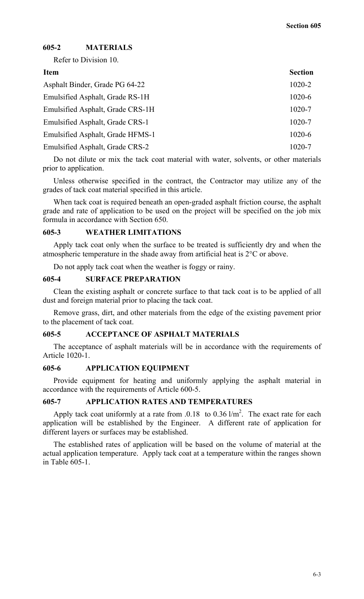## **605-2 MATERIALS**

Refer to Division 10.

| <b>Item</b>                      | <b>Section</b> |
|----------------------------------|----------------|
| Asphalt Binder, Grade PG 64-22   | $1020 - 2$     |
| Emulsified Asphalt, Grade RS-1H  | $1020 - 6$     |
| Emulsified Asphalt, Grade CRS-1H | 1020-7         |
| Emulsified Asphalt, Grade CRS-1  | 1020-7         |
| Emulsified Asphalt, Grade HFMS-1 | $1020 - 6$     |
| Emulsified Asphalt, Grade CRS-2  | 1020-7         |
|                                  |                |

Do not dilute or mix the tack coat material with water, solvents, or other materials prior to application.

Unless otherwise specified in the contract, the Contractor may utilize any of the grades of tack coat material specified in this article.

When tack coat is required beneath an open-graded asphalt friction course, the asphalt grade and rate of application to be used on the project will be specified on the job mix formula in accordance with Section 650.

## **605-3 WEATHER LIMITATIONS**

Apply tack coat only when the surface to be treated is sufficiently dry and when the atmospheric temperature in the shade away from artificial heat is 2°C or above.

Do not apply tack coat when the weather is foggy or rainy.

#### **605-4 SURFACE PREPARATION**

Clean the existing asphalt or concrete surface to that tack coat is to be applied of all dust and foreign material prior to placing the tack coat.

Remove grass, dirt, and other materials from the edge of the existing pavement prior to the placement of tack coat.

## **605-5 ACCEPTANCE OF ASPHALT MATERIALS**

The acceptance of asphalt materials will be in accordance with the requirements of Article 1020-1.

#### **605-6 APPLICATION EQUIPMENT**

Provide equipment for heating and uniformly applying the asphalt material in accordance with the requirements of Article 600-5.

## **605-7 APPLICATION RATES AND TEMPERATURES**

Apply tack coat uniformly at a rate from .0.18 to 0.36  $1/m^2$ . The exact rate for each application will be established by the Engineer. A different rate of application for different layers or surfaces may be established.

The established rates of application will be based on the volume of material at the actual application temperature. Apply tack coat at a temperature within the ranges shown in Table 605-1.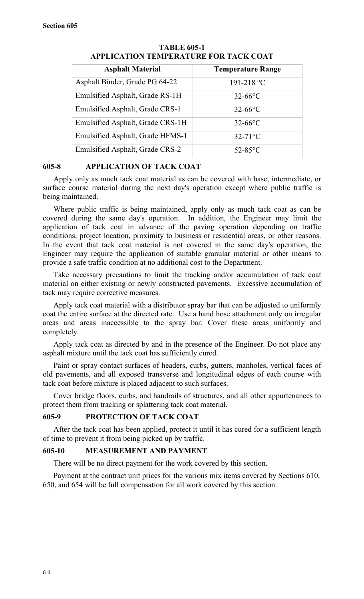| <b>Asphalt Material</b>          | <b>Temperature Range</b> |
|----------------------------------|--------------------------|
| Asphalt Binder, Grade PG 64-22   | 191-218 °C               |
| Emulsified Asphalt, Grade RS-1H  | $32-66$ °C               |
| Emulsified Asphalt, Grade CRS-1  | $32-66$ °C               |
| Emulsified Asphalt, Grade CRS-1H | $32-66$ °C               |
| Emulsified Asphalt, Grade HFMS-1 | $32-71$ °C               |
| Emulsified Asphalt, Grade CRS-2  | $52-85$ °C               |

## **TABLE 605-1 APPLICATION TEMPERATURE FOR TACK COAT**

## **605-8 APPLICATION OF TACK COAT**

Apply only as much tack coat material as can be covered with base, intermediate, or surface course material during the next day's operation except where public traffic is being maintained.

Where public traffic is being maintained, apply only as much tack coat as can be covered during the same day's operation. In addition, the Engineer may limit the application of tack coat in advance of the paving operation depending on traffic conditions, project location, proximity to business or residential areas, or other reasons. In the event that tack coat material is not covered in the same day's operation, the Engineer may require the application of suitable granular material or other means to provide a safe traffic condition at no additional cost to the Department.

Take necessary precautions to limit the tracking and/or accumulation of tack coat material on either existing or newly constructed pavements. Excessive accumulation of tack may require corrective measures.

Apply tack coat material with a distributor spray bar that can be adjusted to uniformly coat the entire surface at the directed rate. Use a hand hose attachment only on irregular areas and areas inaccessible to the spray bar. Cover these areas uniformly and completely.

Apply tack coat as directed by and in the presence of the Engineer. Do not place any asphalt mixture until the tack coat has sufficiently cured.

Paint or spray contact surfaces of headers, curbs, gutters, manholes, vertical faces of old pavements, and all exposed transverse and longitudinal edges of each course with tack coat before mixture is placed adjacent to such surfaces.

Cover bridge floors, curbs, and handrails of structures, and all other appurtenances to protect them from tracking or splattering tack coat material.

## **605-9 PROTECTION OF TACK COAT**

After the tack coat has been applied, protect it until it has cured for a sufficient length of time to prevent it from being picked up by traffic.

## **605-10 MEASUREMENT AND PAYMENT**

There will be no direct payment for the work covered by this section.

Payment at the contract unit prices for the various mix items covered by Sections 610, 650, and 654 will be full compensation for all work covered by this section.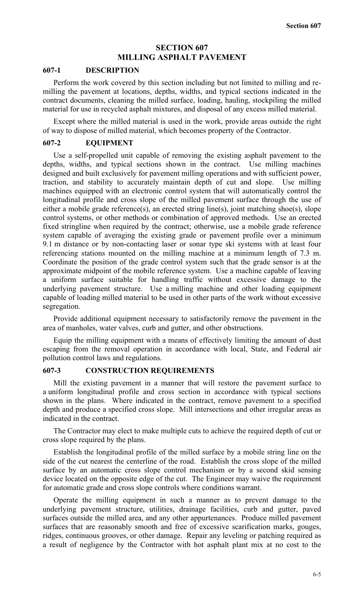## **SECTION 607 MILLING ASPHALT PAVEMENT**

#### **607-1 DESCRIPTION**

Perform the work covered by this section including but not limited to milling and remilling the pavement at locations, depths, widths, and typical sections indicated in the contract documents, cleaning the milled surface, loading, hauling, stockpiling the milled material for use in recycled asphalt mixtures, and disposal of any excess milled material.

Except where the milled material is used in the work, provide areas outside the right of way to dispose of milled material, which becomes property of the Contractor.

#### **607-2 EQUIPMENT**

Use a self-propelled unit capable of removing the existing asphalt pavement to the depths, widths, and typical sections shown in the contract. Use milling machines designed and built exclusively for pavement milling operations and with sufficient power, traction, and stability to accurately maintain depth of cut and slope. Use milling machines equipped with an electronic control system that will automatically control the longitudinal profile and cross slope of the milled pavement surface through the use of either a mobile grade reference(s), an erected string line(s), joint matching shoe(s), slope control systems, or other methods or combination of approved methods. Use an erected fixed stringline when required by the contract; otherwise, use a mobile grade reference system capable of averaging the existing grade or pavement profile over a minimum 9.1 m distance or by non-contacting laser or sonar type ski systems with at least four referencing stations mounted on the milling machine at a minimum length of 7.3 m. Coordinate the position of the grade control system such that the grade sensor is at the approximate midpoint of the mobile reference system. Use a machine capable of leaving a uniform surface suitable for handling traffic without excessive damage to the underlying pavement structure. Use a milling machine and other loading equipment capable of loading milled material to be used in other parts of the work without excessive segregation.

Provide additional equipment necessary to satisfactorily remove the pavement in the area of manholes, water valves, curb and gutter, and other obstructions.

Equip the milling equipment with a means of effectively limiting the amount of dust escaping from the removal operation in accordance with local, State, and Federal air pollution control laws and regulations.

#### **607-3 CONSTRUCTION REQUIREMENTS**

Mill the existing pavement in a manner that will restore the pavement surface to a uniform longitudinal profile and cross section in accordance with typical sections shown in the plans. Where indicated in the contract, remove pavement to a specified depth and produce a specified cross slope. Mill intersections and other irregular areas as indicated in the contract.

The Contractor may elect to make multiple cuts to achieve the required depth of cut or cross slope required by the plans.

Establish the longitudinal profile of the milled surface by a mobile string line on the side of the cut nearest the centerline of the road. Establish the cross slope of the milled surface by an automatic cross slope control mechanism or by a second skid sensing device located on the opposite edge of the cut. The Engineer may waive the requirement for automatic grade and cross slope controls where conditions warrant.

Operate the milling equipment in such a manner as to prevent damage to the underlying pavement structure, utilities, drainage facilities, curb and gutter, paved surfaces outside the milled area, and any other appurtenances. Produce milled pavement surfaces that are reasonably smooth and free of excessive scarification marks, gouges, ridges, continuous grooves, or other damage. Repair any leveling or patching required as a result of negligence by the Contractor with hot asphalt plant mix at no cost to the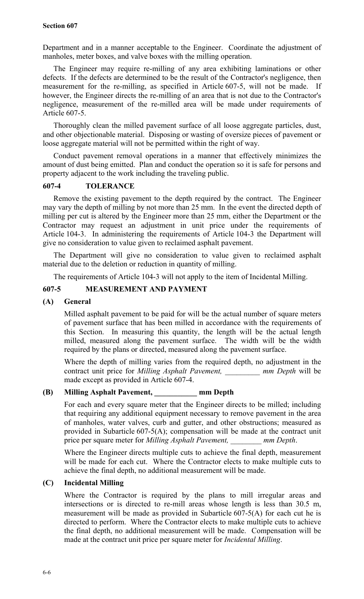Department and in a manner acceptable to the Engineer. Coordinate the adjustment of manholes, meter boxes, and valve boxes with the milling operation.

The Engineer may require re-milling of any area exhibiting laminations or other defects. If the defects are determined to be the result of the Contractor's negligence, then measurement for the re-milling, as specified in Article 607-5, will not be made. If however, the Engineer directs the re-milling of an area that is not due to the Contractor's negligence, measurement of the re-milled area will be made under requirements of Article 607-5.

Thoroughly clean the milled pavement surface of all loose aggregate particles, dust, and other objectionable material. Disposing or wasting of oversize pieces of pavement or loose aggregate material will not be permitted within the right of way.

Conduct pavement removal operations in a manner that effectively minimizes the amount of dust being emitted. Plan and conduct the operation so it is safe for persons and property adjacent to the work including the traveling public.

## **607-4 TOLERANCE**

Remove the existing pavement to the depth required by the contract. The Engineer may vary the depth of milling by not more than 25 mm. In the event the directed depth of milling per cut is altered by the Engineer more than 25 mm, either the Department or the Contractor may request an adjustment in unit price under the requirements of Article 104-3. In administering the requirements of Article 104-3 the Department will give no consideration to value given to reclaimed asphalt pavement.

The Department will give no consideration to value given to reclaimed asphalt material due to the deletion or reduction in quantity of milling.

The requirements of Article 104-3 will not apply to the item of Incidental Milling.

## **607-5 MEASUREMENT AND PAYMENT**

## **(A) General**

Milled asphalt pavement to be paid for will be the actual number of square meters of pavement surface that has been milled in accordance with the requirements of this Section. In measuring this quantity, the length will be the actual length milled, measured along the pavement surface. The width will be the width required by the plans or directed, measured along the pavement surface.

Where the depth of milling varies from the required depth, no adjustment in the contract unit price for *Milling Asphalt Pavement, \_\_\_\_\_\_\_\_\_ mm Depth* will be made except as provided in Article 607-4.

## **(B) Milling Asphalt Pavement, \_\_\_\_\_\_\_\_\_\_\_ mm Depth**

For each and every square meter that the Engineer directs to be milled; including that requiring any additional equipment necessary to remove pavement in the area of manholes, water valves, curb and gutter, and other obstructions; measured as provided in Subarticle 607-5(A); compensation will be made at the contract unit price per square meter for *Milling Asphalt Pavement*, mm Depth.

Where the Engineer directs multiple cuts to achieve the final depth, measurement will be made for each cut. Where the Contractor elects to make multiple cuts to achieve the final depth, no additional measurement will be made.

## **(C) Incidental Milling**

Where the Contractor is required by the plans to mill irregular areas and intersections or is directed to re-mill areas whose length is less than 30.5 m, measurement will be made as provided in Subarticle 607-5(A) for each cut he is directed to perform. Where the Contractor elects to make multiple cuts to achieve the final depth, no additional measurement will be made. Compensation will be made at the contract unit price per square meter for *Incidental Milling*.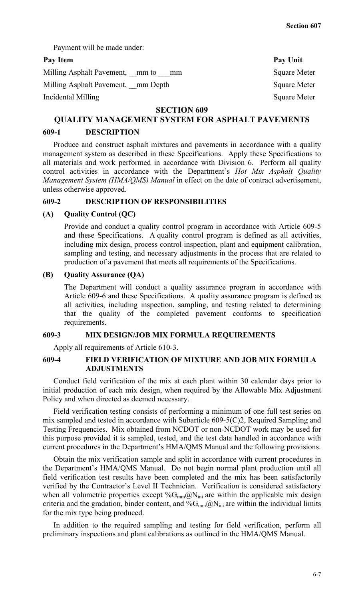Payment will be made under:

## Pay Item Pay Unit

| Milling Asphalt Pavement, mm to    | mm | <b>Square Meter</b> |
|------------------------------------|----|---------------------|
| Milling Asphalt Pavement, mm Depth |    | <b>Square Meter</b> |
| Incidental Milling                 |    | <b>Square Meter</b> |

#### **SECTION 609**

# **QUALITY MANAGEMENT SYSTEM FOR ASPHALT PAVEMENTS**

## **609-1 DESCRIPTION**

Produce and construct asphalt mixtures and pavements in accordance with a quality management system as described in these Specifications. Apply these Specifications to all materials and work performed in accordance with Division 6. Perform all quality control activities in accordance with the Department's *Hot Mix Asphalt Quality Management System (HMA/QMS) Manual* in effect on the date of contract advertisement, unless otherwise approved.

## **609-2 DESCRIPTION OF RESPONSIBILITIES**

#### **(A) Quality Control (QC)**

Provide and conduct a quality control program in accordance with Article 609-5 and these Specifications. A quality control program is defined as all activities, including mix design, process control inspection, plant and equipment calibration, sampling and testing, and necessary adjustments in the process that are related to production of a pavement that meets all requirements of the Specifications.

#### **(B) Quality Assurance (QA)**

The Department will conduct a quality assurance program in accordance with Article 609-6 and these Specifications. A quality assurance program is defined as all activities, including inspection, sampling, and testing related to determining that the quality of the completed pavement conforms to specification requirements.

## **609-3 MIX DESIGN/JOB MIX FORMULA REQUIREMENTS**

Apply all requirements of Article 610-3.

## **609-4 FIELD VERIFICATION OF MIXTURE AND JOB MIX FORMULA ADJUSTMENTS**

Conduct field verification of the mix at each plant within 30 calendar days prior to initial production of each mix design, when required by the Allowable Mix Adjustment Policy and when directed as deemed necessary.

Field verification testing consists of performing a minimum of one full test series on mix sampled and tested in accordance with Subarticle 609-5(C)2, Required Sampling and Testing Frequencies. Mix obtained from NCDOT or non-NCDOT work may be used for this purpose provided it is sampled, tested, and the test data handled in accordance with current procedures in the Department's HMA/QMS Manual and the following provisions.

Obtain the mix verification sample and split in accordance with current procedures in the Department's HMA/QMS Manual. Do not begin normal plant production until all field verification test results have been completed and the mix has been satisfactorily verified by the Contractor's Level II Technician. Verification is considered satisfactory when all volumetric properties except  $\%G_{mm}(\partial N_{ini})$  are within the applicable mix design criteria and the gradation, binder content, and  $\%G_{mm}$  $\&$ N<sub>ini</sub> are within the individual limits for the mix type being produced.

In addition to the required sampling and testing for field verification, perform all preliminary inspections and plant calibrations as outlined in the HMA/QMS Manual.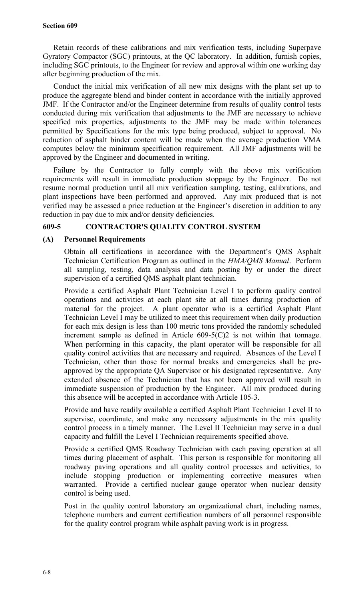Retain records of these calibrations and mix verification tests, including Superpave Gyratory Compactor (SGC) printouts, at the QC laboratory. In addition, furnish copies, including SGC printouts, to the Engineer for review and approval within one working day after beginning production of the mix.

Conduct the initial mix verification of all new mix designs with the plant set up to produce the aggregate blend and binder content in accordance with the initially approved JMF. If the Contractor and/or the Engineer determine from results of quality control tests conducted during mix verification that adjustments to the JMF are necessary to achieve specified mix properties, adjustments to the JMF may be made within tolerances permitted by Specifications for the mix type being produced, subject to approval. No reduction of asphalt binder content will be made when the average production VMA computes below the minimum specification requirement. All JMF adjustments will be approved by the Engineer and documented in writing.

Failure by the Contractor to fully comply with the above mix verification requirements will result in immediate production stoppage by the Engineer. Do not resume normal production until all mix verification sampling, testing, calibrations, and plant inspections have been performed and approved. Any mix produced that is not verified may be assessed a price reduction at the Engineer's discretion in addition to any reduction in pay due to mix and/or density deficiencies.

## **609-5 CONTRACTOR'S QUALITY CONTROL SYSTEM**

## **(A) Personnel Requirements**

Obtain all certifications in accordance with the Department's QMS Asphalt Technician Certification Program as outlined in the *HMA/QMS Manual*. Perform all sampling, testing, data analysis and data posting by or under the direct supervision of a certified QMS asphalt plant technician.

Provide a certified Asphalt Plant Technician Level I to perform quality control operations and activities at each plant site at all times during production of material for the project. A plant operator who is a certified Asphalt Plant Technician Level I may be utilized to meet this requirement when daily production for each mix design is less than 100 metric tons provided the randomly scheduled increment sample as defined in Article  $609-5(C)2$  is not within that tonnage. When performing in this capacity, the plant operator will be responsible for all quality control activities that are necessary and required. Absences of the Level I Technician, other than those for normal breaks and emergencies shall be preapproved by the appropriate QA Supervisor or his designated representative. Any extended absence of the Technician that has not been approved will result in immediate suspension of production by the Engineer. All mix produced during this absence will be accepted in accordance with Article 105-3.

Provide and have readily available a certified Asphalt Plant Technician Level II to supervise, coordinate, and make any necessary adjustments in the mix quality control process in a timely manner. The Level II Technician may serve in a dual capacity and fulfill the Level I Technician requirements specified above.

Provide a certified QMS Roadway Technician with each paving operation at all times during placement of asphalt. This person is responsible for monitoring all roadway paving operations and all quality control processes and activities, to include stopping production or implementing corrective measures when warranted. Provide a certified nuclear gauge operator when nuclear density control is being used.

Post in the quality control laboratory an organizational chart, including names, telephone numbers and current certification numbers of all personnel responsible for the quality control program while asphalt paving work is in progress.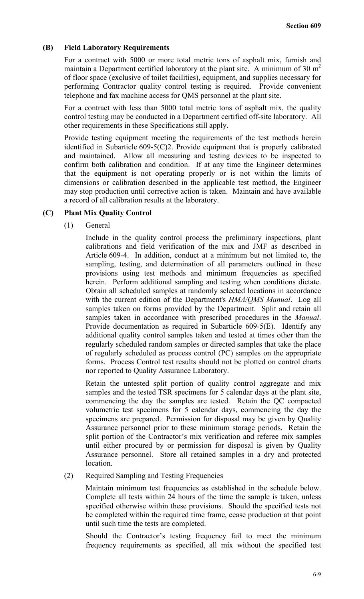## **(B) Field Laboratory Requirements**

For a contract with 5000 or more total metric tons of asphalt mix, furnish and maintain a Department certified laboratory at the plant site. A minimum of 30  $m<sup>2</sup>$ of floor space (exclusive of toilet facilities), equipment, and supplies necessary for performing Contractor quality control testing is required. Provide convenient telephone and fax machine access for QMS personnel at the plant site.

For a contract with less than 5000 total metric tons of asphalt mix, the quality control testing may be conducted in a Department certified off-site laboratory. All other requirements in these Specifications still apply.

Provide testing equipment meeting the requirements of the test methods herein identified in Subarticle 609-5(C)2. Provide equipment that is properly calibrated and maintained. Allow all measuring and testing devices to be inspected to confirm both calibration and condition. If at any time the Engineer determines that the equipment is not operating properly or is not within the limits of dimensions or calibration described in the applicable test method, the Engineer may stop production until corrective action is taken. Maintain and have available a record of all calibration results at the laboratory.

## **(C) Plant Mix Quality Control**

(1) General

Include in the quality control process the preliminary inspections, plant calibrations and field verification of the mix and JMF as described in Article 609-4. In addition, conduct at a minimum but not limited to, the sampling, testing, and determination of all parameters outlined in these provisions using test methods and minimum frequencies as specified herein. Perform additional sampling and testing when conditions dictate. Obtain all scheduled samples at randomly selected locations in accordance with the current edition of the Department's *HMA/QMS Manual*. Log all samples taken on forms provided by the Department. Split and retain all samples taken in accordance with prescribed procedures in the *Manual*. Provide documentation as required in Subarticle 609-5(E). Identify any additional quality control samples taken and tested at times other than the regularly scheduled random samples or directed samples that take the place of regularly scheduled as process control (PC) samples on the appropriate forms. Process Control test results should not be plotted on control charts nor reported to Quality Assurance Laboratory.

Retain the untested split portion of quality control aggregate and mix samples and the tested TSR specimens for 5 calendar days at the plant site, commencing the day the samples are tested. Retain the QC compacted volumetric test specimens for 5 calendar days, commencing the day the specimens are prepared. Permission for disposal may be given by Quality Assurance personnel prior to these minimum storage periods. Retain the split portion of the Contractor's mix verification and referee mix samples until either procured by or permission for disposal is given by Quality Assurance personnel. Store all retained samples in a dry and protected location.

(2) Required Sampling and Testing Frequencies

Maintain minimum test frequencies as established in the schedule below. Complete all tests within 24 hours of the time the sample is taken, unless specified otherwise within these provisions. Should the specified tests not be completed within the required time frame, cease production at that point until such time the tests are completed.

Should the Contractor's testing frequency fail to meet the minimum frequency requirements as specified, all mix without the specified test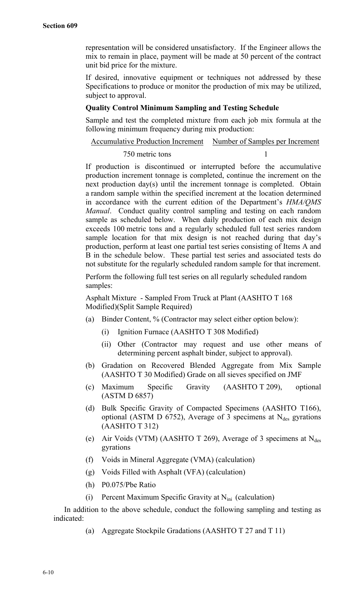representation will be considered unsatisfactory. If the Engineer allows the mix to remain in place, payment will be made at 50 percent of the contract unit bid price for the mixture.

If desired, innovative equipment or techniques not addressed by these Specifications to produce or monitor the production of mix may be utilized, subject to approval.

#### **Quality Control Minimum Sampling and Testing Schedule**

Sample and test the completed mixture from each job mix formula at the following minimum frequency during mix production:

Accumulative Production Increment Number of Samples per Increment

#### 750 metric tons 1

If production is discontinued or interrupted before the accumulative production increment tonnage is completed, continue the increment on the next production day(s) until the increment tonnage is completed. Obtain a random sample within the specified increment at the location determined in accordance with the current edition of the Department's *HMA/QMS Manual*. Conduct quality control sampling and testing on each random sample as scheduled below. When daily production of each mix design exceeds 100 metric tons and a regularly scheduled full test series random sample location for that mix design is not reached during that day's production, perform at least one partial test series consisting of Items A and B in the schedule below. These partial test series and associated tests do not substitute for the regularly scheduled random sample for that increment.

Perform the following full test series on all regularly scheduled random samples:

Asphalt Mixture - Sampled From Truck at Plant (AASHTO T 168 Modified)(Split Sample Required)

- (a) Binder Content, % (Contractor may select either option below):
	- (i) Ignition Furnace (AASHTO T 308 Modified)
	- (ii) Other (Contractor may request and use other means of determining percent asphalt binder, subject to approval).
- (b) Gradation on Recovered Blended Aggregate from Mix Sample (AASHTO T 30 Modified) Grade on all sieves specified on JMF
- (c) Maximum Specific Gravity (AASHTO T 209), optional (ASTM D 6857)
- (d) Bulk Specific Gravity of Compacted Specimens (AASHTO T166), optional (ASTM D 6752), Average of 3 specimens at  $N_{des}$  gyrations (AASHTO T 312)
- (e) Air Voids (VTM) (AASHTO T 269), Average of 3 specimens at  $N_{des}$ gyrations
- (f) Voids in Mineral Aggregate (VMA) (calculation)
- (g) Voids Filled with Asphalt (VFA) (calculation)
- (h) P0.075/Pbe Ratio
- (i) Percent Maximum Specific Gravity at  $N_{\text{ini}}$  (calculation)

In addition to the above schedule, conduct the following sampling and testing as indicated:

(a) Aggregate Stockpile Gradations (AASHTO T 27 and T 11)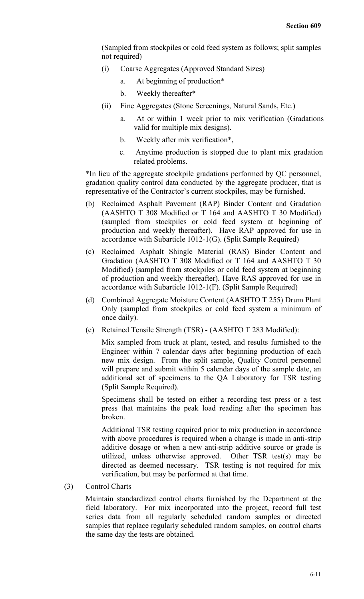(Sampled from stockpiles or cold feed system as follows; split samples not required)

- (i) Coarse Aggregates (Approved Standard Sizes)
	- a. At beginning of production\*
	- b. Weekly thereafter\*
- (ii) Fine Aggregates (Stone Screenings, Natural Sands, Etc.)
	- a. At or within 1 week prior to mix verification (Gradations valid for multiple mix designs).
	- b. Weekly after mix verification\*,
	- c. Anytime production is stopped due to plant mix gradation related problems.

\*In lieu of the aggregate stockpile gradations performed by QC personnel, gradation quality control data conducted by the aggregate producer, that is representative of the Contractor's current stockpiles, may be furnished.

- (b) Reclaimed Asphalt Pavement (RAP) Binder Content and Gradation (AASHTO T 308 Modified or T 164 and AASHTO T 30 Modified) (sampled from stockpiles or cold feed system at beginning of production and weekly thereafter). Have RAP approved for use in accordance with Subarticle 1012-1(G). (Split Sample Required)
- (c) Reclaimed Asphalt Shingle Material (RAS) Binder Content and Gradation (AASHTO T 308 Modified or T 164 and AASHTO T 30 Modified) (sampled from stockpiles or cold feed system at beginning of production and weekly thereafter). Have RAS approved for use in accordance with Subarticle 1012-1(F). (Split Sample Required)
- (d) Combined Aggregate Moisture Content (AASHTO T 255) Drum Plant Only (sampled from stockpiles or cold feed system a minimum of once daily).
- (e) Retained Tensile Strength (TSR) (AASHTO T 283 Modified):

Mix sampled from truck at plant, tested, and results furnished to the Engineer within 7 calendar days after beginning production of each new mix design. From the split sample, Quality Control personnel will prepare and submit within 5 calendar days of the sample date, an additional set of specimens to the QA Laboratory for TSR testing (Split Sample Required).

Specimens shall be tested on either a recording test press or a test press that maintains the peak load reading after the specimen has broken.

Additional TSR testing required prior to mix production in accordance with above procedures is required when a change is made in anti-strip additive dosage or when a new anti-strip additive source or grade is utilized, unless otherwise approved. Other TSR test(s) may be directed as deemed necessary. TSR testing is not required for mix verification, but may be performed at that time.

(3) Control Charts

Maintain standardized control charts furnished by the Department at the field laboratory. For mix incorporated into the project, record full test series data from all regularly scheduled random samples or directed samples that replace regularly scheduled random samples, on control charts the same day the tests are obtained.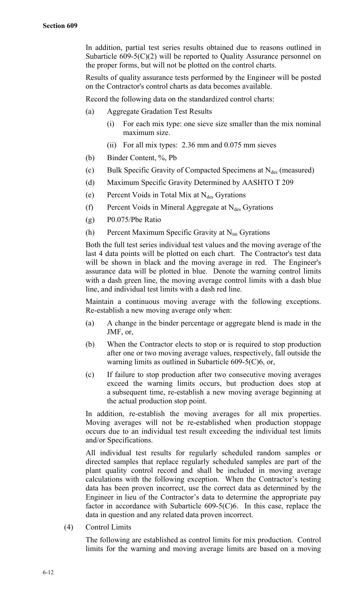In addition, partial test series results obtained due to reasons outlined in Subarticle  $609-5(C)(2)$  will be reported to Quality Assurance personnel on the proper forms, but will not be plotted on the control charts.

Results of quality assurance tests performed by the Engineer will be posted on the Contractor's control charts as data becomes available.

Record the following data on the standardized control charts:

- (a) Aggregate Gradation Test Results
	- (i) For each mix type: one sieve size smaller than the mix nominal maximum size.
	- (ii) For all mix types: 2.36 mm and 0.075 mm sieves
- (b) Binder Content, %, Pb
- (c) Bulk Specific Gravity of Compacted Specimens at  $N_{des}$  (measured)
- (d) Maximum Specific Gravity Determined by AASHTO T 209
- (e) Percent Voids in Total Mix at  $N_{des}$  Gyrations
- (f) Percent Voids in Mineral Aggregate at  $N_{des}$  Gyrations
- (g) P0.075/Pbe Ratio
- (h) Percent Maximum Specific Gravity at  $N_{\text{ini}}$  Gyrations

Both the full test series individual test values and the moving average of the last 4 data points will be plotted on each chart. The Contractor's test data will be shown in black and the moving average in red. The Engineer's assurance data will be plotted in blue. Denote the warning control limits with a dash green line, the moving average control limits with a dash blue line, and individual test limits with a dash red line.

Maintain a continuous moving average with the following exceptions. Re-establish a new moving average only when:

- (a) A change in the binder percentage or aggregate blend is made in the JMF, or,
- (b) When the Contractor elects to stop or is required to stop production after one or two moving average values, respectively, fall outside the warning limits as outlined in Subarticle 609-5(C)6, or,
- (c) If failure to stop production after two consecutive moving averages exceed the warning limits occurs, but production does stop at a subsequent time, re-establish a new moving average beginning at the actual production stop point.

In addition, re-establish the moving averages for all mix properties. Moving averages will not be re-established when production stoppage occurs due to an individual test result exceeding the individual test limits and/or Specifications.

All individual test results for regularly scheduled random samples or directed samples that replace regularly scheduled samples are part of the plant quality control record and shall be included in moving average calculations with the following exception. When the Contractor's testing data has been proven incorrect, use the correct data as determined by the Engineer in lieu of the Contractor's data to determine the appropriate pay factor in accordance with Subarticle  $609-5(C)6$ . In this case, replace the data in question and any related data proven incorrect.

(4) Control Limits

The following are established as control limits for mix production. Control limits for the warning and moving average limits are based on a moving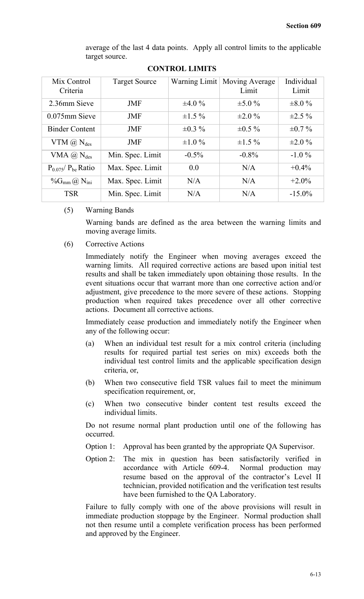average of the last 4 data points. Apply all control limits to the applicable target source.

| Mix Control<br>Criteria               | <b>Target Source</b> |              | Warning Limit   Moving Average<br>Limit | Individual<br>Limit |
|---------------------------------------|----------------------|--------------|-----------------------------------------|---------------------|
| 2.36mm Sieve                          | <b>JMF</b>           | $\pm 4.0 \%$ | $\pm 5.0 \%$                            | $\pm 8.0 \%$        |
| $0.075$ mm Sieve                      | <b>JMF</b>           | $\pm 1.5 \%$ | $\pm 2.0 \%$                            | $\pm 2.5 \%$        |
| <b>Binder Content</b>                 | <b>JMF</b>           | $\pm 0.3 \%$ | $\pm 0.5 \%$                            | $\pm 0.7 \%$        |
| VTM $(\widehat{a})$ N <sub>des</sub>  | <b>JMF</b>           | $\pm 1.0 \%$ | $\pm 1.5 \%$                            | $\pm 2.0 \%$        |
| VMA $(\widehat{a})$ N <sub>des</sub>  | Min. Spec. Limit     | $-0.5\%$     | $-0.8\%$                                | $-1.0\%$            |
| $P_{0.075}/P_{be}$ Ratio              | Max. Spec. Limit     | 0.0          | N/A                                     | $+0.4\%$            |
| $\%G_{mm}(\partial)$ N <sub>ini</sub> | Max. Spec. Limit     | N/A          | N/A                                     | $+2.0\%$            |
| <b>TSR</b>                            | Min. Spec. Limit     | N/A          | N/A                                     | $-15.0\%$           |

**CONTROL LIMITS**

(5) Warning Bands

Warning bands are defined as the area between the warning limits and moving average limits.

(6) Corrective Actions

Immediately notify the Engineer when moving averages exceed the warning limits. All required corrective actions are based upon initial test results and shall be taken immediately upon obtaining those results. In the event situations occur that warrant more than one corrective action and/or adjustment, give precedence to the more severe of these actions. Stopping production when required takes precedence over all other corrective actions. Document all corrective actions.

Immediately cease production and immediately notify the Engineer when any of the following occur:

- (a) When an individual test result for a mix control criteria (including results for required partial test series on mix) exceeds both the individual test control limits and the applicable specification design criteria, or,
- (b) When two consecutive field TSR values fail to meet the minimum specification requirement, or,
- (c) When two consecutive binder content test results exceed the individual limits.

Do not resume normal plant production until one of the following has occurred.

- Option 1: Approval has been granted by the appropriate QA Supervisor.
- Option 2: The mix in question has been satisfactorily verified in accordance with Article 609-4. Normal production may resume based on the approval of the contractor's Level II technician, provided notification and the verification test results have been furnished to the QA Laboratory.

Failure to fully comply with one of the above provisions will result in immediate production stoppage by the Engineer. Normal production shall not then resume until a complete verification process has been performed and approved by the Engineer.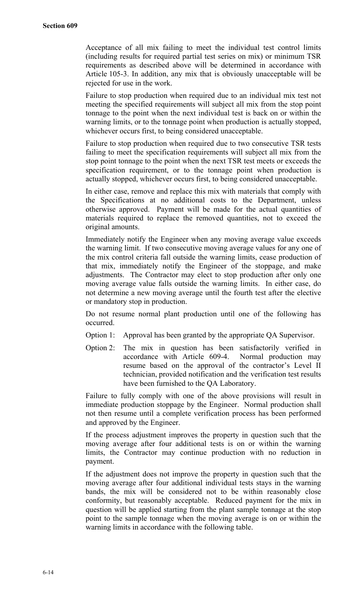Acceptance of all mix failing to meet the individual test control limits (including results for required partial test series on mix) or minimum TSR requirements as described above will be determined in accordance with Article 105-3. In addition, any mix that is obviously unacceptable will be rejected for use in the work.

Failure to stop production when required due to an individual mix test not meeting the specified requirements will subject all mix from the stop point tonnage to the point when the next individual test is back on or within the warning limits, or to the tonnage point when production is actually stopped, whichever occurs first, to being considered unacceptable.

Failure to stop production when required due to two consecutive TSR tests failing to meet the specification requirements will subject all mix from the stop point tonnage to the point when the next TSR test meets or exceeds the specification requirement, or to the tonnage point when production is actually stopped, whichever occurs first, to being considered unacceptable.

In either case, remove and replace this mix with materials that comply with the Specifications at no additional costs to the Department, unless otherwise approved. Payment will be made for the actual quantities of materials required to replace the removed quantities, not to exceed the original amounts.

Immediately notify the Engineer when any moving average value exceeds the warning limit. If two consecutive moving average values for any one of the mix control criteria fall outside the warning limits, cease production of that mix, immediately notify the Engineer of the stoppage, and make adjustments. The Contractor may elect to stop production after only one moving average value falls outside the warning limits. In either case, do not determine a new moving average until the fourth test after the elective or mandatory stop in production.

Do not resume normal plant production until one of the following has occurred.

- Option 1: Approval has been granted by the appropriate QA Supervisor.
- Option 2: The mix in question has been satisfactorily verified in accordance with Article 609-4. Normal production may resume based on the approval of the contractor's Level II technician, provided notification and the verification test results have been furnished to the QA Laboratory.

Failure to fully comply with one of the above provisions will result in immediate production stoppage by the Engineer. Normal production shall not then resume until a complete verification process has been performed and approved by the Engineer.

If the process adjustment improves the property in question such that the moving average after four additional tests is on or within the warning limits, the Contractor may continue production with no reduction in payment.

If the adjustment does not improve the property in question such that the moving average after four additional individual tests stays in the warning bands, the mix will be considered not to be within reasonably close conformity, but reasonably acceptable. Reduced payment for the mix in question will be applied starting from the plant sample tonnage at the stop point to the sample tonnage when the moving average is on or within the warning limits in accordance with the following table.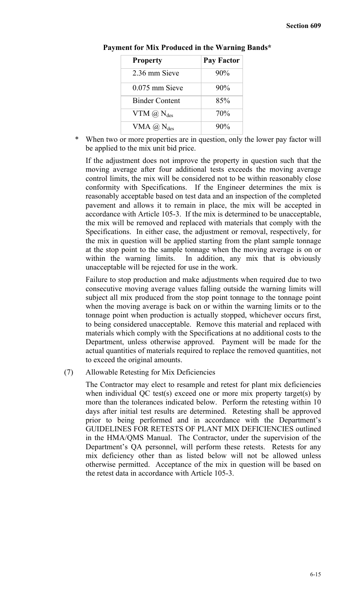| <b>Property</b>                       | <b>Pay Factor</b> |
|---------------------------------------|-------------------|
| 2.36 mm Sieve                         | 90%               |
| $0.075$ mm Sieve                      | 90%               |
| <b>Binder Content</b>                 | 85%               |
| $VTM$ $(\overline{a})$ $N_{des}$      | 70%               |
| VMA $(\overline{a})$ N <sub>des</sub> | $90\%$            |

#### **Payment for Mix Produced in the Warning Bands\***

When two or more properties are in question, only the lower pay factor will be applied to the mix unit bid price.

If the adjustment does not improve the property in question such that the moving average after four additional tests exceeds the moving average control limits, the mix will be considered not to be within reasonably close conformity with Specifications. If the Engineer determines the mix is reasonably acceptable based on test data and an inspection of the completed pavement and allows it to remain in place, the mix will be accepted in accordance with Article 105-3. If the mix is determined to be unacceptable, the mix will be removed and replaced with materials that comply with the Specifications. In either case, the adjustment or removal, respectively, for the mix in question will be applied starting from the plant sample tonnage at the stop point to the sample tonnage when the moving average is on or within the warning limits. In addition, any mix that is obviously unacceptable will be rejected for use in the work.

Failure to stop production and make adjustments when required due to two consecutive moving average values falling outside the warning limits will subject all mix produced from the stop point tonnage to the tonnage point when the moving average is back on or within the warning limits or to the tonnage point when production is actually stopped, whichever occurs first, to being considered unacceptable. Remove this material and replaced with materials which comply with the Specifications at no additional costs to the Department, unless otherwise approved. Payment will be made for the actual quantities of materials required to replace the removed quantities, not to exceed the original amounts.

(7) Allowable Retesting for Mix Deficiencies

The Contractor may elect to resample and retest for plant mix deficiencies when individual QC test(s) exceed one or more mix property target(s) by more than the tolerances indicated below. Perform the retesting within 10 days after initial test results are determined. Retesting shall be approved prior to being performed and in accordance with the Department's GUIDELINES FOR RETESTS OF PLANT MIX DEFICIENCIES outlined in the HMA/QMS Manual. The Contractor, under the supervision of the Department's QA personnel, will perform these retests. Retests for any mix deficiency other than as listed below will not be allowed unless otherwise permitted. Acceptance of the mix in question will be based on the retest data in accordance with Article 105-3.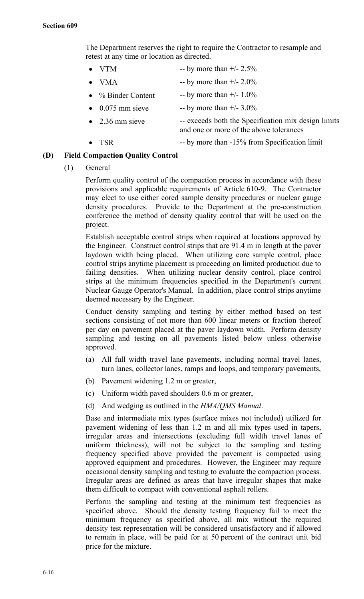The Department reserves the right to require the Contractor to resample and retest at any time or location as directed.

- VTM -- by more than  $+/- 2.5\%$ 
	- VMA  $-$  by more than  $+/- 2.0\%$
- $\%$  Binder Content -- by more than  $+/- 1.0\%$
- 0.075 mm sieve -- by more than  $+/- 3.0\%$
- 2.36 mm sieve -- exceeds both the Specification mix design limits and one or more of the above tolerances
- TSR -- by more than -15% from Specification limit

## **(D) Field Compaction Quality Control**

(1) General

Perform quality control of the compaction process in accordance with these provisions and applicable requirements of Article 610-9. The Contractor may elect to use either cored sample density procedures or nuclear gauge density procedures. Provide to the Department at the pre-construction conference the method of density quality control that will be used on the project.

Establish acceptable control strips when required at locations approved by the Engineer. Construct control strips that are 91.4 m in length at the paver laydown width being placed. When utilizing core sample control, place control strips anytime placement is proceeding on limited production due to failing densities. When utilizing nuclear density control, place control strips at the minimum frequencies specified in the Department's current Nuclear Gauge Operator's Manual. In addition, place control strips anytime deemed necessary by the Engineer.

Conduct density sampling and testing by either method based on test sections consisting of not more than 600 linear meters or fraction thereof per day on pavement placed at the paver laydown width. Perform density sampling and testing on all pavements listed below unless otherwise approved.

- (a) All full width travel lane pavements, including normal travel lanes, turn lanes, collector lanes, ramps and loops, and temporary pavements,
- (b) Pavement widening 1.2 m or greater,
- (c) Uniform width paved shoulders 0.6 m or greater,
- (d) And wedging as outlined in the *HMA/QMS Manual*.

Base and intermediate mix types (surface mixes not included) utilized for pavement widening of less than 1.2 m and all mix types used in tapers, irregular areas and intersections (excluding full width travel lanes of uniform thickness), will not be subject to the sampling and testing frequency specified above provided the pavement is compacted using approved equipment and procedures. However, the Engineer may require occasional density sampling and testing to evaluate the compaction process. Irregular areas are defined as areas that have irregular shapes that make them difficult to compact with conventional asphalt rollers.

Perform the sampling and testing at the minimum test frequencies as specified above. Should the density testing frequency fail to meet the minimum frequency as specified above, all mix without the required density test representation will be considered unsatisfactory and if allowed to remain in place, will be paid for at 50 percent of the contract unit bid price for the mixture.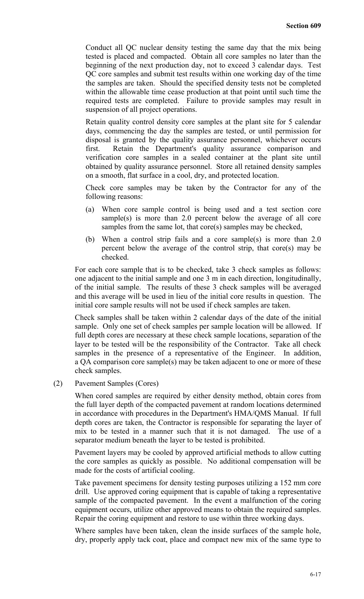Conduct all QC nuclear density testing the same day that the mix being tested is placed and compacted. Obtain all core samples no later than the beginning of the next production day, not to exceed 3 calendar days. Test QC core samples and submit test results within one working day of the time the samples are taken. Should the specified density tests not be completed within the allowable time cease production at that point until such time the required tests are completed. Failure to provide samples may result in suspension of all project operations.

Retain quality control density core samples at the plant site for 5 calendar days, commencing the day the samples are tested, or until permission for disposal is granted by the quality assurance personnel, whichever occurs first. Retain the Department's quality assurance comparison and verification core samples in a sealed container at the plant site until obtained by quality assurance personnel. Store all retained density samples on a smooth, flat surface in a cool, dry, and protected location.

Check core samples may be taken by the Contractor for any of the following reasons:

- (a) When core sample control is being used and a test section core sample(s) is more than 2.0 percent below the average of all core samples from the same lot, that core(s) samples may be checked,
- (b) When a control strip fails and a core sample(s) is more than 2.0 percent below the average of the control strip, that core(s) may be checked.

For each core sample that is to be checked, take 3 check samples as follows: one adjacent to the initial sample and one 3 m in each direction, longitudinally, of the initial sample. The results of these 3 check samples will be averaged and this average will be used in lieu of the initial core results in question. The initial core sample results will not be used if check samples are taken.

Check samples shall be taken within 2 calendar days of the date of the initial sample. Only one set of check samples per sample location will be allowed. If full depth cores are necessary at these check sample locations, separation of the layer to be tested will be the responsibility of the Contractor. Take all check samples in the presence of a representative of the Engineer. In addition, a QA comparison core sample(s) may be taken adjacent to one or more of these check samples.

(2) Pavement Samples (Cores)

When cored samples are required by either density method, obtain cores from the full layer depth of the compacted pavement at random locations determined in accordance with procedures in the Department's HMA/QMS Manual. If full depth cores are taken, the Contractor is responsible for separating the layer of mix to be tested in a manner such that it is not damaged. The use of a separator medium beneath the layer to be tested is prohibited.

Pavement layers may be cooled by approved artificial methods to allow cutting the core samples as quickly as possible. No additional compensation will be made for the costs of artificial cooling.

Take pavement specimens for density testing purposes utilizing a 152 mm core drill. Use approved coring equipment that is capable of taking a representative sample of the compacted pavement. In the event a malfunction of the coring equipment occurs, utilize other approved means to obtain the required samples. Repair the coring equipment and restore to use within three working days.

Where samples have been taken, clean the inside surfaces of the sample hole, dry, properly apply tack coat, place and compact new mix of the same type to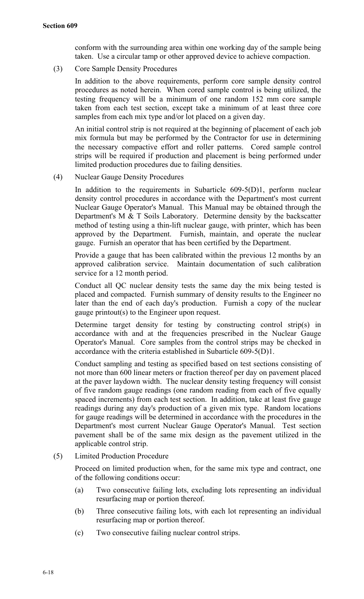conform with the surrounding area within one working day of the sample being taken. Use a circular tamp or other approved device to achieve compaction.

(3) Core Sample Density Procedures

In addition to the above requirements, perform core sample density control procedures as noted herein. When cored sample control is being utilized, the testing frequency will be a minimum of one random 152 mm core sample taken from each test section, except take a minimum of at least three core samples from each mix type and/or lot placed on a given day.

An initial control strip is not required at the beginning of placement of each job mix formula but may be performed by the Contractor for use in determining the necessary compactive effort and roller patterns. Cored sample control strips will be required if production and placement is being performed under limited production procedures due to failing densities.

(4) Nuclear Gauge Density Procedures

In addition to the requirements in Subarticle 609-5(D)1, perform nuclear density control procedures in accordance with the Department's most current Nuclear Gauge Operator's Manual. This Manual may be obtained through the Department's M  $&$  T Soils Laboratory. Determine density by the backscatter method of testing using a thin-lift nuclear gauge, with printer, which has been approved by the Department. Furnish, maintain, and operate the nuclear gauge. Furnish an operator that has been certified by the Department.

Provide a gauge that has been calibrated within the previous 12 months by an approved calibration service. Maintain documentation of such calibration service for a 12 month period.

Conduct all QC nuclear density tests the same day the mix being tested is placed and compacted. Furnish summary of density results to the Engineer no later than the end of each day's production. Furnish a copy of the nuclear gauge printout(s) to the Engineer upon request.

Determine target density for testing by constructing control strip(s) in accordance with and at the frequencies prescribed in the Nuclear Gauge Operator's Manual. Core samples from the control strips may be checked in accordance with the criteria established in Subarticle 609-5(D)1.

Conduct sampling and testing as specified based on test sections consisting of not more than 600 linear meters or fraction thereof per day on pavement placed at the paver laydown width. The nuclear density testing frequency will consist of five random gauge readings (one random reading from each of five equally spaced increments) from each test section. In addition, take at least five gauge readings during any day's production of a given mix type. Random locations for gauge readings will be determined in accordance with the procedures in the Department's most current Nuclear Gauge Operator's Manual. Test section pavement shall be of the same mix design as the pavement utilized in the applicable control strip.

(5) Limited Production Procedure

Proceed on limited production when, for the same mix type and contract, one of the following conditions occur:

- (a) Two consecutive failing lots, excluding lots representing an individual resurfacing map or portion thereof.
- (b) Three consecutive failing lots, with each lot representing an individual resurfacing map or portion thereof.
- (c) Two consecutive failing nuclear control strips.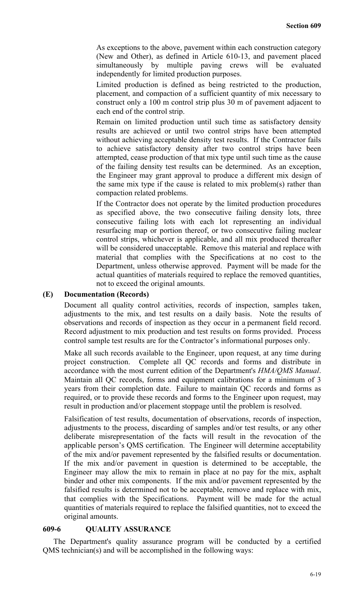As exceptions to the above, pavement within each construction category (New and Other), as defined in Article 610-13, and pavement placed simultaneously by multiple paving crews will be evaluated independently for limited production purposes.

Limited production is defined as being restricted to the production, placement, and compaction of a sufficient quantity of mix necessary to construct only a 100 m control strip plus 30 m of pavement adjacent to each end of the control strip.

Remain on limited production until such time as satisfactory density results are achieved or until two control strips have been attempted without achieving acceptable density test results. If the Contractor fails to achieve satisfactory density after two control strips have been attempted, cease production of that mix type until such time as the cause of the failing density test results can be determined. As an exception, the Engineer may grant approval to produce a different mix design of the same mix type if the cause is related to mix problem(s) rather than compaction related problems.

If the Contractor does not operate by the limited production procedures as specified above, the two consecutive failing density lots, three consecutive failing lots with each lot representing an individual resurfacing map or portion thereof, or two consecutive failing nuclear control strips, whichever is applicable, and all mix produced thereafter will be considered unacceptable. Remove this material and replace with material that complies with the Specifications at no cost to the Department, unless otherwise approved. Payment will be made for the actual quantities of materials required to replace the removed quantities, not to exceed the original amounts.

## **(E) Documentation (Records)**

Document all quality control activities, records of inspection, samples taken, adjustments to the mix, and test results on a daily basis. Note the results of observations and records of inspection as they occur in a permanent field record. Record adjustment to mix production and test results on forms provided. Process control sample test results are for the Contractor's informational purposes only.

Make all such records available to the Engineer, upon request, at any time during project construction. Complete all QC records and forms and distribute in accordance with the most current edition of the Department's *HMA/QMS Manual*. Maintain all QC records, forms and equipment calibrations for a minimum of 3 years from their completion date. Failure to maintain QC records and forms as required, or to provide these records and forms to the Engineer upon request, may result in production and/or placement stoppage until the problem is resolved.

Falsification of test results, documentation of observations, records of inspection, adjustments to the process, discarding of samples and/or test results, or any other deliberate misrepresentation of the facts will result in the revocation of the applicable person's QMS certification. The Engineer will determine acceptability of the mix and/or pavement represented by the falsified results or documentation. If the mix and/or pavement in question is determined to be acceptable, the Engineer may allow the mix to remain in place at no pay for the mix, asphalt binder and other mix components. If the mix and/or pavement represented by the falsified results is determined not to be acceptable, remove and replace with mix, that complies with the Specifications. Payment will be made for the actual quantities of materials required to replace the falsified quantities, not to exceed the original amounts.

## **609-6 QUALITY ASSURANCE**

The Department's quality assurance program will be conducted by a certified QMS technician(s) and will be accomplished in the following ways: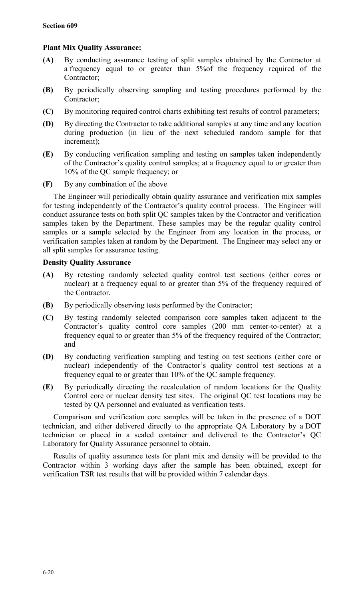## **Plant Mix Quality Assurance:**

- **(A)** By conducting assurance testing of split samples obtained by the Contractor at a frequency equal to or greater than 5%of the frequency required of the Contractor;
- **(B)** By periodically observing sampling and testing procedures performed by the Contractor;
- **(C)** By monitoring required control charts exhibiting test results of control parameters;
- **(D)** By directing the Contractor to take additional samples at any time and any location during production (in lieu of the next scheduled random sample for that increment);
- **(E)** By conducting verification sampling and testing on samples taken independently of the Contractor's quality control samples; at a frequency equal to or greater than 10% of the QC sample frequency; or
- **(F)** By any combination of the above

The Engineer will periodically obtain quality assurance and verification mix samples for testing independently of the Contractor's quality control process. The Engineer will conduct assurance tests on both split QC samples taken by the Contractor and verification samples taken by the Department. These samples may be the regular quality control samples or a sample selected by the Engineer from any location in the process, or verification samples taken at random by the Department. The Engineer may select any or all split samples for assurance testing.

## **Density Quality Assurance**

- **(A)** By retesting randomly selected quality control test sections (either cores or nuclear) at a frequency equal to or greater than 5% of the frequency required of the Contractor.
- **(B)** By periodically observing tests performed by the Contractor;
- **(C)** By testing randomly selected comparison core samples taken adjacent to the Contractor's quality control core samples (200 mm center-to-center) at a frequency equal to or greater than 5% of the frequency required of the Contractor; and
- **(D)** By conducting verification sampling and testing on test sections (either core or nuclear) independently of the Contractor's quality control test sections at a frequency equal to or greater than 10% of the QC sample frequency.
- **(E)** By periodically directing the recalculation of random locations for the Quality Control core or nuclear density test sites. The original QC test locations may be tested by QA personnel and evaluated as verification tests.

Comparison and verification core samples will be taken in the presence of a DOT technician, and either delivered directly to the appropriate QA Laboratory by a DOT technician or placed in a sealed container and delivered to the Contractor's QC Laboratory for Quality Assurance personnel to obtain.

Results of quality assurance tests for plant mix and density will be provided to the Contractor within 3 working days after the sample has been obtained, except for verification TSR test results that will be provided within 7 calendar days.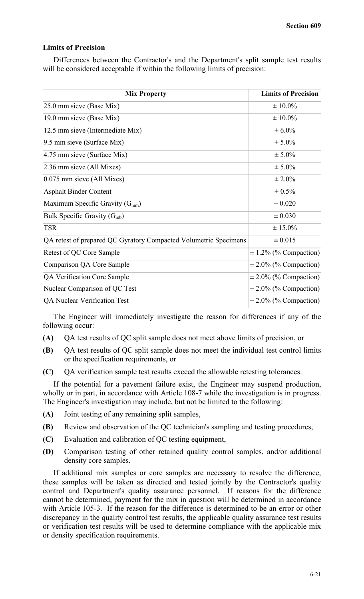#### **Limits of Precision**

Differences between the Contractor's and the Department's split sample test results will be considered acceptable if within the following limits of precision:

| <b>Mix Property</b>                                              | <b>Limits of Precision</b> |
|------------------------------------------------------------------|----------------------------|
| 25.0 mm sieve (Base Mix)                                         | $\pm 10.0\%$               |
| 19.0 mm sieve (Base Mix)                                         | $\pm 10.0\%$               |
| 12.5 mm sieve (Intermediate Mix)                                 | $\pm 6.0\%$                |
| 9.5 mm sieve (Surface Mix)                                       | $± 5.0\%$                  |
| 4.75 mm sieve (Surface Mix)                                      | $± 5.0\%$                  |
| $2.36$ mm sieve (All Mixes)                                      | $± 5.0\%$                  |
| $0.075$ mm sieve (All Mixes)                                     | $\pm 2.0\%$                |
| <b>Asphalt Binder Content</b>                                    | $\pm 0.5\%$                |
| Maximum Specific Gravity $(G_{mm})$                              | $\pm 0.020$                |
| Bulk Specific Gravity $(G_{mb})$                                 | $\pm 0.030$                |
| <b>TSR</b>                                                       | $\pm 15.0\%$               |
| QA retest of prepared QC Gyratory Compacted Volumetric Specimens | $\pm 0.015$                |
| Retest of QC Core Sample                                         | $\pm$ 1.2% (% Compaction)  |
| Comparison QA Core Sample                                        | $\pm$ 2.0% (% Compaction)  |
| QA Verification Core Sample                                      | $\pm$ 2.0% (% Compaction)  |
| Nuclear Comparison of QC Test                                    | $\pm$ 2.0% (% Compaction)  |
| QA Nuclear Verification Test                                     | $\pm$ 2.0% (% Compaction)  |

The Engineer will immediately investigate the reason for differences if any of the following occur:

- **(A)** QA test results of QC split sample does not meet above limits of precision, or
- **(B)** QA test results of QC split sample does not meet the individual test control limits or the specification requirements, or
- **(C)** QA verification sample test results exceed the allowable retesting tolerances.

If the potential for a pavement failure exist, the Engineer may suspend production, wholly or in part, in accordance with Article 108-7 while the investigation is in progress. The Engineer's investigation may include, but not be limited to the following:

- **(A)** Joint testing of any remaining split samples,
- **(B)** Review and observation of the QC technician's sampling and testing procedures,
- **(C)** Evaluation and calibration of QC testing equipment,
- **(D)** Comparison testing of other retained quality control samples, and/or additional density core samples.

If additional mix samples or core samples are necessary to resolve the difference, these samples will be taken as directed and tested jointly by the Contractor's quality control and Department's quality assurance personnel. If reasons for the difference cannot be determined, payment for the mix in question will be determined in accordance with Article 105-3. If the reason for the difference is determined to be an error or other discrepancy in the quality control test results, the applicable quality assurance test results or verification test results will be used to determine compliance with the applicable mix or density specification requirements.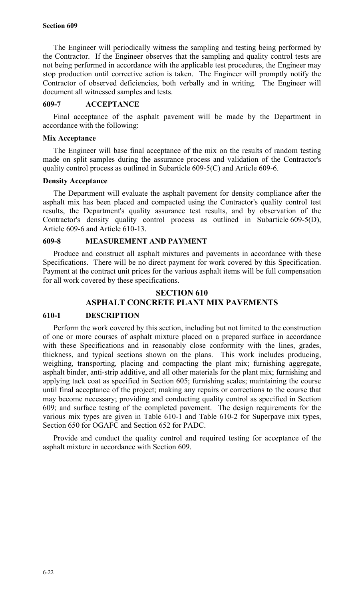The Engineer will periodically witness the sampling and testing being performed by the Contractor. If the Engineer observes that the sampling and quality control tests are not being performed in accordance with the applicable test procedures, the Engineer may stop production until corrective action is taken. The Engineer will promptly notify the Contractor of observed deficiencies, both verbally and in writing. The Engineer will document all witnessed samples and tests.

#### **609-7 ACCEPTANCE**

Final acceptance of the asphalt pavement will be made by the Department in accordance with the following:

#### **Mix Acceptance**

The Engineer will base final acceptance of the mix on the results of random testing made on split samples during the assurance process and validation of the Contractor's quality control process as outlined in Subarticle 609-5(C) and Article 609-6.

#### **Density Acceptance**

The Department will evaluate the asphalt pavement for density compliance after the asphalt mix has been placed and compacted using the Contractor's quality control test results, the Department's quality assurance test results, and by observation of the Contractor's density quality control process as outlined in Subarticle 609-5(D), Article 609-6 and Article 610-13.

## **609-8 MEASUREMENT AND PAYMENT**

Produce and construct all asphalt mixtures and pavements in accordance with these Specifications. There will be no direct payment for work covered by this Specification. Payment at the contract unit prices for the various asphalt items will be full compensation for all work covered by these specifications.

## **SECTION 610 ASPHALT CONCRETE PLANT MIX PAVEMENTS**

#### **610-1 DESCRIPTION**

Perform the work covered by this section, including but not limited to the construction of one or more courses of asphalt mixture placed on a prepared surface in accordance with these Specifications and in reasonably close conformity with the lines, grades, thickness, and typical sections shown on the plans. This work includes producing, weighing, transporting, placing and compacting the plant mix; furnishing aggregate, asphalt binder, anti-strip additive, and all other materials for the plant mix; furnishing and applying tack coat as specified in Section 605; furnishing scales; maintaining the course until final acceptance of the project; making any repairs or corrections to the course that may become necessary; providing and conducting quality control as specified in Section 609; and surface testing of the completed pavement. The design requirements for the various mix types are given in Table 610-1 and Table 610-2 for Superpave mix types, Section 650 for OGAFC and Section 652 for PADC.

Provide and conduct the quality control and required testing for acceptance of the asphalt mixture in accordance with Section 609.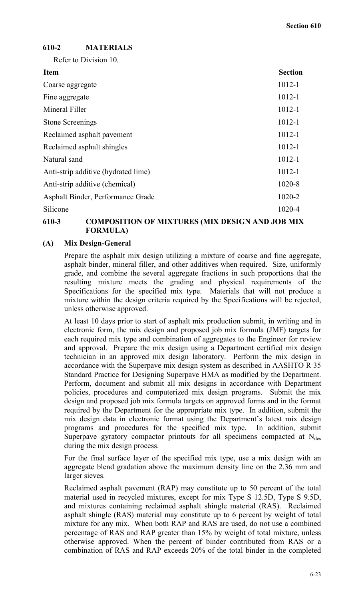# **610-2 MATERIALS**

Refer to Division 10.

| <b>Item</b>                         | <b>Section</b> |
|-------------------------------------|----------------|
| Coarse aggregate                    | $1012 - 1$     |
| Fine aggregate                      | $1012 - 1$     |
| Mineral Filler                      | $1012 - 1$     |
| <b>Stone Screenings</b>             | $1012 - 1$     |
| Reclaimed asphalt pavement          | $1012 - 1$     |
| Reclaimed asphalt shingles          | $1012 - 1$     |
| Natural sand                        | $1012 - 1$     |
| Anti-strip additive (hydrated lime) | $1012 - 1$     |
| Anti-strip additive (chemical)      | 1020-8         |
| Asphalt Binder, Performance Grade   | 1020-2         |
| Silicone                            | 1020-4         |

## **610-3 COMPOSITION OF MIXTURES (MIX DESIGN AND JOB MIX FORMULA)**

## **(A) Mix Design-General**

Prepare the asphalt mix design utilizing a mixture of coarse and fine aggregate, asphalt binder, mineral filler, and other additives when required. Size, uniformly grade, and combine the several aggregate fractions in such proportions that the resulting mixture meets the grading and physical requirements of the Specifications for the specified mix type. Materials that will not produce a mixture within the design criteria required by the Specifications will be rejected, unless otherwise approved.

At least 10 days prior to start of asphalt mix production submit, in writing and in electronic form, the mix design and proposed job mix formula (JMF) targets for each required mix type and combination of aggregates to the Engineer for review and approval. Prepare the mix design using a Department certified mix design technician in an approved mix design laboratory. Perform the mix design in accordance with the Superpave mix design system as described in AASHTO R 35 Standard Practice for Designing Superpave HMA as modified by the Department. Perform, document and submit all mix designs in accordance with Department policies, procedures and computerized mix design programs. Submit the mix design and proposed job mix formula targets on approved forms and in the format required by the Department for the appropriate mix type. In addition, submit the mix design data in electronic format using the Department's latest mix design programs and procedures for the specified mix type. In addition, submit Superpave gyratory compactor printouts for all specimens compacted at  $N_{des}$ during the mix design process.

For the final surface layer of the specified mix type, use a mix design with an aggregate blend gradation above the maximum density line on the 2.36 mm and larger sieves.

Reclaimed asphalt pavement (RAP) may constitute up to 50 percent of the total material used in recycled mixtures, except for mix Type S 12.5D, Type S 9.5D, and mixtures containing reclaimed asphalt shingle material (RAS). Reclaimed asphalt shingle (RAS) material may constitute up to 6 percent by weight of total mixture for any mix. When both RAP and RAS are used, do not use a combined percentage of RAS and RAP greater than 15% by weight of total mixture, unless otherwise approved. When the percent of binder contributed from RAS or a combination of RAS and RAP exceeds 20% of the total binder in the completed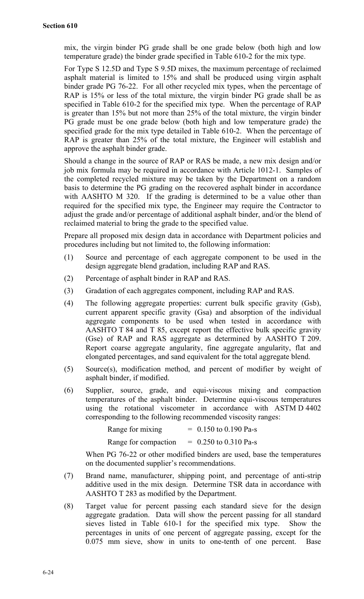mix, the virgin binder PG grade shall be one grade below (both high and low temperature grade) the binder grade specified in Table 610-2 for the mix type.

For Type S 12.5D and Type S 9.5D mixes, the maximum percentage of reclaimed asphalt material is limited to 15% and shall be produced using virgin asphalt binder grade PG 76-22. For all other recycled mix types, when the percentage of RAP is 15% or less of the total mixture, the virgin binder PG grade shall be as specified in Table 610-2 for the specified mix type. When the percentage of RAP is greater than 15% but not more than 25% of the total mixture, the virgin binder PG grade must be one grade below (both high and low temperature grade) the specified grade for the mix type detailed in Table 610-2. When the percentage of RAP is greater than 25% of the total mixture, the Engineer will establish and approve the asphalt binder grade.

Should a change in the source of RAP or RAS be made, a new mix design and/or job mix formula may be required in accordance with Article 1012-1. Samples of the completed recycled mixture may be taken by the Department on a random basis to determine the PG grading on the recovered asphalt binder in accordance with AASHTO M 320. If the grading is determined to be a value other than required for the specified mix type, the Engineer may require the Contractor to adjust the grade and/or percentage of additional asphalt binder, and/or the blend of reclaimed material to bring the grade to the specified value.

Prepare all proposed mix design data in accordance with Department policies and procedures including but not limited to, the following information:

- (1) Source and percentage of each aggregate component to be used in the design aggregate blend gradation, including RAP and RAS.
- (2) Percentage of asphalt binder in RAP and RAS.
- (3) Gradation of each aggregates component, including RAP and RAS.
- (4) The following aggregate properties: current bulk specific gravity (Gsb), current apparent specific gravity (Gsa) and absorption of the individual aggregate components to be used when tested in accordance with AASHTO T 84 and T 85, except report the effective bulk specific gravity (Gse) of RAP and RAS aggregate as determined by AASHTO T 209. Report coarse aggregate angularity, fine aggregate angularity, flat and elongated percentages, and sand equivalent for the total aggregate blend.
- (5) Source(s), modification method, and percent of modifier by weight of asphalt binder, if modified.
- (6) Supplier, source, grade, and equi-viscous mixing and compaction temperatures of the asphalt binder. Determine equi-viscous temperatures using the rotational viscometer in accordance with ASTM D 4402 corresponding to the following recommended viscosity ranges:

| Range for mixing     | $= 0.150$ to 0.190 Pa-s |
|----------------------|-------------------------|
| Range for compaction | $= 0.250$ to 0.310 Pa-s |

When PG 76-22 or other modified binders are used, base the temperatures on the documented supplier's recommendations.

- (7) Brand name, manufacturer, shipping point, and percentage of anti-strip additive used in the mix design. Determine TSR data in accordance with AASHTO T 283 as modified by the Department.
- (8) Target value for percent passing each standard sieve for the design aggregate gradation. Data will show the percent passing for all standard sieves listed in Table 610-1 for the specified mix type. Show the percentages in units of one percent of aggregate passing, except for the 0.075 mm sieve, show in units to one-tenth of one percent. Base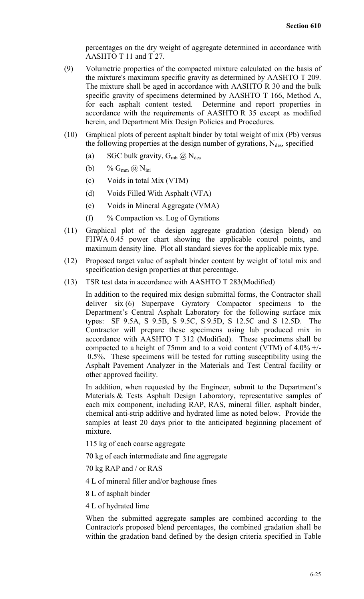percentages on the dry weight of aggregate determined in accordance with AASHTO T 11 and T 27.

- (9) Volumetric properties of the compacted mixture calculated on the basis of the mixture's maximum specific gravity as determined by AASHTO T 209. The mixture shall be aged in accordance with AASHTO R 30 and the bulk specific gravity of specimens determined by AASHTO T 166, Method A, for each asphalt content tested. Determine and report properties in accordance with the requirements of AASHTO R 35 except as modified herein, and Department Mix Design Policies and Procedures.
- (10) Graphical plots of percent asphalt binder by total weight of mix (Pb) versus the following properties at the design number of gyrations,  $N_{des}$ , specified
	- (a) SGC bulk gravity,  $G_{mb}$   $\omega$  N<sub>des</sub>
	- (b) %  $G_{mm}$   $\omega$  N<sub>ini</sub>
	- (c) Voids in total Mix (VTM)
	- (d) Voids Filled With Asphalt (VFA)
	- (e) Voids in Mineral Aggregate (VMA)
	- (f)  $\%$  Compaction vs. Log of Gyrations
- (11) Graphical plot of the design aggregate gradation (design blend) on FHWA 0.45 power chart showing the applicable control points, and maximum density line. Plot all standard sieves for the applicable mix type.
- (12) Proposed target value of asphalt binder content by weight of total mix and specification design properties at that percentage.
- (13) TSR test data in accordance with AASHTO T 283(Modified)

In addition to the required mix design submittal forms, the Contractor shall deliver six (6) Superpave Gyratory Compactor specimens to the Department's Central Asphalt Laboratory for the following surface mix types: SF 9.5A, S 9.5B, S 9.5C, S 9.5D, S 12.5C and S 12.5D. The Contractor will prepare these specimens using lab produced mix in accordance with AASHTO T 312 (Modified). These specimens shall be compacted to a height of 75mm and to a void content (VTM) of  $4.0\%$  +/- 0.5%. These specimens will be tested for rutting susceptibility using the Asphalt Pavement Analyzer in the Materials and Test Central facility or other approved facility.

In addition, when requested by the Engineer, submit to the Department's Materials & Tests Asphalt Design Laboratory, representative samples of each mix component, including RAP, RAS, mineral filler, asphalt binder, chemical anti-strip additive and hydrated lime as noted below. Provide the samples at least 20 days prior to the anticipated beginning placement of mixture.

115 kg of each coarse aggregate

70 kg of each intermediate and fine aggregate

70 kg RAP and / or RAS

- 4 L of mineral filler and/or baghouse fines
- 8 L of asphalt binder
- 4 L of hydrated lime

When the submitted aggregate samples are combined according to the Contractor's proposed blend percentages, the combined gradation shall be within the gradation band defined by the design criteria specified in Table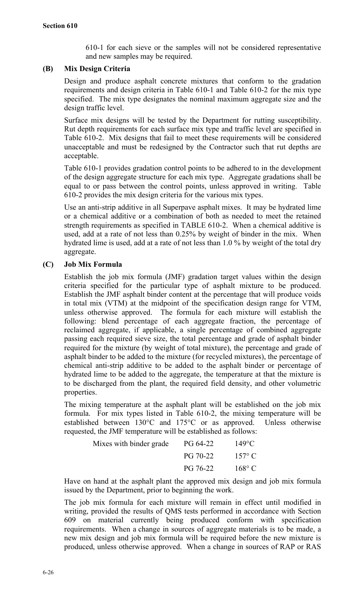610-1 for each sieve or the samples will not be considered representative and new samples may be required.

## **(B) Mix Design Criteria**

Design and produce asphalt concrete mixtures that conform to the gradation requirements and design criteria in Table 610-1 and Table 610-2 for the mix type specified. The mix type designates the nominal maximum aggregate size and the design traffic level.

Surface mix designs will be tested by the Department for rutting susceptibility. Rut depth requirements for each surface mix type and traffic level are specified in Table 610-2. Mix designs that fail to meet these requirements will be considered unacceptable and must be redesigned by the Contractor such that rut depths are acceptable.

Table 610-1 provides gradation control points to be adhered to in the development of the design aggregate structure for each mix type. Aggregate gradations shall be equal to or pass between the control points, unless approved in writing. Table 610-2 provides the mix design criteria for the various mix types.

Use an anti-strip additive in all Superpave asphalt mixes. It may be hydrated lime or a chemical additive or a combination of both as needed to meet the retained strength requirements as specified in TABLE 610-2. When a chemical additive is used, add at a rate of not less than 0.25% by weight of binder in the mix. When hydrated lime is used, add at a rate of not less than 1.0 % by weight of the total dry aggregate.

## **(C) Job Mix Formula**

Establish the job mix formula (JMF) gradation target values within the design criteria specified for the particular type of asphalt mixture to be produced. Establish the JMF asphalt binder content at the percentage that will produce voids in total mix (VTM) at the midpoint of the specification design range for VTM, unless otherwise approved. The formula for each mixture will establish the following: blend percentage of each aggregate fraction, the percentage of reclaimed aggregate, if applicable, a single percentage of combined aggregate passing each required sieve size, the total percentage and grade of asphalt binder required for the mixture (by weight of total mixture), the percentage and grade of asphalt binder to be added to the mixture (for recycled mixtures), the percentage of chemical anti-strip additive to be added to the asphalt binder or percentage of hydrated lime to be added to the aggregate, the temperature at that the mixture is to be discharged from the plant, the required field density, and other volumetric properties.

The mixing temperature at the asphalt plant will be established on the job mix formula. For mix types listed in Table 610-2, the mixing temperature will be established between 130°C and 175°C or as approved. Unless otherwise requested, the JMF temperature will be established as follows:

| Mixes with binder grade | PG 64-22 | $149^{\circ}$ C |
|-------------------------|----------|-----------------|
|                         | PG 70-22 | $157^{\circ}$ C |
|                         | PG 76-22 | $168^{\circ}$ C |

Have on hand at the asphalt plant the approved mix design and job mix formula issued by the Department, prior to beginning the work.

The job mix formula for each mixture will remain in effect until modified in writing, provided the results of QMS tests performed in accordance with Section 609 on material currently being produced conform with specification requirements. When a change in sources of aggregate materials is to be made, a new mix design and job mix formula will be required before the new mixture is produced, unless otherwise approved. When a change in sources of RAP or RAS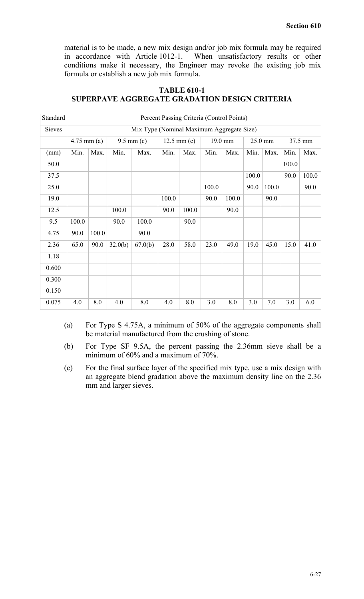material is to be made, a new mix design and/or job mix formula may be required in accordance with Article 1012-1. When unsatisfactory results or other conditions make it necessary, the Engineer may revoke the existing job mix formula or establish a new job mix formula.

| Standard      | Percent Passing Criteria (Control Points) |       |         |                |       |                       |       |         |         |       |         |       |
|---------------|-------------------------------------------|-------|---------|----------------|-------|-----------------------|-------|---------|---------|-------|---------|-------|
| <b>Sieves</b> | Mix Type (Nominal Maximum Aggregate Size) |       |         |                |       |                       |       |         |         |       |         |       |
|               | $4.75$ mm (a)                             |       |         | $9.5$ mm $(c)$ |       | $12.5 \text{ mm} (c)$ |       | 19.0 mm | 25.0 mm |       | 37.5 mm |       |
| (mm)          | Min.                                      | Max.  | Min.    | Max.           | Min.  | Max.                  | Min.  | Max.    | Min.    | Max.  | Min.    | Max.  |
| 50.0          |                                           |       |         |                |       |                       |       |         |         |       | 100.0   |       |
| 37.5          |                                           |       |         |                |       |                       |       |         | 100.0   |       | 90.0    | 100.0 |
| 25.0          |                                           |       |         |                |       |                       | 100.0 |         | 90.0    | 100.0 |         | 90.0  |
| 19.0          |                                           |       |         |                | 100.0 |                       | 90.0  | 100.0   |         | 90.0  |         |       |
| 12.5          |                                           |       | 100.0   |                | 90.0  | 100.0                 |       | 90.0    |         |       |         |       |
| 9.5           | 100.0                                     |       | 90.0    | 100.0          |       | 90.0                  |       |         |         |       |         |       |
| 4.75          | 90.0                                      | 100.0 |         | 90.0           |       |                       |       |         |         |       |         |       |
| 2.36          | 65.0                                      | 90.0  | 32.0(b) | 67.0(b)        | 28.0  | 58.0                  | 23.0  | 49.0    | 19.0    | 45.0  | 15.0    | 41.0  |
| 1.18          |                                           |       |         |                |       |                       |       |         |         |       |         |       |
| 0.600         |                                           |       |         |                |       |                       |       |         |         |       |         |       |
| 0.300         |                                           |       |         |                |       |                       |       |         |         |       |         |       |
| 0.150         |                                           |       |         |                |       |                       |       |         |         |       |         |       |
| 0.075         | 4.0                                       | 8.0   | 4.0     | 8.0            | 4.0   | 8.0                   | 3.0   | 8.0     | 3.0     | 7.0   | 3.0     | 6.0   |

## **TABLE 610-1 SUPERPAVE AGGREGATE GRADATION DESIGN CRITERIA**

- (a) For Type S 4.75A, a minimum of 50% of the aggregate components shall be material manufactured from the crushing of stone.
- (b) For Type SF 9.5A, the percent passing the 2.36mm sieve shall be a minimum of 60% and a maximum of 70%.
- (c) For the final surface layer of the specified mix type, use a mix design with an aggregate blend gradation above the maximum density line on the 2.36 mm and larger sieves.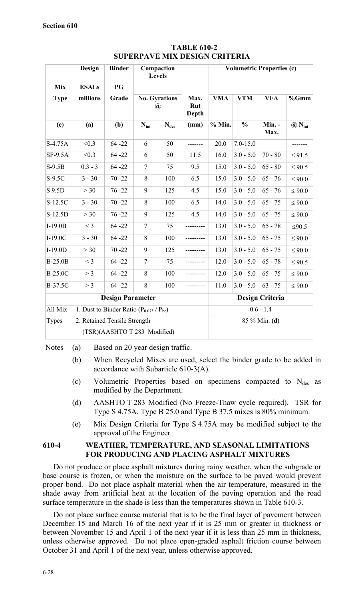|                           | Design                   | <b>Binder</b>                                  | Compaction<br><b>Levels</b> |                      |              | <b>Volumetric Properties (c)</b> |               |                        |                           |
|---------------------------|--------------------------|------------------------------------------------|-----------------------------|----------------------|--------------|----------------------------------|---------------|------------------------|---------------------------|
| <b>Mix</b><br><b>Type</b> | <b>ESALs</b><br>millions | PG<br>Grade                                    |                             | <b>No. Gyrations</b> | Max.         | <b>VMA</b>                       | <b>VTM</b>    | <b>VFA</b>             | %Gmm                      |
|                           |                          |                                                |                             | $\circledR$          | Rut<br>Depth |                                  |               |                        |                           |
| (e)                       | (a)                      | (b)                                            | $N_{\text{ini}}$            | $N_{des}$            | (mm)         | $%$ Min.                         | $\frac{0}{0}$ | Min. -<br>Max.         | $\omega$ N <sub>ini</sub> |
| $S-4.75A$                 | < 0.3                    | $64 - 22$                                      | 6                           | 50                   | -------      | 20.0                             | $7.0 - 15.0$  |                        | -------                   |
| <b>SF-9.5A</b>            | < 0.3                    | $64 - 22$                                      | 6                           | 50                   | 11.5         | 16.0                             | $3.0 - 5.0$   | $70 - 80$              | $\leq 91.5$               |
| $S-9.5B$                  | $0.3 - 3$                | $64 - 22$                                      | $\tau$                      | 75                   | 9.5          | 15.0                             | $3.0 - 5.0$   | $65 - 80$              | $\leq 90.5$               |
| $S-9.5C$                  | $3 - 30$                 | $70 - 22$                                      | 8                           | 100                  | 6.5          | 15.0                             | $3.0 - 5.0$   | $65 - 76$              | $\leq 90.0$               |
| S 9.5D                    | > 30                     | $76 - 22$                                      | 9                           | 125                  | 4.5          | 15.0                             | $3.0 - 5.0$   | $65 - 76$              | $\leq 90.0$               |
| S-12.5C                   | $3 - 30$                 | $70 - 22$                                      | 8                           | 100                  | 6.5          | 14.0                             | $3.0 - 5.0$   | $65 - 75$              | $\leq 90.0$               |
| S-12.5D                   | >30                      | $76 - 22$                                      | 9                           | 125                  | 4.5          | 14.0                             | $3.0 - 5.0$   | $65 - 75$              | $\leq 90.0$               |
| $I-19.0B$                 | $<$ 3                    | $64 - 22$                                      | 7                           | 75                   | ---------    | 13.0                             | $3.0 - 5.0$   | $65 - 78$              | $≤90.5$                   |
| $I-19.0C$                 | $3 - 30$                 | $64 - 22$                                      | 8                           | 100                  |              | 13.0                             | $3.0 - 5.0$   | $65 - 75$              | $\leq 90.0$               |
| $I-19.0D$                 | >30                      | $70 - 22$                                      | 9                           | 125                  | ----------   | 13.0                             | $3.0 - 5.0$   | $65 - 75$              | $\leq 90.0$               |
| <b>B-25.0B</b>            | $<$ 3                    | $64 - 22$                                      | $\overline{7}$              | 75                   |              | 12.0                             | $3.0 - 5.0$   | $65 - 78$              | $\leq 90.5$               |
| <b>B-25.0C</b>            | > 3                      | $64 - 22$                                      | 8                           | 100                  | ---------    | 12.0                             | $3.0 - 5.0$   | $65 - 75$              | $\leq 90.0$               |
| B-37.5C                   | $>$ 3                    | $64 - 22$                                      | 8                           | 100                  |              | 11.0                             | $3.0 - 5.0$   | $63 - 75$              | $\leq 90.0$               |
|                           |                          | <b>Design Parameter</b>                        |                             |                      |              |                                  |               | <b>Design Criteria</b> |                           |
| All Mix                   |                          | 1. Dust to Binder Ratio $(P_{0.075} / P_{be})$ |                             |                      |              |                                  |               | $0.6 - 1.4$            |                           |
| <b>Types</b>              |                          | 2. Retained Tensile Strength                   |                             |                      |              |                                  |               | 85 % Min. (d)          |                           |
|                           |                          | (TSR)(AASHTO T 283 Modified)                   |                             |                      |              |                                  |               |                        |                           |

**TABLE 610-2 SUPERPAVE MIX DESIGN CRITERIA**

Notes (a) Based on 20 year design traffic.

- (b) When Recycled Mixes are used, select the binder grade to be added in accordance with Subarticle 610-3(A).
- (c) Volumetric Properties based on specimens compacted to  $N_{des}$  as modified by the Department.
- (d) AASHTO T 283 Modified (No Freeze-Thaw cycle required). TSR for Type S 4.75A, Type B 25.0 and Type B 37.5 mixes is 80% minimum.
- (e) Mix Design Criteria for Type S 4.75A may be modified subject to the approval of the Engineer

## **610-4 WEATHER, TEMPERATURE, AND SEASONAL LIMITATIONS FOR PRODUCING AND PLACING ASPHALT MIXTURES**

Do not produce or place asphalt mixtures during rainy weather, when the subgrade or base course is frozen, or when the moisture on the surface to be paved would prevent proper bond. Do not place asphalt material when the air temperature, measured in the shade away from artificial heat at the location of the paving operation and the road surface temperature in the shade is less than the temperatures shown in Table 610-3.

Do not place surface course material that is to be the final layer of pavement between December 15 and March 16 of the next year if it is 25 mm or greater in thickness or between November 15 and April 1 of the next year if it is less than 25 mm in thickness, unless otherwise approved. Do not place open-graded asphalt friction course between October 31 and April 1 of the next year, unless otherwise approved.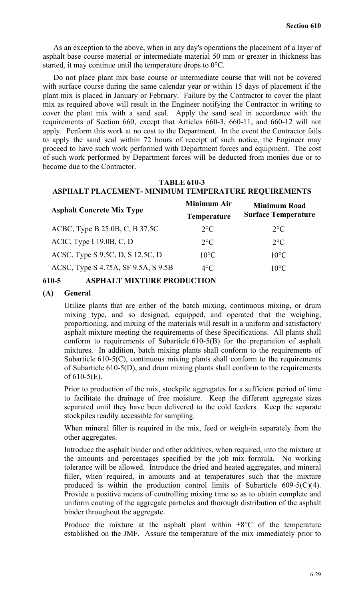As an exception to the above, when in any day's operations the placement of a layer of asphalt base course material or intermediate material 50 mm or greater in thickness has started, it may continue until the temperature drops to 0°C.

Do not place plant mix base course or intermediate course that will not be covered with surface course during the same calendar year or within 15 days of placement if the plant mix is placed in January or February. Failure by the Contractor to cover the plant mix as required above will result in the Engineer notifying the Contractor in writing to cover the plant mix with a sand seal. Apply the sand seal in accordance with the requirements of Section 660, except that Articles 660-3, 660-11, and 660-12 will not apply. Perform this work at no cost to the Department. In the event the Contractor fails to apply the sand seal within 72 hours of receipt of such notice, the Engineer may proceed to have such work performed with Department forces and equipment. The cost of such work performed by Department forces will be deducted from monies due or to become due to the Contractor.

## **TABLE 610-3**

## **ASPHALT PLACEMENT- MINIMUM TEMPERATURE REQUIREMENTS**

| <b>Minimum Air</b> | <b>Minimum Road</b><br><b>Surface Temperature</b> |  |  |
|--------------------|---------------------------------------------------|--|--|
| <b>Temperature</b> |                                                   |  |  |
| $2^{\circ}C$       | $2^{\circ}C$                                      |  |  |
| $2^{\circ}C$       | $2^{\circ}C$                                      |  |  |
| $10^{\circ}$ C     | $10^{\circ}$ C                                    |  |  |
| $4^{\circ}C$       | $10^{\circ}$ C                                    |  |  |
|                    |                                                   |  |  |

## **610-5 ASPHALT MIXTURE PRODUCTION**

## **(A) General**

Utilize plants that are either of the batch mixing, continuous mixing, or drum mixing type, and so designed, equipped, and operated that the weighing, proportioning, and mixing of the materials will result in a uniform and satisfactory asphalt mixture meeting the requirements of these Specifications. All plants shall conform to requirements of Subarticle 610-5(B) for the preparation of asphalt mixtures. In addition, batch mixing plants shall conform to the requirements of Subarticle 610-5(C), continuous mixing plants shall conform to the requirements of Subarticle 610-5(D), and drum mixing plants shall conform to the requirements of  $610-5(E)$ .

Prior to production of the mix, stockpile aggregates for a sufficient period of time to facilitate the drainage of free moisture. Keep the different aggregate sizes separated until they have been delivered to the cold feeders. Keep the separate stockpiles readily accessible for sampling.

When mineral filler is required in the mix, feed or weigh-in separately from the other aggregates.

Introduce the asphalt binder and other additives, when required, into the mixture at the amounts and percentages specified by the job mix formula. No working tolerance will be allowed. Introduce the dried and heated aggregates, and mineral filler, when required, in amounts and at temperatures such that the mixture produced is within the production control limits of Subarticle 609-5(C)(4). Provide a positive means of controlling mixing time so as to obtain complete and uniform coating of the aggregate particles and thorough distribution of the asphalt binder throughout the aggregate.

Produce the mixture at the asphalt plant within  $\pm 8^{\circ}$ C of the temperature established on the JMF. Assure the temperature of the mix immediately prior to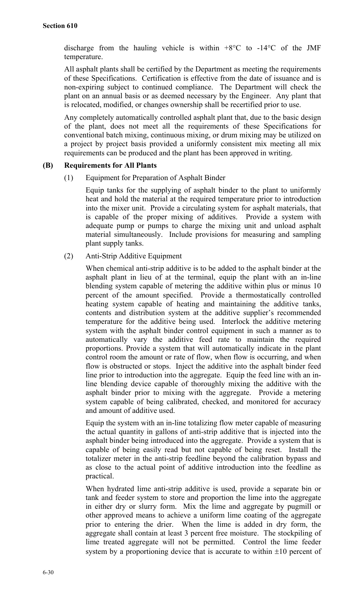discharge from the hauling vehicle is within  $+8\degree$ C to  $-14\degree$ C of the JMF temperature.

All asphalt plants shall be certified by the Department as meeting the requirements of these Specifications. Certification is effective from the date of issuance and is non-expiring subject to continued compliance. The Department will check the plant on an annual basis or as deemed necessary by the Engineer. Any plant that is relocated, modified, or changes ownership shall be recertified prior to use.

Any completely automatically controlled asphalt plant that, due to the basic design of the plant, does not meet all the requirements of these Specifications for conventional batch mixing, continuous mixing, or drum mixing may be utilized on a project by project basis provided a uniformly consistent mix meeting all mix requirements can be produced and the plant has been approved in writing.

## **(B) Requirements for All Plants**

(1) Equipment for Preparation of Asphalt Binder

Equip tanks for the supplying of asphalt binder to the plant to uniformly heat and hold the material at the required temperature prior to introduction into the mixer unit. Provide a circulating system for asphalt materials, that is capable of the proper mixing of additives. Provide a system with adequate pump or pumps to charge the mixing unit and unload asphalt material simultaneously. Include provisions for measuring and sampling plant supply tanks.

(2) Anti-Strip Additive Equipment

When chemical anti-strip additive is to be added to the asphalt binder at the asphalt plant in lieu of at the terminal, equip the plant with an in-line blending system capable of metering the additive within plus or minus 10 percent of the amount specified. Provide a thermostatically controlled heating system capable of heating and maintaining the additive tanks, contents and distribution system at the additive supplier's recommended temperature for the additive being used. Interlock the additive metering system with the asphalt binder control equipment in such a manner as to automatically vary the additive feed rate to maintain the required proportions. Provide a system that will automatically indicate in the plant control room the amount or rate of flow, when flow is occurring, and when flow is obstructed or stops. Inject the additive into the asphalt binder feed line prior to introduction into the aggregate. Equip the feed line with an inline blending device capable of thoroughly mixing the additive with the asphalt binder prior to mixing with the aggregate. Provide a metering system capable of being calibrated, checked, and monitored for accuracy and amount of additive used.

Equip the system with an in-line totalizing flow meter capable of measuring the actual quantity in gallons of anti-strip additive that is injected into the asphalt binder being introduced into the aggregate. Provide a system that is capable of being easily read but not capable of being reset. Install the totalizer meter in the anti-strip feedline beyond the calibration bypass and as close to the actual point of additive introduction into the feedline as practical.

When hydrated lime anti-strip additive is used, provide a separate bin or tank and feeder system to store and proportion the lime into the aggregate in either dry or slurry form. Mix the lime and aggregate by pugmill or other approved means to achieve a uniform lime coating of the aggregate prior to entering the drier. When the lime is added in dry form, the aggregate shall contain at least 3 percent free moisture. The stockpiling of lime treated aggregate will not be permitted. Control the lime feeder system by a proportioning device that is accurate to within  $\pm 10$  percent of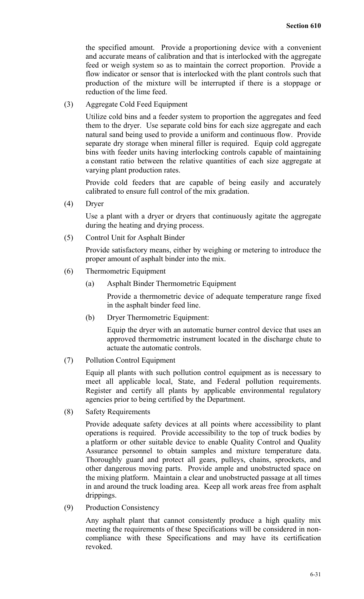the specified amount. Provide a proportioning device with a convenient and accurate means of calibration and that is interlocked with the aggregate feed or weigh system so as to maintain the correct proportion. Provide a flow indicator or sensor that is interlocked with the plant controls such that production of the mixture will be interrupted if there is a stoppage or reduction of the lime feed.

(3) Aggregate Cold Feed Equipment

Utilize cold bins and a feeder system to proportion the aggregates and feed them to the dryer. Use separate cold bins for each size aggregate and each natural sand being used to provide a uniform and continuous flow. Provide separate dry storage when mineral filler is required. Equip cold aggregate bins with feeder units having interlocking controls capable of maintaining a constant ratio between the relative quantities of each size aggregate at varying plant production rates.

Provide cold feeders that are capable of being easily and accurately calibrated to ensure full control of the mix gradation.

(4) Dryer

Use a plant with a dryer or dryers that continuously agitate the aggregate during the heating and drying process.

(5) Control Unit for Asphalt Binder

Provide satisfactory means, either by weighing or metering to introduce the proper amount of asphalt binder into the mix.

- (6) Thermometric Equipment
	- (a) Asphalt Binder Thermometric Equipment

Provide a thermometric device of adequate temperature range fixed in the asphalt binder feed line.

(b) Dryer Thermometric Equipment:

Equip the dryer with an automatic burner control device that uses an approved thermometric instrument located in the discharge chute to actuate the automatic controls.

(7) Pollution Control Equipment

Equip all plants with such pollution control equipment as is necessary to meet all applicable local, State, and Federal pollution requirements. Register and certify all plants by applicable environmental regulatory agencies prior to being certified by the Department.

(8) Safety Requirements

Provide adequate safety devices at all points where accessibility to plant operations is required. Provide accessibility to the top of truck bodies by a platform or other suitable device to enable Quality Control and Quality Assurance personnel to obtain samples and mixture temperature data. Thoroughly guard and protect all gears, pulleys, chains, sprockets, and other dangerous moving parts. Provide ample and unobstructed space on the mixing platform. Maintain a clear and unobstructed passage at all times in and around the truck loading area. Keep all work areas free from asphalt drippings.

(9) Production Consistency

Any asphalt plant that cannot consistently produce a high quality mix meeting the requirements of these Specifications will be considered in noncompliance with these Specifications and may have its certification revoked.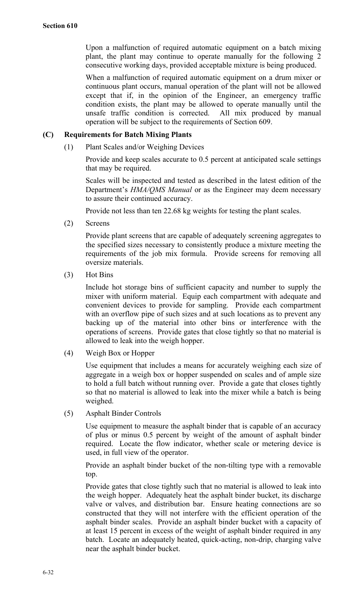Upon a malfunction of required automatic equipment on a batch mixing plant, the plant may continue to operate manually for the following 2 consecutive working days, provided acceptable mixture is being produced.

When a malfunction of required automatic equipment on a drum mixer or continuous plant occurs, manual operation of the plant will not be allowed except that if, in the opinion of the Engineer, an emergency traffic condition exists, the plant may be allowed to operate manually until the unsafe traffic condition is corrected. All mix produced by manual operation will be subject to the requirements of Section 609.

## **(C) Requirements for Batch Mixing Plants**

(1) Plant Scales and/or Weighing Devices

Provide and keep scales accurate to 0.5 percent at anticipated scale settings that may be required.

Scales will be inspected and tested as described in the latest edition of the Department's *HMA/QMS Manual* or as the Engineer may deem necessary to assure their continued accuracy.

Provide not less than ten 22.68 kg weights for testing the plant scales.

(2) Screens

Provide plant screens that are capable of adequately screening aggregates to the specified sizes necessary to consistently produce a mixture meeting the requirements of the job mix formula. Provide screens for removing all oversize materials.

(3) Hot Bins

Include hot storage bins of sufficient capacity and number to supply the mixer with uniform material. Equip each compartment with adequate and convenient devices to provide for sampling. Provide each compartment with an overflow pipe of such sizes and at such locations as to prevent any backing up of the material into other bins or interference with the operations of screens. Provide gates that close tightly so that no material is allowed to leak into the weigh hopper.

(4) Weigh Box or Hopper

Use equipment that includes a means for accurately weighing each size of aggregate in a weigh box or hopper suspended on scales and of ample size to hold a full batch without running over. Provide a gate that closes tightly so that no material is allowed to leak into the mixer while a batch is being weighed.

(5) Asphalt Binder Controls

Use equipment to measure the asphalt binder that is capable of an accuracy of plus or minus 0.5 percent by weight of the amount of asphalt binder required. Locate the flow indicator, whether scale or metering device is used, in full view of the operator.

Provide an asphalt binder bucket of the non-tilting type with a removable top.

Provide gates that close tightly such that no material is allowed to leak into the weigh hopper. Adequately heat the asphalt binder bucket, its discharge valve or valves, and distribution bar. Ensure heating connections are so constructed that they will not interfere with the efficient operation of the asphalt binder scales. Provide an asphalt binder bucket with a capacity of at least 15 percent in excess of the weight of asphalt binder required in any batch. Locate an adequately heated, quick-acting, non-drip, charging valve near the asphalt binder bucket.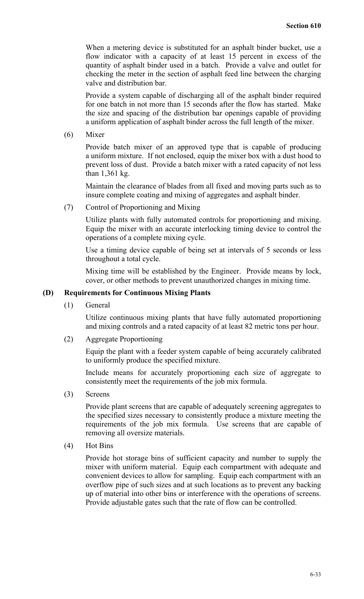When a metering device is substituted for an asphalt binder bucket, use a flow indicator with a capacity of at least 15 percent in excess of the quantity of asphalt binder used in a batch. Provide a valve and outlet for checking the meter in the section of asphalt feed line between the charging valve and distribution bar.

Provide a system capable of discharging all of the asphalt binder required for one batch in not more than 15 seconds after the flow has started. Make the size and spacing of the distribution bar openings capable of providing a uniform application of asphalt binder across the full length of the mixer.

(6) Mixer

Provide batch mixer of an approved type that is capable of producing a uniform mixture. If not enclosed, equip the mixer box with a dust hood to prevent loss of dust. Provide a batch mixer with a rated capacity of not less than 1,361 kg.

Maintain the clearance of blades from all fixed and moving parts such as to insure complete coating and mixing of aggregates and asphalt binder.

(7) Control of Proportioning and Mixing

Utilize plants with fully automated controls for proportioning and mixing. Equip the mixer with an accurate interlocking timing device to control the operations of a complete mixing cycle.

Use a timing device capable of being set at intervals of 5 seconds or less throughout a total cycle.

Mixing time will be established by the Engineer. Provide means by lock, cover, or other methods to prevent unauthorized changes in mixing time.

#### **(D) Requirements for Continuous Mixing Plants**

(1) General

Utilize continuous mixing plants that have fully automated proportioning and mixing controls and a rated capacity of at least 82 metric tons per hour.

(2) Aggregate Proportioning

Equip the plant with a feeder system capable of being accurately calibrated to uniformly produce the specified mixture.

Include means for accurately proportioning each size of aggregate to consistently meet the requirements of the job mix formula.

(3) Screens

Provide plant screens that are capable of adequately screening aggregates to the specified sizes necessary to consistently produce a mixture meeting the requirements of the job mix formula. Use screens that are capable of removing all oversize materials.

(4) Hot Bins

Provide hot storage bins of sufficient capacity and number to supply the mixer with uniform material. Equip each compartment with adequate and convenient devices to allow for sampling. Equip each compartment with an overflow pipe of such sizes and at such locations as to prevent any backing up of material into other bins or interference with the operations of screens. Provide adjustable gates such that the rate of flow can be controlled.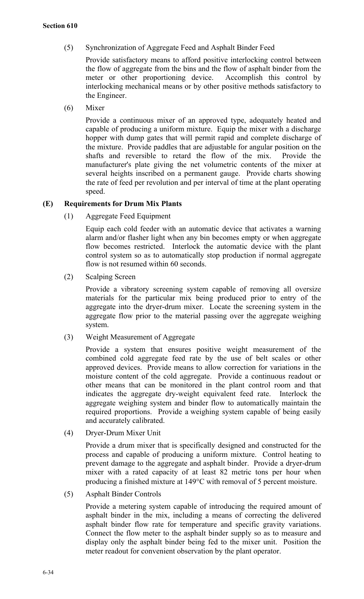(5) Synchronization of Aggregate Feed and Asphalt Binder Feed

Provide satisfactory means to afford positive interlocking control between the flow of aggregate from the bins and the flow of asphalt binder from the meter or other proportioning device. Accomplish this control by interlocking mechanical means or by other positive methods satisfactory to the Engineer.

(6) Mixer

Provide a continuous mixer of an approved type, adequately heated and capable of producing a uniform mixture. Equip the mixer with a discharge hopper with dump gates that will permit rapid and complete discharge of the mixture. Provide paddles that are adjustable for angular position on the shafts and reversible to retard the flow of the mix. Provide the manufacturer's plate giving the net volumetric contents of the mixer at several heights inscribed on a permanent gauge. Provide charts showing the rate of feed per revolution and per interval of time at the plant operating speed.

## **(E) Requirements for Drum Mix Plants**

(1) Aggregate Feed Equipment

Equip each cold feeder with an automatic device that activates a warning alarm and/or flasher light when any bin becomes empty or when aggregate flow becomes restricted. Interlock the automatic device with the plant control system so as to automatically stop production if normal aggregate flow is not resumed within 60 seconds.

(2) Scalping Screen

Provide a vibratory screening system capable of removing all oversize materials for the particular mix being produced prior to entry of the aggregate into the dryer-drum mixer. Locate the screening system in the aggregate flow prior to the material passing over the aggregate weighing system.

(3) Weight Measurement of Aggregate

Provide a system that ensures positive weight measurement of the combined cold aggregate feed rate by the use of belt scales or other approved devices. Provide means to allow correction for variations in the moisture content of the cold aggregate. Provide a continuous readout or other means that can be monitored in the plant control room and that indicates the aggregate dry-weight equivalent feed rate. Interlock the aggregate weighing system and binder flow to automatically maintain the required proportions. Provide a weighing system capable of being easily and accurately calibrated.

(4) Dryer-Drum Mixer Unit

Provide a drum mixer that is specifically designed and constructed for the process and capable of producing a uniform mixture. Control heating to prevent damage to the aggregate and asphalt binder. Provide a dryer-drum mixer with a rated capacity of at least 82 metric tons per hour when producing a finished mixture at 149°C with removal of 5 percent moisture.

(5) Asphalt Binder Controls

Provide a metering system capable of introducing the required amount of asphalt binder in the mix, including a means of correcting the delivered asphalt binder flow rate for temperature and specific gravity variations. Connect the flow meter to the asphalt binder supply so as to measure and display only the asphalt binder being fed to the mixer unit. Position the meter readout for convenient observation by the plant operator.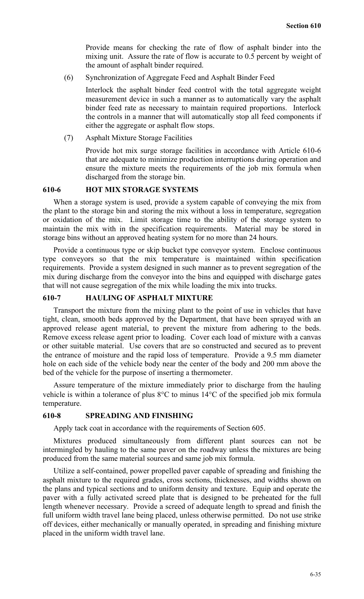Provide means for checking the rate of flow of asphalt binder into the mixing unit. Assure the rate of flow is accurate to 0.5 percent by weight of the amount of asphalt binder required.

(6) Synchronization of Aggregate Feed and Asphalt Binder Feed

Interlock the asphalt binder feed control with the total aggregate weight measurement device in such a manner as to automatically vary the asphalt binder feed rate as necessary to maintain required proportions. Interlock the controls in a manner that will automatically stop all feed components if either the aggregate or asphalt flow stops.

(7) Asphalt Mixture Storage Facilities

Provide hot mix surge storage facilities in accordance with Article 610-6 that are adequate to minimize production interruptions during operation and ensure the mixture meets the requirements of the job mix formula when discharged from the storage bin.

## **610-6 HOT MIX STORAGE SYSTEMS**

When a storage system is used, provide a system capable of conveying the mix from the plant to the storage bin and storing the mix without a loss in temperature, segregation or oxidation of the mix. Limit storage time to the ability of the storage system to maintain the mix with in the specification requirements. Material may be stored in storage bins without an approved heating system for no more than 24 hours.

Provide a continuous type or skip bucket type conveyor system. Enclose continuous type conveyors so that the mix temperature is maintained within specification requirements. Provide a system designed in such manner as to prevent segregation of the mix during discharge from the conveyor into the bins and equipped with discharge gates that will not cause segregation of the mix while loading the mix into trucks.

## **610-7 HAULING OF ASPHALT MIXTURE**

Transport the mixture from the mixing plant to the point of use in vehicles that have tight, clean, smooth beds approved by the Department, that have been sprayed with an approved release agent material, to prevent the mixture from adhering to the beds. Remove excess release agent prior to loading. Cover each load of mixture with a canvas or other suitable material. Use covers that are so constructed and secured as to prevent the entrance of moisture and the rapid loss of temperature. Provide a 9.5 mm diameter hole on each side of the vehicle body near the center of the body and 200 mm above the bed of the vehicle for the purpose of inserting a thermometer.

Assure temperature of the mixture immediately prior to discharge from the hauling vehicle is within a tolerance of plus 8°C to minus 14°C of the specified job mix formula temperature.

## **610-8 SPREADING AND FINISHING**

Apply tack coat in accordance with the requirements of Section 605.

Mixtures produced simultaneously from different plant sources can not be intermingled by hauling to the same paver on the roadway unless the mixtures are being produced from the same material sources and same job mix formula.

Utilize a self-contained, power propelled paver capable of spreading and finishing the asphalt mixture to the required grades, cross sections, thicknesses, and widths shown on the plans and typical sections and to uniform density and texture. Equip and operate the paver with a fully activated screed plate that is designed to be preheated for the full length whenever necessary. Provide a screed of adequate length to spread and finish the full uniform width travel lane being placed, unless otherwise permitted. Do not use strike off devices, either mechanically or manually operated, in spreading and finishing mixture placed in the uniform width travel lane.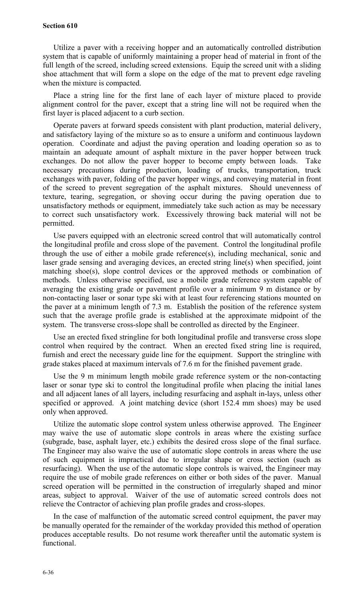#### **Section 610**

Utilize a paver with a receiving hopper and an automatically controlled distribution system that is capable of uniformly maintaining a proper head of material in front of the full length of the screed, including screed extensions. Equip the screed unit with a sliding shoe attachment that will form a slope on the edge of the mat to prevent edge raveling when the mixture is compacted.

Place a string line for the first lane of each layer of mixture placed to provide alignment control for the paver, except that a string line will not be required when the first layer is placed adjacent to a curb section.

Operate pavers at forward speeds consistent with plant production, material delivery, and satisfactory laying of the mixture so as to ensure a uniform and continuous laydown operation. Coordinate and adjust the paving operation and loading operation so as to maintain an adequate amount of asphalt mixture in the paver hopper between truck exchanges. Do not allow the paver hopper to become empty between loads. Take necessary precautions during production, loading of trucks, transportation, truck exchanges with paver, folding of the paver hopper wings, and conveying material in front of the screed to prevent segregation of the asphalt mixtures. Should unevenness of texture, tearing, segregation, or shoving occur during the paving operation due to unsatisfactory methods or equipment, immediately take such action as may be necessary to correct such unsatisfactory work. Excessively throwing back material will not be permitted.

Use pavers equipped with an electronic screed control that will automatically control the longitudinal profile and cross slope of the pavement. Control the longitudinal profile through the use of either a mobile grade reference(s), including mechanical, sonic and laser grade sensing and averaging devices, an erected string line(s) when specified, joint matching shoe(s), slope control devices or the approved methods or combination of methods. Unless otherwise specified, use a mobile grade reference system capable of averaging the existing grade or pavement profile over a minimum 9 m distance or by non-contacting laser or sonar type ski with at least four referencing stations mounted on the paver at a minimum length of 7.3 m. Establish the position of the reference system such that the average profile grade is established at the approximate midpoint of the system. The transverse cross-slope shall be controlled as directed by the Engineer.

Use an erected fixed stringline for both longitudinal profile and transverse cross slope control when required by the contract. When an erected fixed string line is required, furnish and erect the necessary guide line for the equipment. Support the stringline with grade stakes placed at maximum intervals of 7.6 m for the finished pavement grade.

Use the 9 m minimum length mobile grade reference system or the non-contacting laser or sonar type ski to control the longitudinal profile when placing the initial lanes and all adjacent lanes of all layers, including resurfacing and asphalt in-lays, unless other specified or approved. A joint matching device (short 152.4 mm shoes) may be used only when approved.

Utilize the automatic slope control system unless otherwise approved. The Engineer may waive the use of automatic slope controls in areas where the existing surface (subgrade, base, asphalt layer, etc.) exhibits the desired cross slope of the final surface. The Engineer may also waive the use of automatic slope controls in areas where the use of such equipment is impractical due to irregular shape or cross section (such as resurfacing). When the use of the automatic slope controls is waived, the Engineer may require the use of mobile grade references on either or both sides of the paver. Manual screed operation will be permitted in the construction of irregularly shaped and minor areas, subject to approval. Waiver of the use of automatic screed controls does not relieve the Contractor of achieving plan profile grades and cross-slopes.

In the case of malfunction of the automatic screed control equipment, the paver may be manually operated for the remainder of the workday provided this method of operation produces acceptable results. Do not resume work thereafter until the automatic system is functional.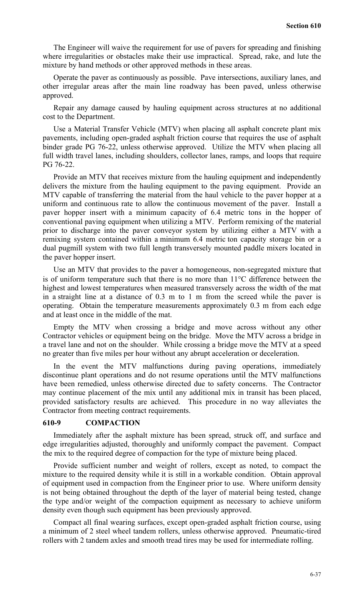The Engineer will waive the requirement for use of pavers for spreading and finishing where irregularities or obstacles make their use impractical. Spread, rake, and lute the mixture by hand methods or other approved methods in these areas.

Operate the paver as continuously as possible. Pave intersections, auxiliary lanes, and other irregular areas after the main line roadway has been paved, unless otherwise approved.

Repair any damage caused by hauling equipment across structures at no additional cost to the Department.

Use a Material Transfer Vehicle (MTV) when placing all asphalt concrete plant mix pavements, including open-graded asphalt friction course that requires the use of asphalt binder grade PG 76-22, unless otherwise approved. Utilize the MTV when placing all full width travel lanes, including shoulders, collector lanes, ramps, and loops that require PG 76-22.

Provide an MTV that receives mixture from the hauling equipment and independently delivers the mixture from the hauling equipment to the paving equipment. Provide an MTV capable of transferring the material from the haul vehicle to the paver hopper at a uniform and continuous rate to allow the continuous movement of the paver. Install a paver hopper insert with a minimum capacity of 6.4 metric tons in the hopper of conventional paving equipment when utilizing a MTV. Perform remixing of the material prior to discharge into the paver conveyor system by utilizing either a MTV with a remixing system contained within a minimum 6.4 metric ton capacity storage bin or a dual pugmill system with two full length transversely mounted paddle mixers located in the paver hopper insert.

Use an MTV that provides to the paver a homogeneous, non-segregated mixture that is of uniform temperature such that there is no more than 11°C difference between the highest and lowest temperatures when measured transversely across the width of the mat in a straight line at a distance of 0.3 m to 1 m from the screed while the paver is operating. Obtain the temperature measurements approximately 0.3 m from each edge and at least once in the middle of the mat.

Empty the MTV when crossing a bridge and move across without any other Contractor vehicles or equipment being on the bridge. Move the MTV across a bridge in a travel lane and not on the shoulder. While crossing a bridge move the MTV at a speed no greater than five miles per hour without any abrupt acceleration or deceleration.

In the event the MTV malfunctions during paving operations, immediately discontinue plant operations and do not resume operations until the MTV malfunctions have been remedied, unless otherwise directed due to safety concerns. The Contractor may continue placement of the mix until any additional mix in transit has been placed, provided satisfactory results are achieved. This procedure in no way alleviates the Contractor from meeting contract requirements.

#### **610-9 COMPACTION**

Immediately after the asphalt mixture has been spread, struck off, and surface and edge irregularities adjusted, thoroughly and uniformly compact the pavement. Compact the mix to the required degree of compaction for the type of mixture being placed.

Provide sufficient number and weight of rollers, except as noted, to compact the mixture to the required density while it is still in a workable condition. Obtain approval of equipment used in compaction from the Engineer prior to use. Where uniform density is not being obtained throughout the depth of the layer of material being tested, change the type and/or weight of the compaction equipment as necessary to achieve uniform density even though such equipment has been previously approved.

Compact all final wearing surfaces, except open-graded asphalt friction course, using a minimum of 2 steel wheel tandem rollers, unless otherwise approved. Pneumatic-tired rollers with 2 tandem axles and smooth tread tires may be used for intermediate rolling.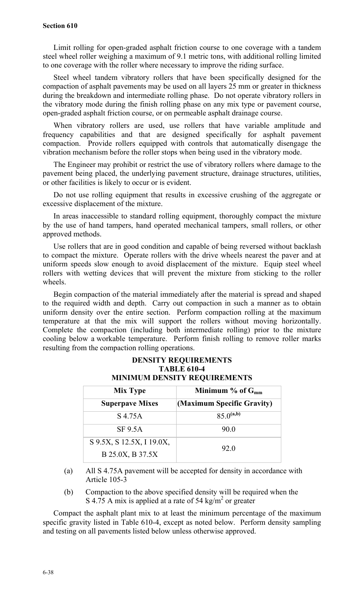#### **Section 610**

Limit rolling for open-graded asphalt friction course to one coverage with a tandem steel wheel roller weighing a maximum of 9.1 metric tons, with additional rolling limited to one coverage with the roller where necessary to improve the riding surface.

Steel wheel tandem vibratory rollers that have been specifically designed for the compaction of asphalt pavements may be used on all layers 25 mm or greater in thickness during the breakdown and intermediate rolling phase. Do not operate vibratory rollers in the vibratory mode during the finish rolling phase on any mix type or pavement course, open-graded asphalt friction course, or on permeable asphalt drainage course.

When vibratory rollers are used, use rollers that have variable amplitude and frequency capabilities and that are designed specifically for asphalt pavement compaction. Provide rollers equipped with controls that automatically disengage the vibration mechanism before the roller stops when being used in the vibratory mode.

The Engineer may prohibit or restrict the use of vibratory rollers where damage to the pavement being placed, the underlying pavement structure, drainage structures, utilities, or other facilities is likely to occur or is evident.

Do not use rolling equipment that results in excessive crushing of the aggregate or excessive displacement of the mixture.

In areas inaccessible to standard rolling equipment, thoroughly compact the mixture by the use of hand tampers, hand operated mechanical tampers, small rollers, or other approved methods.

Use rollers that are in good condition and capable of being reversed without backlash to compact the mixture. Operate rollers with the drive wheels nearest the paver and at uniform speeds slow enough to avoid displacement of the mixture. Equip steel wheel rollers with wetting devices that will prevent the mixture from sticking to the roller wheels.

Begin compaction of the material immediately after the material is spread and shaped to the required width and depth. Carry out compaction in such a manner as to obtain uniform density over the entire section. Perform compaction rolling at the maximum temperature at that the mix will support the rollers without moving horizontally. Complete the compaction (including both intermediate rolling) prior to the mixture cooling below a workable temperature. Perform finish rolling to remove roller marks resulting from the compaction rolling operations.

| .<br><b>MINIMUM DENSITY REQUIREMENTS</b> |  |  |
|------------------------------------------|--|--|
| Minimum $%$ of $G_{mm}$                  |  |  |
| (Maximum Specific Gravity)               |  |  |
| $85.0^{(a,b)}$                           |  |  |
| 90.0                                     |  |  |
|                                          |  |  |
| 92.0                                     |  |  |
|                                          |  |  |

# **DENSITY REQUIREMENTS TABLE 610-4**

(a) All S 4.75A pavement will be accepted for density in accordance with Article 105-3

(b) Compaction to the above specified density will be required when the S 4.75 A mix is applied at a rate of 54 kg/m<sup>2</sup> or greater

Compact the asphalt plant mix to at least the minimum percentage of the maximum specific gravity listed in Table 610-4, except as noted below. Perform density sampling and testing on all pavements listed below unless otherwise approved.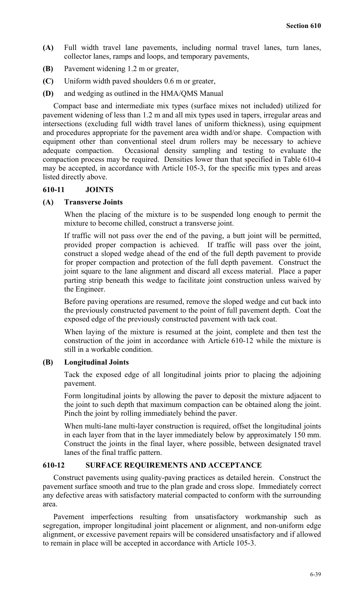- **(A)** Full width travel lane pavements, including normal travel lanes, turn lanes, collector lanes, ramps and loops, and temporary pavements,
- **(B)** Pavement widening 1.2 m or greater,
- **(C)** Uniform width paved shoulders 0.6 m or greater,
- **(D)** and wedging as outlined in the HMA/QMS Manual

Compact base and intermediate mix types (surface mixes not included) utilized for pavement widening of less than 1.2 m and all mix types used in tapers, irregular areas and intersections (excluding full width travel lanes of uniform thickness), using equipment and procedures appropriate for the pavement area width and/or shape. Compaction with equipment other than conventional steel drum rollers may be necessary to achieve adequate compaction. Occasional density sampling and testing to evaluate the compaction process may be required. Densities lower than that specified in Table 610-4 may be accepted, in accordance with Article 105-3, for the specific mix types and areas listed directly above.

#### **610-11 JOINTS**

#### **(A) Transverse Joints**

When the placing of the mixture is to be suspended long enough to permit the mixture to become chilled, construct a transverse joint.

If traffic will not pass over the end of the paving, a butt joint will be permitted, provided proper compaction is achieved. If traffic will pass over the joint, construct a sloped wedge ahead of the end of the full depth pavement to provide for proper compaction and protection of the full depth pavement. Construct the joint square to the lane alignment and discard all excess material. Place a paper parting strip beneath this wedge to facilitate joint construction unless waived by the Engineer.

Before paving operations are resumed, remove the sloped wedge and cut back into the previously constructed pavement to the point of full pavement depth. Coat the exposed edge of the previously constructed pavement with tack coat.

When laying of the mixture is resumed at the joint, complete and then test the construction of the joint in accordance with Article 610-12 while the mixture is still in a workable condition.

#### **(B) Longitudinal Joints**

Tack the exposed edge of all longitudinal joints prior to placing the adjoining pavement.

Form longitudinal joints by allowing the paver to deposit the mixture adjacent to the joint to such depth that maximum compaction can be obtained along the joint. Pinch the joint by rolling immediately behind the paver.

When multi-lane multi-layer construction is required, offset the longitudinal joints in each layer from that in the layer immediately below by approximately 150 mm. Construct the joints in the final layer, where possible, between designated travel lanes of the final traffic pattern.

#### **610-12 SURFACE REQUIREMENTS AND ACCEPTANCE**

Construct pavements using quality-paving practices as detailed herein. Construct the pavement surface smooth and true to the plan grade and cross slope. Immediately correct any defective areas with satisfactory material compacted to conform with the surrounding area.

Pavement imperfections resulting from unsatisfactory workmanship such as segregation, improper longitudinal joint placement or alignment, and non-uniform edge alignment, or excessive pavement repairs will be considered unsatisfactory and if allowed to remain in place will be accepted in accordance with Article 105-3.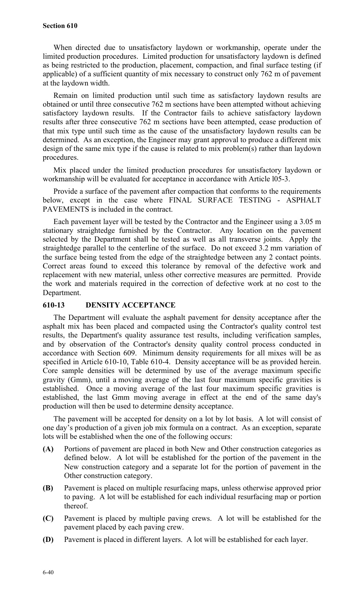#### **Section 610**

When directed due to unsatisfactory laydown or workmanship, operate under the limited production procedures. Limited production for unsatisfactory laydown is defined as being restricted to the production, placement, compaction, and final surface testing (if applicable) of a sufficient quantity of mix necessary to construct only 762 m of pavement at the laydown width.

Remain on limited production until such time as satisfactory laydown results are obtained or until three consecutive 762 m sections have been attempted without achieving satisfactory laydown results. If the Contractor fails to achieve satisfactory laydown results after three consecutive 762 m sections have been attempted, cease production of that mix type until such time as the cause of the unsatisfactory laydown results can be determined. As an exception, the Engineer may grant approval to produce a different mix design of the same mix type if the cause is related to mix problem(s) rather than laydown procedures.

Mix placed under the limited production procedures for unsatisfactory laydown or workmanship will be evaluated for acceptance in accordance with Article l05-3.

Provide a surface of the pavement after compaction that conforms to the requirements below, except in the case where FINAL SURFACE TESTING - ASPHALT PAVEMENTS is included in the contract.

Each pavement layer will be tested by the Contractor and the Engineer using a 3.05 m stationary straightedge furnished by the Contractor. Any location on the pavement selected by the Department shall be tested as well as all transverse joints. Apply the straightedge parallel to the centerline of the surface. Do not exceed 3.2 mm variation of the surface being tested from the edge of the straightedge between any 2 contact points. Correct areas found to exceed this tolerance by removal of the defective work and replacement with new material, unless other corrective measures are permitted. Provide the work and materials required in the correction of defective work at no cost to the Department.

#### **610-13 DENSITY ACCEPTANCE**

The Department will evaluate the asphalt pavement for density acceptance after the asphalt mix has been placed and compacted using the Contractor's quality control test results, the Department's quality assurance test results, including verification samples, and by observation of the Contractor's density quality control process conducted in accordance with Section 609. Minimum density requirements for all mixes will be as specified in Article 610-10, Table 610-4. Density acceptance will be as provided herein. Core sample densities will be determined by use of the average maximum specific gravity (Gmm), until a moving average of the last four maximum specific gravities is established. Once a moving average of the last four maximum specific gravities is established, the last Gmm moving average in effect at the end of the same day's production will then be used to determine density acceptance.

The pavement will be accepted for density on a lot by lot basis. A lot will consist of one day's production of a given job mix formula on a contract. As an exception, separate lots will be established when the one of the following occurs:

- **(A)** Portions of pavement are placed in both New and Other construction categories as defined below. A lot will be established for the portion of the pavement in the New construction category and a separate lot for the portion of pavement in the Other construction category.
- **(B)** Pavement is placed on multiple resurfacing maps, unless otherwise approved prior to paving. A lot will be established for each individual resurfacing map or portion thereof.
- **(C)** Pavement is placed by multiple paving crews. A lot will be established for the pavement placed by each paving crew.
- **(D)** Pavement is placed in different layers. A lot will be established for each layer.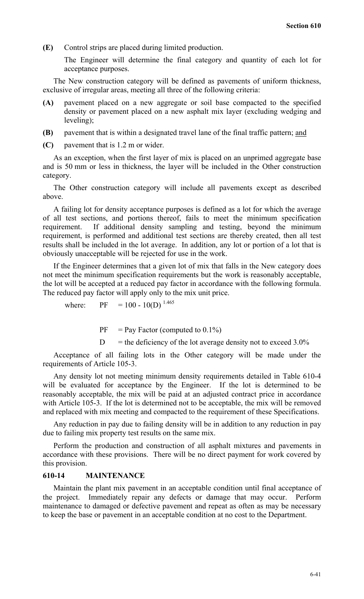**(E)** Control strips are placed during limited production.

The Engineer will determine the final category and quantity of each lot for acceptance purposes.

The New construction category will be defined as pavements of uniform thickness, exclusive of irregular areas, meeting all three of the following criteria:

- **(A)** pavement placed on a new aggregate or soil base compacted to the specified density or pavement placed on a new asphalt mix layer (excluding wedging and leveling);
- **(B)** pavement that is within a designated travel lane of the final traffic pattern; and
- **(C)** pavement that is 1.2 m or wider.

As an exception, when the first layer of mix is placed on an unprimed aggregate base and is 50 mm or less in thickness, the layer will be included in the Other construction category.

The Other construction category will include all pavements except as described above.

A failing lot for density acceptance purposes is defined as a lot for which the average of all test sections, and portions thereof, fails to meet the minimum specification requirement. If additional density sampling and testing, beyond the minimum requirement, is performed and additional test sections are thereby created, then all test results shall be included in the lot average. In addition, any lot or portion of a lot that is obviously unacceptable will be rejected for use in the work.

If the Engineer determines that a given lot of mix that falls in the New category does not meet the minimum specification requirements but the work is reasonably acceptable, the lot will be accepted at a reduced pay factor in accordance with the following formula. The reduced pay factor will apply only to the mix unit price.

where: PF =  $100 - 10(D)^{1.465}$ 

 $PF = Pay Factor (computed to 0.1%)$ 

 $D =$  the deficiency of the lot average density not to exceed 3.0%

Acceptance of all failing lots in the Other category will be made under the requirements of Article 105-3.

Any density lot not meeting minimum density requirements detailed in Table 610-4 will be evaluated for acceptance by the Engineer. If the lot is determined to be reasonably acceptable, the mix will be paid at an adjusted contract price in accordance with Article 105-3. If the lot is determined not to be acceptable, the mix will be removed and replaced with mix meeting and compacted to the requirement of these Specifications.

Any reduction in pay due to failing density will be in addition to any reduction in pay due to failing mix property test results on the same mix.

Perform the production and construction of all asphalt mixtures and pavements in accordance with these provisions. There will be no direct payment for work covered by this provision.

#### **610-14 MAINTENANCE**

Maintain the plant mix pavement in an acceptable condition until final acceptance of the project. Immediately repair any defects or damage that may occur. Perform maintenance to damaged or defective pavement and repeat as often as may be necessary to keep the base or pavement in an acceptable condition at no cost to the Department.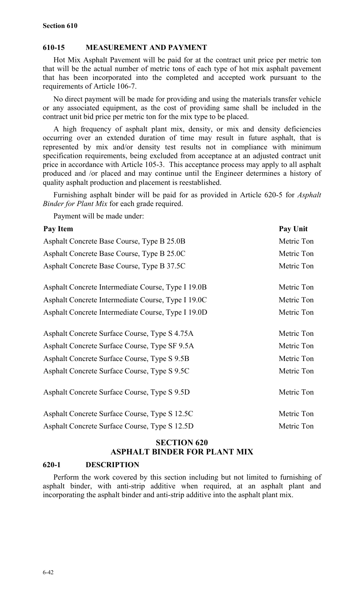#### **610-15 MEASUREMENT AND PAYMENT**

Hot Mix Asphalt Pavement will be paid for at the contract unit price per metric ton that will be the actual number of metric tons of each type of hot mix asphalt pavement that has been incorporated into the completed and accepted work pursuant to the requirements of Article 106-7.

No direct payment will be made for providing and using the materials transfer vehicle or any associated equipment, as the cost of providing same shall be included in the contract unit bid price per metric ton for the mix type to be placed.

A high frequency of asphalt plant mix, density, or mix and density deficiencies occurring over an extended duration of time may result in future asphalt, that is represented by mix and/or density test results not in compliance with minimum specification requirements, being excluded from acceptance at an adjusted contract unit price in accordance with Article 105-3. This acceptance process may apply to all asphalt produced and /or placed and may continue until the Engineer determines a history of quality asphalt production and placement is reestablished.

Furnishing asphalt binder will be paid for as provided in Article 620-5 for *Asphalt Binder for Plant Mix* for each grade required.

Payment will be made under:

| Pay Unit   |
|------------|
| Metric Ton |
| Metric Ton |
| Metric Ton |
| Metric Ton |
| Metric Ton |
| Metric Ton |
| Metric Ton |
| Metric Ton |
| Metric Ton |
| Metric Ton |
| Metric Ton |
| Metric Ton |
| Metric Ton |
|            |

# **SECTION 620 ASPHALT BINDER FOR PLANT MIX**

#### **620-1 DESCRIPTION**

Perform the work covered by this section including but not limited to furnishing of asphalt binder, with anti-strip additive when required, at an asphalt plant and incorporating the asphalt binder and anti-strip additive into the asphalt plant mix.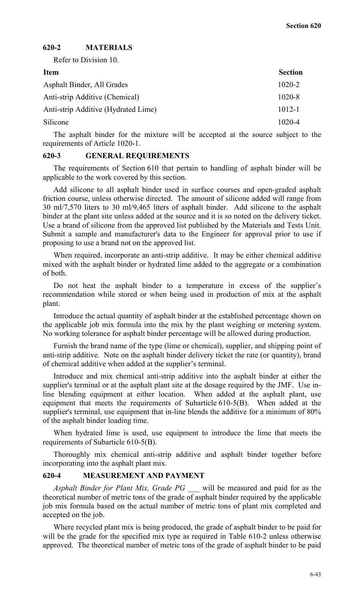#### **620-2 MATERIALS**

Refer to Division 10.

| <b>Item</b>                         | <b>Section</b> |
|-------------------------------------|----------------|
| Asphalt Binder, All Grades          | $1020 - 2$     |
| Anti-strip Additive (Chemical)      | $1020 - 8$     |
| Anti-strip Additive (Hydrated Lime) | $1012 - 1$     |
| Silicone                            | $1020 - 4$     |
|                                     |                |

The asphalt binder for the mixture will be accepted at the source subject to the requirements of Article 1020-1.

#### **620-3 GENERAL REQUIREMENTS**

The requirements of Section 610 that pertain to handling of asphalt binder will be applicable to the work covered by this section.

Add silicone to all asphalt binder used in surface courses and open-graded asphalt friction course, unless otherwise directed. The amount of silicone added will range from 30 ml/7,570 liters to 30 ml/9,465 liters of asphalt binder. Add silicone to the asphalt binder at the plant site unless added at the source and it is so noted on the delivery ticket. Use a brand of silicone from the approved list published by the Materials and Tests Unit. Submit a sample and manufacturer's data to the Engineer for approval prior to use if proposing to use a brand not on the approved list.

When required, incorporate an anti-strip additive. It may be either chemical additive mixed with the asphalt binder or hydrated lime added to the aggregate or a combination of both.

Do not heat the asphalt binder to a temperature in excess of the supplier's recommendation while stored or when being used in production of mix at the asphalt plant.

Introduce the actual quantity of asphalt binder at the established percentage shown on the applicable job mix formula into the mix by the plant weighing or metering system. No working tolerance for asphalt binder percentage will be allowed during production.

Furnish the brand name of the type (lime or chemical), supplier, and shipping point of anti-strip additive. Note on the asphalt binder delivery ticket the rate (or quantity), brand of chemical additive when added at the supplier's terminal.

Introduce and mix chemical anti-strip additive into the asphalt binder at either the supplier's terminal or at the asphalt plant site at the dosage required by the JMF. Use inline blending equipment at either location. When added at the asphalt plant, use equipment that meets the requirements of Subarticle 610-5(B). When added at the supplier's terminal, use equipment that in-line blends the additive for a minimum of 80% of the asphalt binder loading time.

When hydrated lime is used, use equipment to introduce the lime that meets the requirements of Subarticle 610-5(B).

Thoroughly mix chemical anti-strip additive and asphalt binder together before incorporating into the asphalt plant mix.

#### **620-4 MEASUREMENT AND PAYMENT**

*Asphalt Binder for Plant Mix, Grade PG \_\_\_* will be measured and paid for as the theoretical number of metric tons of the grade of asphalt binder required by the applicable job mix formula based on the actual number of metric tons of plant mix completed and accepted on the job.

Where recycled plant mix is being produced, the grade of asphalt binder to be paid for will be the grade for the specified mix type as required in Table 610-2 unless otherwise approved. The theoretical number of metric tons of the grade of asphalt binder to be paid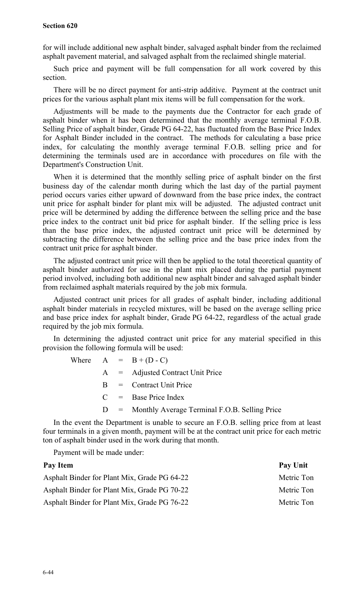#### **Section 620**

for will include additional new asphalt binder, salvaged asphalt binder from the reclaimed asphalt pavement material, and salvaged asphalt from the reclaimed shingle material.

Such price and payment will be full compensation for all work covered by this section.

There will be no direct payment for anti-strip additive. Payment at the contract unit prices for the various asphalt plant mix items will be full compensation for the work.

Adjustments will be made to the payments due the Contractor for each grade of asphalt binder when it has been determined that the monthly average terminal F.O.B. Selling Price of asphalt binder, Grade PG 64-22, has fluctuated from the Base Price Index for Asphalt Binder included in the contract. The methods for calculating a base price index, for calculating the monthly average terminal F.O.B. selling price and for determining the terminals used are in accordance with procedures on file with the Department's Construction Unit.

When it is determined that the monthly selling price of asphalt binder on the first business day of the calendar month during which the last day of the partial payment period occurs varies either upward of downward from the base price index, the contract unit price for asphalt binder for plant mix will be adjusted. The adjusted contract unit price will be determined by adding the difference between the selling price and the base price index to the contract unit bid price for asphalt binder. If the selling price is less than the base price index, the adjusted contract unit price will be determined by subtracting the difference between the selling price and the base price index from the contract unit price for asphalt binder.

The adjusted contract unit price will then be applied to the total theoretical quantity of asphalt binder authorized for use in the plant mix placed during the partial payment period involved, including both additional new asphalt binder and salvaged asphalt binder from reclaimed asphalt materials required by the job mix formula.

Adjusted contract unit prices for all grades of asphalt binder, including additional asphalt binder materials in recycled mixtures, will be based on the average selling price and base price index for asphalt binder, Grade PG 64-22, regardless of the actual grade required by the job mix formula.

In determining the adjusted contract unit price for any material specified in this provision the following formula will be used:

|  | Where $A = B + (D - C)$                             |
|--|-----------------------------------------------------|
|  | $A =$ Adjusted Contract Unit Price                  |
|  | $B =$ Contract Unit Price                           |
|  | $C = \text{Base Price Index}$                       |
|  | $D =$ Monthly Average Terminal F.O.B. Selling Price |
|  |                                                     |

In the event the Department is unable to secure an F.O.B. selling price from at least four terminals in a given month, payment will be at the contract unit price for each metric ton of asphalt binder used in the work during that month.

Payment will be made under:

| Pay Item                                     | Pay Unit   |
|----------------------------------------------|------------|
| Asphalt Binder for Plant Mix, Grade PG 64-22 | Metric Ton |
| Asphalt Binder for Plant Mix, Grade PG 70-22 | Metric Ton |
| Asphalt Binder for Plant Mix, Grade PG 76-22 | Metric Ton |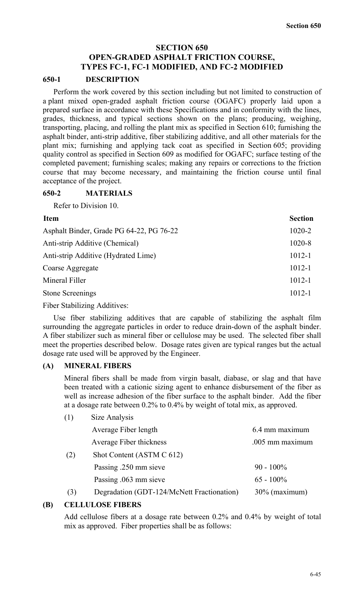## **SECTION 650 OPEN-GRADED ASPHALT FRICTION COURSE, TYPES FC-1, FC-1 MODIFIED, AND FC-2 MODIFIED**

#### **650-1 DESCRIPTION**

Perform the work covered by this section including but not limited to construction of a plant mixed open-graded asphalt friction course (OGAFC) properly laid upon a prepared surface in accordance with these Specifications and in conformity with the lines, grades, thickness, and typical sections shown on the plans; producing, weighing, transporting, placing, and rolling the plant mix as specified in Section 610; furnishing the asphalt binder, anti-strip additive, fiber stabilizing additive, and all other materials for the plant mix; furnishing and applying tack coat as specified in Section 605; providing quality control as specified in Section 609 as modified for OGAFC; surface testing of the completed pavement; furnishing scales; making any repairs or corrections to the friction course that may become necessary, and maintaining the friction course until final acceptance of the project.

#### **650-2 MATERIALS**

Refer to Division 10.

| <b>Item</b>                              | <b>Section</b> |
|------------------------------------------|----------------|
| Asphalt Binder, Grade PG 64-22, PG 76-22 | 1020-2         |
| Anti-strip Additive (Chemical)           | 1020-8         |
| Anti-strip Additive (Hydrated Lime)      | $1012 - 1$     |
| Coarse Aggregate                         | $1012 - 1$     |
| Mineral Filler                           | $1012 - 1$     |
| <b>Stone Screenings</b>                  | $1012 - 1$     |
|                                          |                |

Fiber Stabilizing Additives:

Use fiber stabilizing additives that are capable of stabilizing the asphalt film surrounding the aggregate particles in order to reduce drain-down of the asphalt binder. A fiber stabilizer such as mineral fiber or cellulose may be used. The selected fiber shall meet the properties described below. Dosage rates given are typical ranges but the actual dosage rate used will be approved by the Engineer.

#### **(A) MINERAL FIBERS**

 $(1)$   $\qquad \qquad$   $\qquad \qquad$   $(1)$   $\qquad \qquad$   $(1)$   $\qquad \qquad$ 

Mineral fibers shall be made from virgin basalt, diabase, or slag and that have been treated with a cationic sizing agent to enhance disbursement of the fiber as well as increase adhesion of the fiber surface to the asphalt binder. Add the fiber at a dosage rate between 0.2% to 0.4% by weight of total mix, as approved.

| ( 1 ) | Size Analysis                              |                  |
|-------|--------------------------------------------|------------------|
|       | Average Fiber length                       | 6.4 mm maximum   |
|       | Average Fiber thickness                    | .005 mm maximum  |
| (2)   | Shot Content (ASTM C 612)                  |                  |
|       | Passing .250 mm sieve                      | $90 - 100\%$     |
|       | Passing .063 mm sieve                      | $65 - 100\%$     |
| (3)   | Degradation (GDT-124/McNett Fractionation) | $30\%$ (maximum) |

#### **(B) CELLULOSE FIBERS**

Add cellulose fibers at a dosage rate between 0.2% and 0.4% by weight of total mix as approved. Fiber properties shall be as follows: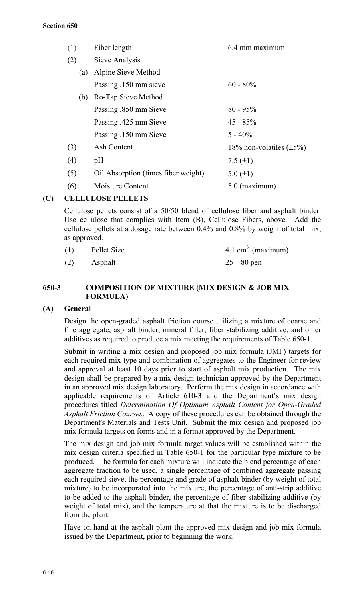| (1) | Fiber length                        | 6.4 mm maximum                |
|-----|-------------------------------------|-------------------------------|
| (2) | Sieve Analysis                      |                               |
| (a) | Alpine Sieve Method                 |                               |
|     | Passing .150 mm sieve               | $60 - 80\%$                   |
| (b) | Ro-Tap Sieve Method                 |                               |
|     | Passing .850 mm Sieve               | $80 - 95\%$                   |
|     | Passing .425 mm Sieve               | $45 - 85\%$                   |
|     | Passing .150 mm Sieve               | $5 - 40\%$                    |
| (3) | Ash Content                         | 18% non-volatiles $(\pm 5\%)$ |
| (4) | pH                                  | 7.5 $(\pm 1)$                 |
| (5) | Oil Absorption (times fiber weight) | 5.0 $(\pm 1)$                 |
| (6) | Moisture Content                    | $5.0$ (maximum)               |
|     |                                     |                               |

# **(C) CELLULOSE PELLETS**

Cellulose pellets consist of a 50/50 blend of cellulose fiber and asphalt binder. Use cellulose that complies with Item (B), Cellulose Fibers, above. Add the cellulose pellets at a dosage rate between 0.4% and 0.8% by weight of total mix, as approved.

| (1) | Pellet Size | 4.1 cm <sup>3</sup> (maximum) |
|-----|-------------|-------------------------------|
| (2) | Asphalt     | $25 - 80$ pen                 |

# **650-3 COMPOSITION OF MIXTURE (MIX DESIGN & JOB MIX FORMULA)**

# **(A) General**

Design the open-graded asphalt friction course utilizing a mixture of coarse and fine aggregate, asphalt binder, mineral filler, fiber stabilizing additive, and other additives as required to produce a mix meeting the requirements of Table 650-1.

Submit in writing a mix design and proposed job mix formula (JMF) targets for each required mix type and combination of aggregates to the Engineer for review and approval at least 10 days prior to start of asphalt mix production. The mix design shall be prepared by a mix design technician approved by the Department in an approved mix design laboratory. Perform the mix design in accordance with applicable requirements of Article 610-3 and the Department's mix design procedures titled *Determination Of Optimum Asphalt Content for Open-Graded Asphalt Friction Courses*. A copy of these procedures can be obtained through the Department's Materials and Tests Unit. Submit the mix design and proposed job mix formula targets on forms and in a format approved by the Department.

The mix design and job mix formula target values will be established within the mix design criteria specified in Table 650-1 for the particular type mixture to be produced. The formula for each mixture will indicate the blend percentage of each aggregate fraction to be used, a single percentage of combined aggregate passing each required sieve, the percentage and grade of asphalt binder (by weight of total mixture) to be incorporated into the mixture, the percentage of anti-strip additive to be added to the asphalt binder, the percentage of fiber stabilizing additive (by weight of total mix), and the temperature at that the mixture is to be discharged from the plant.

Have on hand at the asphalt plant the approved mix design and job mix formula issued by the Department, prior to beginning the work.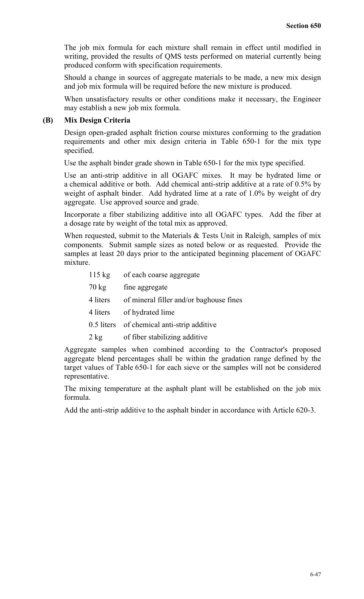The job mix formula for each mixture shall remain in effect until modified in writing, provided the results of QMS tests performed on material currently being produced conform with specification requirements.

Should a change in sources of aggregate materials to be made, a new mix design and job mix formula will be required before the new mixture is produced.

When unsatisfactory results or other conditions make it necessary, the Engineer may establish a new job mix formula.

#### **(B) Mix Design Criteria**

Design open-graded asphalt friction course mixtures conforming to the gradation requirements and other mix design criteria in Table 650-1 for the mix type specified.

Use the asphalt binder grade shown in Table 650-1 for the mix type specified.

Use an anti-strip additive in all OGAFC mixes. It may be hydrated lime or a chemical additive or both. Add chemical anti-strip additive at a rate of 0.5% by weight of asphalt binder. Add hydrated lime at a rate of 1.0% by weight of dry aggregate. Use approved source and grade.

Incorporate a fiber stabilizing additive into all OGAFC types. Add the fiber at a dosage rate by weight of the total mix as approved.

When requested, submit to the Materials & Tests Unit in Raleigh, samples of mix components. Submit sample sizes as noted below or as requested. Provide the samples at least 20 days prior to the anticipated beginning placement of OGAFC mixture.

| $115 \text{ kg}$                             | of each coarse aggregate                   |  |  |
|----------------------------------------------|--------------------------------------------|--|--|
| $70 \text{ kg}$                              | fine aggregate                             |  |  |
| 4 liters                                     | of mineral filler and/or baghouse fines    |  |  |
| 4 liters                                     | of hydrated lime                           |  |  |
|                                              | 0.5 liters of chemical anti-strip additive |  |  |
| $2 \text{ kg}$                               | of fiber stabilizing additive              |  |  |
| ate samples when combined according to the C |                                            |  |  |

Aggregate samples when combined according to the Contractor's proposed aggregate blend percentages shall be within the gradation range defined by the target values of Table 650-1 for each sieve or the samples will not be considered representative.

The mixing temperature at the asphalt plant will be established on the job mix formula.

Add the anti-strip additive to the asphalt binder in accordance with Article 620-3.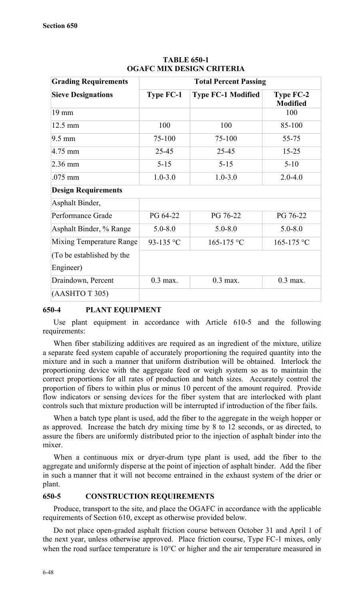| <b>Grading Requirements</b> | <b>Total Percent Passing</b> |                           |                                     |  |
|-----------------------------|------------------------------|---------------------------|-------------------------------------|--|
| <b>Sieve Designations</b>   | <b>Type FC-1</b>             | <b>Type FC-1 Modified</b> | <b>Type FC-2</b><br><b>Modified</b> |  |
| 19 mm                       |                              |                           | 100                                 |  |
| $12.5 \text{ mm}$           | 100                          | 100                       | 85-100                              |  |
| $9.5 \text{ mm}$            | 75-100                       | 75-100                    | 55-75                               |  |
| 4.75 mm                     | 25-45                        | 25-45                     | $15 - 25$                           |  |
| $2.36$ mm                   | $5 - 15$                     | $5 - 15$                  | $5 - 10$                            |  |
| .075 mm                     | $1.0 - 3.0$                  | $1.0 - 3.0$               | $2.0 - 4.0$                         |  |
| <b>Design Requirements</b>  |                              |                           |                                     |  |
| Asphalt Binder,             |                              |                           |                                     |  |
| Performance Grade           | PG 64-22                     | PG 76-22                  | PG 76-22                            |  |
| Asphalt Binder, % Range     | $5.0 - 8.0$                  | $5.0 - 8.0$               | $5.0 - 8.0$                         |  |
| Mixing Temperature Range    | 93-135 °C                    | 165-175 °C                | 165-175 °C                          |  |
| (To be established by the   |                              |                           |                                     |  |
| Engineer)                   |                              |                           |                                     |  |
| Draindown, Percent          | $0.3$ max.                   | $0.3$ max.                | $0.3$ max.                          |  |
| (AASHTO T 305)              |                              |                           |                                     |  |

## **TABLE 650-1 OGAFC MIX DESIGN CRITERIA**

#### **650-4 PLANT EQUIPMENT**

Use plant equipment in accordance with Article 610-5 and the following requirements:

When fiber stabilizing additives are required as an ingredient of the mixture, utilize a separate feed system capable of accurately proportioning the required quantity into the mixture and in such a manner that uniform distribution will be obtained. Interlock the proportioning device with the aggregate feed or weigh system so as to maintain the correct proportions for all rates of production and batch sizes. Accurately control the proportion of fibers to within plus or minus 10 percent of the amount required. Provide flow indicators or sensing devices for the fiber system that are interlocked with plant controls such that mixture production will be interrupted if introduction of the fiber fails.

When a batch type plant is used, add the fiber to the aggregate in the weigh hopper or as approved. Increase the batch dry mixing time by 8 to 12 seconds, or as directed, to assure the fibers are uniformly distributed prior to the injection of asphalt binder into the mixer.

When a continuous mix or dryer-drum type plant is used, add the fiber to the aggregate and uniformly disperse at the point of injection of asphalt binder. Add the fiber in such a manner that it will not become entrained in the exhaust system of the drier or plant.

#### **650-5 CONSTRUCTION REQUIREMENTS**

Produce, transport to the site, and place the OGAFC in accordance with the applicable requirements of Section 610, except as otherwise provided below.

Do not place open-graded asphalt friction course between October 31 and April 1 of the next year, unless otherwise approved. Place friction course, Type FC-1 mixes, only when the road surface temperature is 10°C or higher and the air temperature measured in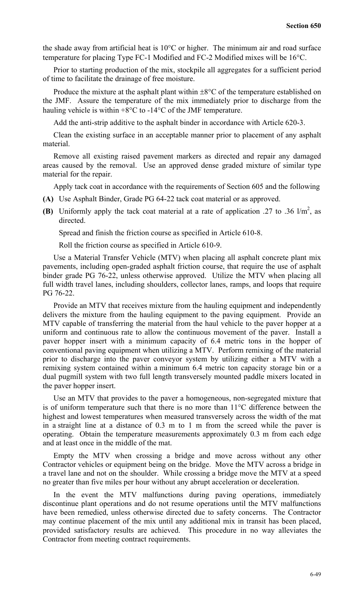the shade away from artificial heat is 10°C or higher. The minimum air and road surface temperature for placing Type FC-1 Modified and FC-2 Modified mixes will be 16°C.

Prior to starting production of the mix, stockpile all aggregates for a sufficient period of time to facilitate the drainage of free moisture.

Produce the mixture at the asphalt plant within  $\pm 8^{\circ}$ C of the temperature established on the JMF. Assure the temperature of the mix immediately prior to discharge from the hauling vehicle is within +8°C to -14°C of the JMF temperature.

Add the anti-strip additive to the asphalt binder in accordance with Article 620-3.

Clean the existing surface in an acceptable manner prior to placement of any asphalt material.

Remove all existing raised pavement markers as directed and repair any damaged areas caused by the removal. Use an approved dense graded mixture of similar type material for the repair.

Apply tack coat in accordance with the requirements of Section 605 and the following

- **(A)** Use Asphalt Binder, Grade PG 64-22 tack coat material or as approved.
- **(B)** Uniformly apply the tack coat material at a rate of application .27 to .36  $1/m^2$ , as directed.

Spread and finish the friction course as specified in Article 610-8.

Roll the friction course as specified in Article 610-9.

Use a Material Transfer Vehicle (MTV) when placing all asphalt concrete plant mix pavements, including open-graded asphalt friction course, that require the use of asphalt binder grade PG 76-22, unless otherwise approved. Utilize the MTV when placing all full width travel lanes, including shoulders, collector lanes, ramps, and loops that require PG 76-22.

Provide an MTV that receives mixture from the hauling equipment and independently delivers the mixture from the hauling equipment to the paving equipment. Provide an MTV capable of transferring the material from the haul vehicle to the paver hopper at a uniform and continuous rate to allow the continuous movement of the paver. Install a paver hopper insert with a minimum capacity of 6.4 metric tons in the hopper of conventional paving equipment when utilizing a MTV. Perform remixing of the material prior to discharge into the paver conveyor system by utilizing either a MTV with a remixing system contained within a minimum 6.4 metric ton capacity storage bin or a dual pugmill system with two full length transversely mounted paddle mixers located in the paver hopper insert.

Use an MTV that provides to the paver a homogeneous, non-segregated mixture that is of uniform temperature such that there is no more than 11°C difference between the highest and lowest temperatures when measured transversely across the width of the mat in a straight line at a distance of 0.3 m to 1 m from the screed while the paver is operating. Obtain the temperature measurements approximately 0.3 m from each edge and at least once in the middle of the mat.

Empty the MTV when crossing a bridge and move across without any other Contractor vehicles or equipment being on the bridge. Move the MTV across a bridge in a travel lane and not on the shoulder. While crossing a bridge move the MTV at a speed no greater than five miles per hour without any abrupt acceleration or deceleration.

In the event the MTV malfunctions during paving operations, immediately discontinue plant operations and do not resume operations until the MTV malfunctions have been remedied, unless otherwise directed due to safety concerns. The Contractor may continue placement of the mix until any additional mix in transit has been placed, provided satisfactory results are achieved. This procedure in no way alleviates the Contractor from meeting contract requirements.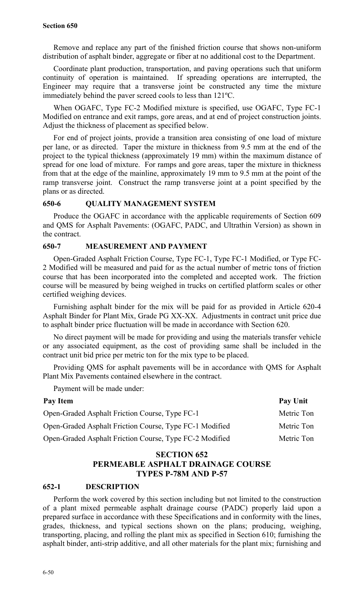Remove and replace any part of the finished friction course that shows non-uniform distribution of asphalt binder, aggregate or fiber at no additional cost to the Department.

Coordinate plant production, transportation, and paving operations such that uniform continuity of operation is maintained. If spreading operations are interrupted, the Engineer may require that a transverse joint be constructed any time the mixture immediately behind the paver screed cools to less than 121ºC.

When OGAFC, Type FC-2 Modified mixture is specified, use OGAFC, Type FC-1 Modified on entrance and exit ramps, gore areas, and at end of project construction joints. Adjust the thickness of placement as specified below.

For end of project joints, provide a transition area consisting of one load of mixture per lane, or as directed. Taper the mixture in thickness from 9.5 mm at the end of the project to the typical thickness (approximately 19 mm) within the maximum distance of spread for one load of mixture. For ramps and gore areas, taper the mixture in thickness from that at the edge of the mainline, approximately 19 mm to 9.5 mm at the point of the ramp transverse joint. Construct the ramp transverse joint at a point specified by the plans or as directed.

#### **650-6 QUALITY MANAGEMENT SYSTEM**

Produce the OGAFC in accordance with the applicable requirements of Section 609 and QMS for Asphalt Pavements: (OGAFC, PADC, and Ultrathin Version) as shown in the contract.

### **650-7 MEASUREMENT AND PAYMENT**

Open-Graded Asphalt Friction Course, Type FC-1, Type FC-1 Modified, or Type FC-2 Modified will be measured and paid for as the actual number of metric tons of friction course that has been incorporated into the completed and accepted work. The friction course will be measured by being weighed in trucks on certified platform scales or other certified weighing devices.

Furnishing asphalt binder for the mix will be paid for as provided in Article 620-4 Asphalt Binder for Plant Mix, Grade PG XX-XX. Adjustments in contract unit price due to asphalt binder price fluctuation will be made in accordance with Section 620.

No direct payment will be made for providing and using the materials transfer vehicle or any associated equipment, as the cost of providing same shall be included in the contract unit bid price per metric ton for the mix type to be placed.

Providing QMS for asphalt pavements will be in accordance with QMS for Asphalt Plant Mix Pavements contained elsewhere in the contract.

Payment will be made under:

| Pay Item                                                | Pay Unit   |
|---------------------------------------------------------|------------|
| Open-Graded Asphalt Friction Course, Type FC-1          | Metric Ton |
| Open-Graded Asphalt Friction Course, Type FC-1 Modified | Metric Ton |
| Open-Graded Asphalt Friction Course, Type FC-2 Modified | Metric Ton |

# **SECTION 652 PERMEABLE ASPHALT DRAINAGE COURSE TYPES P-78M AND P-57**

#### **652-1 DESCRIPTION**

Perform the work covered by this section including but not limited to the construction of a plant mixed permeable asphalt drainage course (PADC) properly laid upon a prepared surface in accordance with these Specifications and in conformity with the lines, grades, thickness, and typical sections shown on the plans; producing, weighing, transporting, placing, and rolling the plant mix as specified in Section 610; furnishing the asphalt binder, anti-strip additive, and all other materials for the plant mix; furnishing and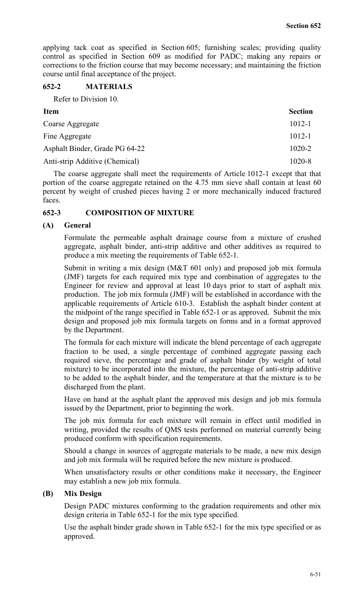applying tack coat as specified in Section 605; furnishing scales; providing quality control as specified in Section 609 as modified for PADC; making any repairs or corrections to the friction course that may become necessary; and maintaining the friction course until final acceptance of the project.

#### **652-2 MATERIALS**

Refer to Division 10.

| Item                           | <b>Section</b> |
|--------------------------------|----------------|
| Coarse Aggregate               | $1012 - 1$     |
| Fine Aggregate                 | $1012 - 1$     |
| Asphalt Binder, Grade PG 64-22 | $1020 - 2$     |
| Anti-strip Additive (Chemical) | 1020-8         |

The coarse aggregate shall meet the requirements of Article 1012-1 except that that portion of the coarse aggregate retained on the 4.75 mm sieve shall contain at least 60 percent by weight of crushed pieces having 2 or more mechanically induced fractured faces.

#### **652-3 COMPOSITION OF MIXTURE**

#### **(A) General**

Formulate the permeable asphalt drainage course from a mixture of crushed aggregate, asphalt binder, anti-strip additive and other additives as required to produce a mix meeting the requirements of Table 652-1.

Submit in writing a mix design (M&T 601 only) and proposed job mix formula (JMF) targets for each required mix type and combination of aggregates to the Engineer for review and approval at least 10 days prior to start of asphalt mix production. The job mix formula (JMF) will be established in accordance with the applicable requirements of Article 610-3. Establish the asphalt binder content at the midpoint of the range specified in Table 652-1 or as approved. Submit the mix design and proposed job mix formula targets on forms and in a format approved by the Department.

The formula for each mixture will indicate the blend percentage of each aggregate fraction to be used, a single percentage of combined aggregate passing each required sieve, the percentage and grade of asphalt binder (by weight of total mixture) to be incorporated into the mixture, the percentage of anti-strip additive to be added to the asphalt binder, and the temperature at that the mixture is to be discharged from the plant.

Have on hand at the asphalt plant the approved mix design and job mix formula issued by the Department, prior to beginning the work.

The job mix formula for each mixture will remain in effect until modified in writing, provided the results of QMS tests performed on material currently being produced conform with specification requirements.

Should a change in sources of aggregate materials to be made, a new mix design and job mix formula will be required before the new mixture is produced.

When unsatisfactory results or other conditions make it necessary, the Engineer may establish a new job mix formula.

#### **(B) Mix Design**

Design PADC mixtures conforming to the gradation requirements and other mix design criteria in Table 652-1 for the mix type specified.

Use the asphalt binder grade shown in Table 652-1 for the mix type specified or as approved.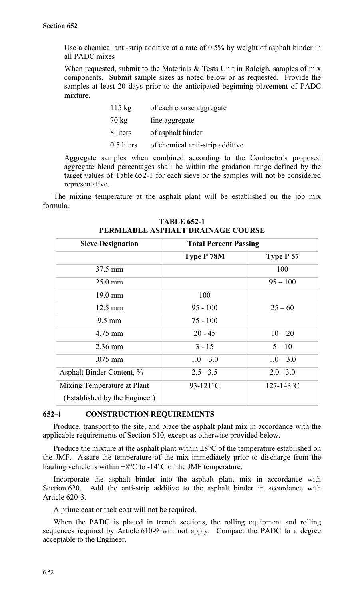Use a chemical anti-strip additive at a rate of 0.5% by weight of asphalt binder in all PADC mixes

When requested, submit to the Materials & Tests Unit in Raleigh, samples of mix components. Submit sample sizes as noted below or as requested. Provide the samples at least 20 days prior to the anticipated beginning placement of PADC mixture.

| $115 \text{ kg}$ | of each coarse aggregate        |
|------------------|---------------------------------|
| $70 \text{ kg}$  | fine aggregate                  |
| 8 liters         | of asphalt binder               |
| 0.5 liters       | of chemical anti-strip additive |

Aggregate samples when combined according to the Contractor's proposed aggregate blend percentages shall be within the gradation range defined by the target values of Table 652-1 for each sieve or the samples will not be considered representative.

The mixing temperature at the asphalt plant will be established on the job mix formula.

| <b>Sieve Designation</b>                                     | <b>Total Percent Passing</b> |                |  |  |
|--------------------------------------------------------------|------------------------------|----------------|--|--|
|                                                              | Type P 78M                   | Type P 57      |  |  |
| 37.5 mm                                                      |                              | 100            |  |  |
| $25.0$ mm                                                    |                              | $95 - 100$     |  |  |
| $19.0 \text{ mm}$                                            | 100                          |                |  |  |
| $12.5 \text{ mm}$                                            | $95 - 100$                   | $25 - 60$      |  |  |
| $9.5 \text{ mm}$                                             | $75 - 100$                   |                |  |  |
| 4.75 mm                                                      | $20 - 45$                    | $10 - 20$      |  |  |
| $2.36$ mm                                                    | $3 - 15$                     | $5 - 10$       |  |  |
| $.075$ mm                                                    | $1.0 - 3.0$                  | $1.0 - 3.0$    |  |  |
| Asphalt Binder Content, %                                    | $2.5 - 3.5$                  | $2.0 - 3.0$    |  |  |
| Mixing Temperature at Plant<br>(Established by the Engineer) | 93-121 $\rm ^{\circ}C$       | $127 - 143$ °C |  |  |

**TABLE 652-1 PERMEABLE ASPHALT DRAINAGE COURSE**

#### **652-4 CONSTRUCTION REQUIREMENTS**

Produce, transport to the site, and place the asphalt plant mix in accordance with the applicable requirements of Section 610, except as otherwise provided below.

Produce the mixture at the asphalt plant within  $\pm 8^{\circ}$ C of the temperature established on the JMF. Assure the temperature of the mix immediately prior to discharge from the hauling vehicle is within +8°C to -14°C of the JMF temperature.

Incorporate the asphalt binder into the asphalt plant mix in accordance with Section 620. Add the anti-strip additive to the asphalt binder in accordance with Article 620-3.

A prime coat or tack coat will not be required.

When the PADC is placed in trench sections, the rolling equipment and rolling sequences required by Article 610-9 will not apply. Compact the PADC to a degree acceptable to the Engineer.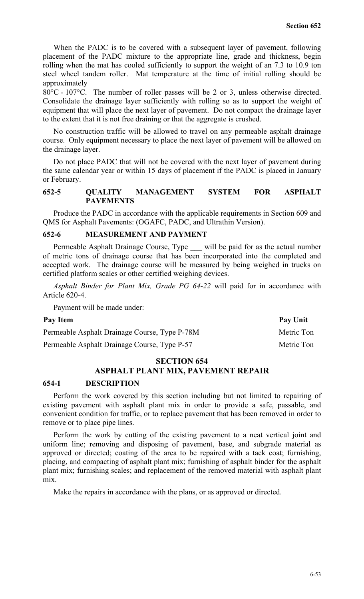When the PADC is to be covered with a subsequent layer of pavement, following placement of the PADC mixture to the appropriate line, grade and thickness, begin rolling when the mat has cooled sufficiently to support the weight of an 7.3 to 10.9 ton steel wheel tandem roller. Mat temperature at the time of initial rolling should be approximately

80°C - 107°C. The number of roller passes will be 2 or 3, unless otherwise directed. Consolidate the drainage layer sufficiently with rolling so as to support the weight of equipment that will place the next layer of pavement. Do not compact the drainage layer to the extent that it is not free draining or that the aggregate is crushed.

No construction traffic will be allowed to travel on any permeable asphalt drainage course. Only equipment necessary to place the next layer of pavement will be allowed on the drainage layer.

Do not place PADC that will not be covered with the next layer of pavement during the same calendar year or within 15 days of placement if the PADC is placed in January or February.

#### **652-5 QUALITY MANAGEMENT SYSTEM FOR ASPHALT PAVEMENTS**

Produce the PADC in accordance with the applicable requirements in Section 609 and QMS for Asphalt Pavements: (OGAFC, PADC, and Ultrathin Version).

#### **652-6 MEASUREMENT AND PAYMENT**

Permeable Asphalt Drainage Course, Type \_\_\_ will be paid for as the actual number of metric tons of drainage course that has been incorporated into the completed and accepted work. The drainage course will be measured by being weighed in trucks on certified platform scales or other certified weighing devices.

*Asphalt Binder for Plant Mix, Grade PG 64-22* will paid for in accordance with Article 620-4.

Payment will be made under:

#### Pay Item Pay Unit

Permeable Asphalt Drainage Course, Type P-78M Metric Ton Permeable Asphalt Drainage Course, Type P-57 Metric Ton

# **SECTION 654**

# **ASPHALT PLANT MIX, PAVEMENT REPAIR**

#### **654-1 DESCRIPTION**

Perform the work covered by this section including but not limited to repairing of existing pavement with asphalt plant mix in order to provide a safe, passable, and convenient condition for traffic, or to replace pavement that has been removed in order to remove or to place pipe lines.

Perform the work by cutting of the existing pavement to a neat vertical joint and uniform line; removing and disposing of pavement, base, and subgrade material as approved or directed; coating of the area to be repaired with a tack coat; furnishing, placing, and compacting of asphalt plant mix; furnishing of asphalt binder for the asphalt plant mix; furnishing scales; and replacement of the removed material with asphalt plant mix.

Make the repairs in accordance with the plans, or as approved or directed.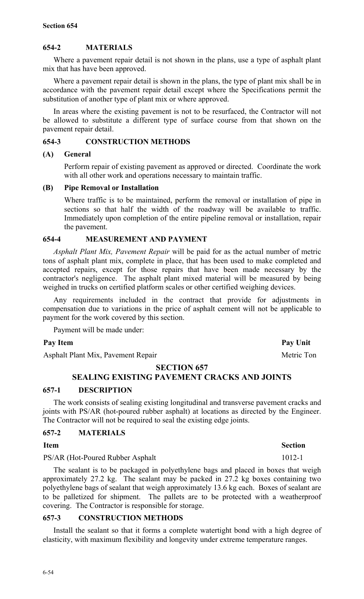# **654-2 MATERIALS**

Where a pavement repair detail is not shown in the plans, use a type of asphalt plant mix that has have been approved.

Where a pavement repair detail is shown in the plans, the type of plant mix shall be in accordance with the pavement repair detail except where the Specifications permit the substitution of another type of plant mix or where approved.

In areas where the existing pavement is not to be resurfaced, the Contractor will not be allowed to substitute a different type of surface course from that shown on the pavement repair detail.

## **654-3 CONSTRUCTION METHODS**

#### **(A) General**

Perform repair of existing pavement as approved or directed. Coordinate the work with all other work and operations necessary to maintain traffic.

#### **(B) Pipe Removal or Installation**

Where traffic is to be maintained, perform the removal or installation of pipe in sections so that half the width of the roadway will be available to traffic. Immediately upon completion of the entire pipeline removal or installation, repair the pavement.

#### **654-4 MEASUREMENT AND PAYMENT**

*Asphalt Plant Mix, Pavement Repair* will be paid for as the actual number of metric tons of asphalt plant mix, complete in place, that has been used to make completed and accepted repairs, except for those repairs that have been made necessary by the contractor's negligence. The asphalt plant mixed material will be measured by being weighed in trucks on certified platform scales or other certified weighing devices.

Any requirements included in the contract that provide for adjustments in compensation due to variations in the price of asphalt cement will not be applicable to payment for the work covered by this section.

Payment will be made under:

#### Pay Item Pay Unit

Asphalt Plant Mix, Pavement Repair Metric Ton

#### **SECTION 657**

# **SEALING EXISTING PAVEMENT CRACKS AND JOINTS**

#### **657-1 DESCRIPTION**

The work consists of sealing existing longitudinal and transverse pavement cracks and joints with PS/AR (hot-poured rubber asphalt) at locations as directed by the Engineer. The Contractor will not be required to seal the existing edge joints.

#### **657-2 MATERIALS**

# PS/AR (Hot-Poured Rubber Asphalt 1012-1

The sealant is to be packaged in polyethylene bags and placed in boxes that weigh approximately 27.2 kg. The sealant may be packed in 27.2 kg boxes containing two polyethylene bags of sealant that weigh approximately 13.6 kg each. Boxes of sealant are to be palletized for shipment. The pallets are to be protected with a weatherproof covering. The Contractor is responsible for storage.

# **657-3 CONSTRUCTION METHODS**

Install the sealant so that it forms a complete watertight bond with a high degree of elasticity, with maximum flexibility and longevity under extreme temperature ranges.

### **Item** Section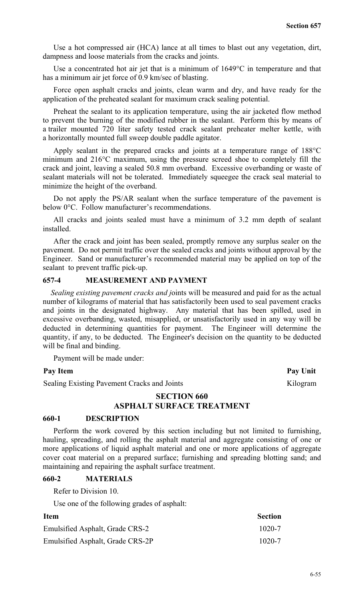Use a hot compressed air (HCA) lance at all times to blast out any vegetation, dirt, dampness and loose materials from the cracks and joints.

Use a concentrated hot air jet that is a minimum of 1649°C in temperature and that has a minimum air jet force of 0.9 km/sec of blasting.

Force open asphalt cracks and joints, clean warm and dry, and have ready for the application of the preheated sealant for maximum crack sealing potential.

Preheat the sealant to its application temperature, using the air jacketed flow method to prevent the burning of the modified rubber in the sealant. Perform this by means of a trailer mounted 720 liter safety tested crack sealant preheater melter kettle, with a horizontally mounted full sweep double paddle agitator.

Apply sealant in the prepared cracks and joints at a temperature range of 188°C minimum and 216°C maximum, using the pressure screed shoe to completely fill the crack and joint, leaving a sealed 50.8 mm overband. Excessive overbanding or waste of sealant materials will not be tolerated. Immediately squeegee the crack seal material to minimize the height of the overband.

Do not apply the PS/AR sealant when the surface temperature of the pavement is below 0°C. Follow manufacturer's recommendations.

All cracks and joints sealed must have a minimum of 3.2 mm depth of sealant installed.

After the crack and joint has been sealed, promptly remove any surplus sealer on the pavement. Do not permit traffic over the sealed cracks and joints without approval by the Engineer. Sand or manufacturer's recommended material may be applied on top of the sealant to prevent traffic pick-up.

#### **657-4 MEASUREMENT AND PAYMENT**

*Sealing existing pavement cracks and j*oints will be measured and paid for as the actual number of kilograms of material that has satisfactorily been used to seal pavement cracks and joints in the designated highway. Any material that has been spilled, used in excessive overbanding, wasted, misapplied, or unsatisfactorily used in any way will be deducted in determining quantities for payment. The Engineer will determine the quantity, if any, to be deducted. The Engineer's decision on the quantity to be deducted will be final and binding.

Payment will be made under:

#### Pay Item Pay Unit

Sealing Existing Pavement Cracks and Joints Kilogram

# **SECTION 660 ASPHALT SURFACE TREATMENT**

#### **660-1 DESCRIPTION**

Perform the work covered by this section including but not limited to furnishing, hauling, spreading, and rolling the asphalt material and aggregate consisting of one or more applications of liquid asphalt material and one or more applications of aggregate cover coat material on a prepared surface; furnishing and spreading blotting sand; and maintaining and repairing the asphalt surface treatment.

#### **660-2 MATERIALS**

Refer to Division 10.

Use one of the following grades of asphalt:

| <b>Item</b>                      | <b>Section</b> |
|----------------------------------|----------------|
| Emulsified Asphalt, Grade CRS-2  | $1020 - 7$     |
| Emulsified Asphalt, Grade CRS-2P | $1020 - 7$     |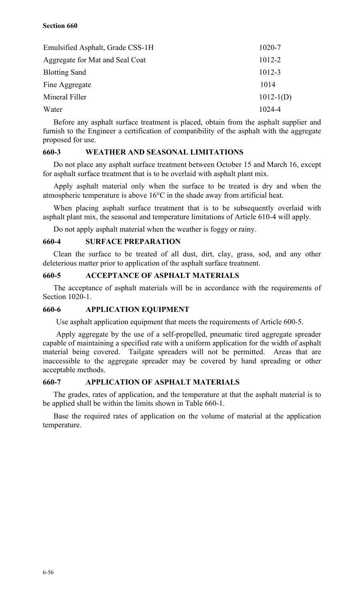#### **Section 660**

| Emulsified Asphalt, Grade CSS-1H | 1020-7      |
|----------------------------------|-------------|
| Aggregate for Mat and Seal Coat  | 1012-2      |
| <b>Blotting Sand</b>             | 1012-3      |
| Fine Aggregate                   | 1014        |
| Mineral Filler                   | $1012-1(D)$ |
| Water                            | 1024-4      |

Before any asphalt surface treatment is placed, obtain from the asphalt supplier and furnish to the Engineer a certification of compatibility of the asphalt with the aggregate proposed for use.

# **660-3 WEATHER AND SEASONAL LIMITATIONS**

Do not place any asphalt surface treatment between October 15 and March 16, except for asphalt surface treatment that is to be overlaid with asphalt plant mix.

Apply asphalt material only when the surface to be treated is dry and when the atmospheric temperature is above 16°C in the shade away from artificial heat.

When placing asphalt surface treatment that is to be subsequently overlaid with asphalt plant mix, the seasonal and temperature limitations of Article 610-4 will apply.

Do not apply asphalt material when the weather is foggy or rainy.

#### **660-4 SURFACE PREPARATION**

Clean the surface to be treated of all dust, dirt, clay, grass, sod, and any other deleterious matter prior to application of the asphalt surface treatment.

#### **660-5 ACCEPTANCE OF ASPHALT MATERIALS**

The acceptance of asphalt materials will be in accordance with the requirements of Section 1020-1.

#### **660-6 APPLICATION EQUIPMENT**

Use asphalt application equipment that meets the requirements of Article 600-5.

Apply aggregate by the use of a self-propelled, pneumatic tired aggregate spreader capable of maintaining a specified rate with a uniform application for the width of asphalt material being covered. Tailgate spreaders will not be permitted. Areas that are inaccessible to the aggregate spreader may be covered by hand spreading or other acceptable methods.

#### **660-7 APPLICATION OF ASPHALT MATERIALS**

The grades, rates of application, and the temperature at that the asphalt material is to be applied shall be within the limits shown in Table 660-1.

Base the required rates of application on the volume of material at the application temperature.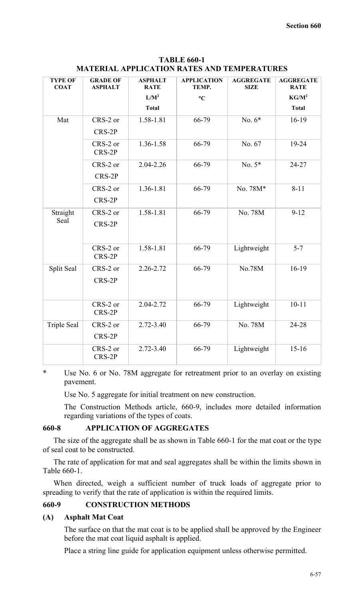| <b>TYPE OF</b><br><b>COAT</b> | <b>GRADE OF</b><br><b>ASPHALT</b> | <b>ASPHALT</b><br><b>RATE</b> | <b>APPLICATION</b><br>TEMP. | <b>AGGREGATE</b><br><b>SIZE</b> | <b>AGGREGATE</b><br><b>RATE</b> |
|-------------------------------|-----------------------------------|-------------------------------|-----------------------------|---------------------------------|---------------------------------|
|                               |                                   | $L/M^2$                       | $\rm ^{\circ}C$             |                                 | KG/M <sup>2</sup>               |
|                               |                                   | <b>Total</b>                  |                             |                                 | <b>Total</b>                    |
| Mat                           | CRS-2 or                          | 1.58-1.81                     | 66-79                       | No. $6*$                        | $16-19$                         |
|                               | CRS-2P                            |                               |                             |                                 |                                 |
|                               | CRS-2 or                          | 1.36-1.58                     | 66-79                       | No. 67                          | 19-24                           |
|                               | CRS-2P                            |                               |                             |                                 |                                 |
|                               | CRS-2 or                          | 2.04-2.26                     | 66-79                       | No. $5*$                        | 24-27                           |
|                               | CRS-2P                            |                               |                             |                                 |                                 |
|                               | CRS-2 or                          | 1.36-1.81                     | 66-79                       | No. 78M*                        | $8 - 11$                        |
|                               | CRS-2P                            |                               |                             |                                 |                                 |
| Straight                      | CRS-2 or                          | 1.58-1.81                     | 66-79                       | No. 78M                         | $9-12$                          |
| Seal                          | CRS-2P                            |                               |                             |                                 |                                 |
|                               |                                   |                               |                             |                                 |                                 |
|                               | CRS-2 or                          | 1.58-1.81                     | 66-79                       | Lightweight                     | $5 - 7$                         |
|                               | CRS-2P                            |                               |                             |                                 |                                 |
| Split Seal                    | CRS-2 or                          | 2.26-2.72                     | 66-79                       | No.78M                          | $16-19$                         |
|                               | CRS-2P                            |                               |                             |                                 |                                 |
|                               |                                   |                               |                             |                                 |                                 |
|                               | CRS-2 or<br>CRS-2P                | 2.04-2.72                     | 66-79                       | Lightweight                     | $10 - 11$                       |
|                               |                                   |                               |                             |                                 |                                 |
| <b>Triple Seal</b>            | CRS-2 or                          | $2.72 - 3.40$                 | 66-79                       | No. 78M                         | 24-28                           |
|                               | CRS-2P                            |                               |                             |                                 |                                 |
|                               | CRS-2 or<br>CRS-2P                | $2.72 - 3.40$                 | 66-79                       | Lightweight                     | $15 - 16$                       |
|                               |                                   |                               |                             |                                 |                                 |

**TABLE 660-1 MATERIAL APPLICATION RATES AND TEMPERATURES**

\* Use No. 6 or No. 78M aggregate for retreatment prior to an overlay on existing pavement.

Use No. 5 aggregate for initial treatment on new construction.

The Construction Methods article, 660-9, includes more detailed information regarding variations of the types of coats.

### **660-8 APPLICATION OF AGGREGATES**

The size of the aggregate shall be as shown in Table 660-1 for the mat coat or the type of seal coat to be constructed.

The rate of application for mat and seal aggregates shall be within the limits shown in Table 660-1.

When directed, weigh a sufficient number of truck loads of aggregate prior to spreading to verify that the rate of application is within the required limits.

#### **660-9 CONSTRUCTION METHODS**

#### **(A) Asphalt Mat Coat**

The surface on that the mat coat is to be applied shall be approved by the Engineer before the mat coat liquid asphalt is applied.

Place a string line guide for application equipment unless otherwise permitted.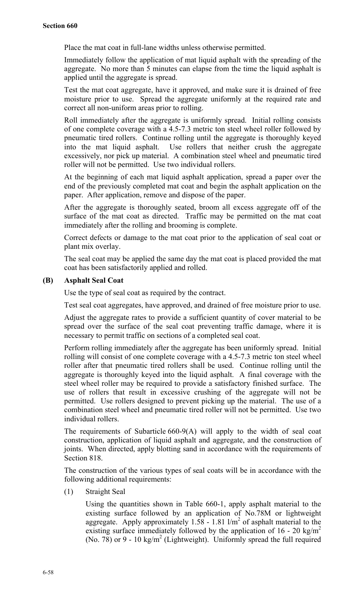Place the mat coat in full-lane widths unless otherwise permitted.

Immediately follow the application of mat liquid asphalt with the spreading of the aggregate. No more than 5 minutes can elapse from the time the liquid asphalt is applied until the aggregate is spread.

Test the mat coat aggregate, have it approved, and make sure it is drained of free moisture prior to use. Spread the aggregate uniformly at the required rate and correct all non-uniform areas prior to rolling.

Roll immediately after the aggregate is uniformly spread. Initial rolling consists of one complete coverage with a 4.5-7.3 metric ton steel wheel roller followed by pneumatic tired rollers. Continue rolling until the aggregate is thoroughly keyed into the mat liquid asphalt. Use rollers that neither crush the aggregate excessively, nor pick up material. A combination steel wheel and pneumatic tired roller will not be permitted. Use two individual rollers.

At the beginning of each mat liquid asphalt application, spread a paper over the end of the previously completed mat coat and begin the asphalt application on the paper. After application, remove and dispose of the paper.

After the aggregate is thoroughly seated, broom all excess aggregate off of the surface of the mat coat as directed. Traffic may be permitted on the mat coat immediately after the rolling and brooming is complete.

Correct defects or damage to the mat coat prior to the application of seal coat or plant mix overlay.

The seal coat may be applied the same day the mat coat is placed provided the mat coat has been satisfactorily applied and rolled.

#### **(B) Asphalt Seal Coat**

Use the type of seal coat as required by the contract.

Test seal coat aggregates, have approved, and drained of free moisture prior to use.

Adjust the aggregate rates to provide a sufficient quantity of cover material to be spread over the surface of the seal coat preventing traffic damage, where it is necessary to permit traffic on sections of a completed seal coat.

Perform rolling immediately after the aggregate has been uniformly spread. Initial rolling will consist of one complete coverage with a 4.5-7.3 metric ton steel wheel roller after that pneumatic tired rollers shall be used. Continue rolling until the aggregate is thoroughly keyed into the liquid asphalt. A final coverage with the steel wheel roller may be required to provide a satisfactory finished surface. The use of rollers that result in excessive crushing of the aggregate will not be permitted. Use rollers designed to prevent picking up the material. The use of a combination steel wheel and pneumatic tired roller will not be permitted. Use two individual rollers.

The requirements of Subarticle 660-9(A) will apply to the width of seal coat construction, application of liquid asphalt and aggregate, and the construction of joints. When directed, apply blotting sand in accordance with the requirements of Section 818.

The construction of the various types of seal coats will be in accordance with the following additional requirements:

(1) Straight Seal

Using the quantities shown in Table 660-1, apply asphalt material to the existing surface followed by an application of No.78M or lightweight aggregate. Apply approximately 1.58 - 1.81  $1/m^2$  of asphalt material to the existing surface immediately followed by the application of  $16 - 20$  kg/m<sup>2</sup> (No. 78) or 9 - 10 kg/m<sup>2</sup> (Lightweight). Uniformly spread the full required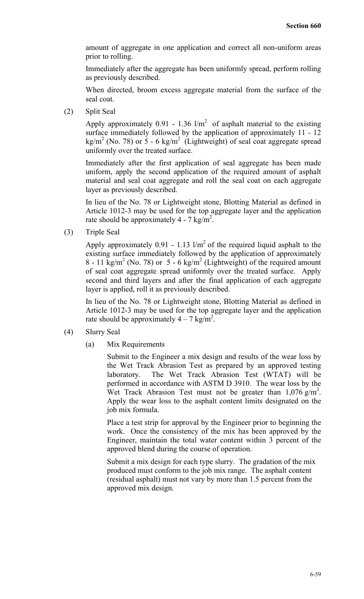amount of aggregate in one application and correct all non-uniform areas prior to rolling.

Immediately after the aggregate has been uniformly spread, perform rolling as previously described.

When directed, broom excess aggregate material from the surface of the seal coat.

(2) Split Seal

Apply approximately  $0.91 - 1.36$  l/m<sup>2</sup> of asphalt material to the existing surface immediately followed by the application of approximately 11 - 12 kg/m<sup>2</sup> (No. 78) or 5 - 6 kg/m<sup>2</sup> (Lightweight) of seal coat aggregate spread uniformly over the treated surface.

Immediately after the first application of seal aggregate has been made uniform, apply the second application of the required amount of asphalt material and seal coat aggregate and roll the seal coat on each aggregate layer as previously described.

In lieu of the No. 78 or Lightweight stone, Blotting Material as defined in Article 1012-3 may be used for the top aggregate layer and the application rate should be approximately 4 - 7 kg/m<sup>2</sup>.

(3) Triple Seal

Apply approximately 0.91 - 1.13  $1/m^2$  of the required liquid asphalt to the existing surface immediately followed by the application of approximately  $8 - 11$  kg/m<sup>2</sup> (No. 78) or  $5 - 6$  kg/m<sup>2</sup> (Lightweight) of the required amount of seal coat aggregate spread uniformly over the treated surface. Apply second and third layers and after the final application of each aggregate layer is applied, roll it as previously described.

In lieu of the No. 78 or Lightweight stone, Blotting Material as defined in Article 1012-3 may be used for the top aggregate layer and the application rate should be approximately  $4 - 7$  kg/m<sup>2</sup>.

- (4) Slurry Seal
	- (a) Mix Requirements

Submit to the Engineer a mix design and results of the wear loss by the Wet Track Abrasion Test as prepared by an approved testing laboratory. The Wet Track Abrasion Test (WTAT) will be performed in accordance with ASTM D 3910. The wear loss by the Wet Track Abrasion Test must not be greater than  $1,076 \text{ g/m}^2$ . Apply the wear loss to the asphalt content limits designated on the job mix formula.

Place a test strip for approval by the Engineer prior to beginning the work. Once the consistency of the mix has been approved by the Engineer, maintain the total water content within 3 percent of the approved blend during the course of operation.

Submit a mix design for each type slurry. The gradation of the mix produced must conform to the job mix range. The asphalt content (residual asphalt) must not vary by more than 1.5 percent from the approved mix design.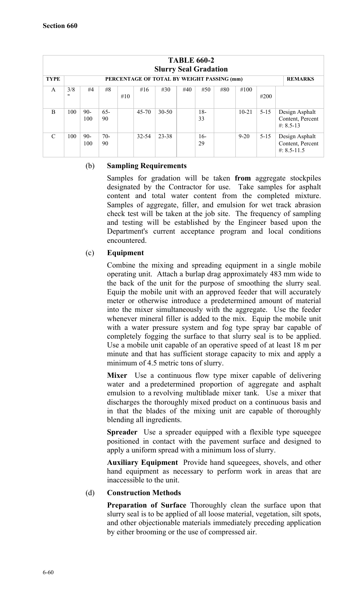| <b>TABLE 660-2</b><br><b>Slurry Seal Gradation</b> |          |              |              |     |           |                                            |     |             |     |          |          |                                                       |
|----------------------------------------------------|----------|--------------|--------------|-----|-----------|--------------------------------------------|-----|-------------|-----|----------|----------|-------------------------------------------------------|
| <b>TYPE</b>                                        |          |              |              |     |           | PERCENTAGE OF TOTAL BY WEIGHT PASSING (mm) |     |             |     |          |          | <b>REMARKS</b>                                        |
| A                                                  | 3/8<br>" | #4           | #8           | #10 | #16       | #30                                        | #40 | #50         | #80 | #100     | #200     |                                                       |
| B                                                  | 100      | $90-$<br>100 | $65 -$<br>90 |     | $45 - 70$ | 30-50                                      |     | $18-$<br>33 |     | $10-21$  | $5 - 15$ | Design Asphalt<br>Content, Percent<br>#: $8.5 - 13$   |
| $\mathcal{C}$                                      | 100      | $90-$<br>100 | $70-$<br>90  |     | 32-54     | 23-38                                      |     | $16-$<br>29 |     | $9 - 20$ | $5 - 15$ | Design Asphalt<br>Content, Percent<br>$\#$ : 8.5-11.5 |

#### (b) **Sampling Requirements**

Samples for gradation will be taken **from** aggregate stockpiles designated by the Contractor for use. Take samples for asphalt content and total water content from the completed mixture. Samples of aggregate, filler, and emulsion for wet track abrasion check test will be taken at the job site. The frequency of sampling and testing will be established by the Engineer based upon the Department's current acceptance program and local conditions encountered.

#### (c) **Equipment**

Combine the mixing and spreading equipment in a single mobile operating unit. Attach a burlap drag approximately 483 mm wide to the back of the unit for the purpose of smoothing the slurry seal. Equip the mobile unit with an approved feeder that will accurately meter or otherwise introduce a predetermined amount of material into the mixer simultaneously with the aggregate. Use the feeder whenever mineral filler is added to the mix. Equip the mobile unit with a water pressure system and fog type spray bar capable of completely fogging the surface to that slurry seal is to be applied. Use a mobile unit capable of an operative speed of at least 18 m per minute and that has sufficient storage capacity to mix and apply a minimum of 4.5 metric tons of slurry.

**Mixer** Use a continuous flow type mixer capable of delivering water and a predetermined proportion of aggregate and asphalt emulsion to a revolving multiblade mixer tank. Use a mixer that discharges the thoroughly mixed product on a continuous basis and in that the blades of the mixing unit are capable of thoroughly blending all ingredients.

**Spreader** Use a spreader equipped with a flexible type squeegee positioned in contact with the pavement surface and designed to apply a uniform spread with a minimum loss of slurry.

**Auxiliary Equipment** Provide hand squeegees, shovels, and other hand equipment as necessary to perform work in areas that are inaccessible to the unit.

#### (d) **Construction Methods**

**Preparation of Surface** Thoroughly clean the surface upon that slurry seal is to be applied of all loose material, vegetation, silt spots, and other objectionable materials immediately preceding application by either brooming or the use of compressed air.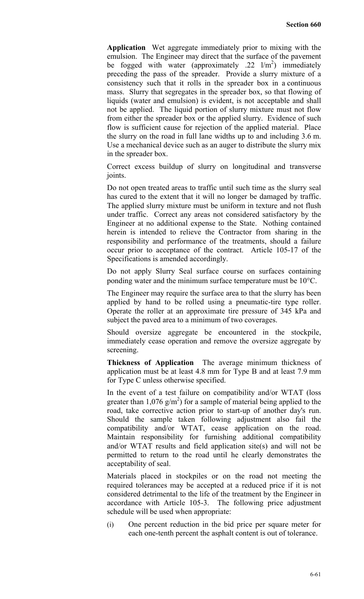**Application** Wet aggregate immediately prior to mixing with the emulsion. The Engineer may direct that the surface of the pavement be fogged with water (approximately .22  $1/m^2$ ) immediately preceding the pass of the spreader. Provide a slurry mixture of a consistency such that it rolls in the spreader box in a continuous mass. Slurry that segregates in the spreader box, so that flowing of liquids (water and emulsion) is evident, is not acceptable and shall not be applied. The liquid portion of slurry mixture must not flow from either the spreader box or the applied slurry. Evidence of such flow is sufficient cause for rejection of the applied material. Place the slurry on the road in full lane widths up to and including 3.6 m. Use a mechanical device such as an auger to distribute the slurry mix in the spreader box.

Correct excess buildup of slurry on longitudinal and transverse joints.

Do not open treated areas to traffic until such time as the slurry seal has cured to the extent that it will no longer be damaged by traffic. The applied slurry mixture must be uniform in texture and not flush under traffic. Correct any areas not considered satisfactory by the Engineer at no additional expense to the State. Nothing contained herein is intended to relieve the Contractor from sharing in the responsibility and performance of the treatments, should a failure occur prior to acceptance of the contract. Article 105-17 of the Specifications is amended accordingly.

Do not apply Slurry Seal surface course on surfaces containing ponding water and the minimum surface temperature must be 10°C.

The Engineer may require the surface area to that the slurry has been applied by hand to be rolled using a pneumatic-tire type roller. Operate the roller at an approximate tire pressure of 345 kPa and subject the paved area to a minimum of two coverages.

Should oversize aggregate be encountered in the stockpile, immediately cease operation and remove the oversize aggregate by screening.

**Thickness of Application** The average minimum thickness of application must be at least 4.8 mm for Type B and at least 7.9 mm for Type C unless otherwise specified.

In the event of a test failure on compatibility and/or WTAT (loss greater than  $1,076 \text{ g/m}^2$ ) for a sample of material being applied to the road, take corrective action prior to start-up of another day's run. Should the sample taken following adjustment also fail the compatibility and/or WTAT, cease application on the road. Maintain responsibility for furnishing additional compatibility and/or WTAT results and field application site(s) and will not be permitted to return to the road until he clearly demonstrates the acceptability of seal.

Materials placed in stockpiles or on the road not meeting the required tolerances may be accepted at a reduced price if it is not considered detrimental to the life of the treatment by the Engineer in accordance with Article 105-3. The following price adjustment schedule will be used when appropriate:

(i) One percent reduction in the bid price per square meter for each one-tenth percent the asphalt content is out of tolerance.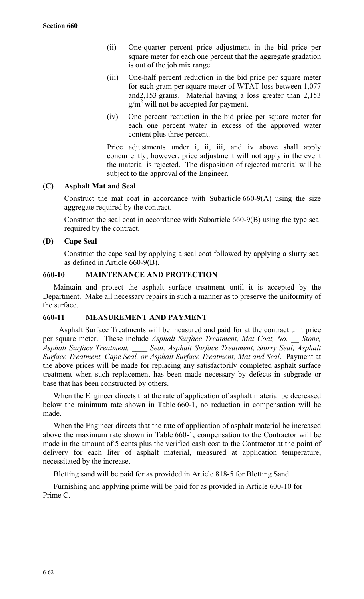- (ii) One-quarter percent price adjustment in the bid price per square meter for each one percent that the aggregate gradation is out of the job mix range.
- (iii) One-half percent reduction in the bid price per square meter for each gram per square meter of WTAT loss between 1,077 and2,153 grams. Material having a loss greater than 2,153  $g/m^2$  will not be accepted for payment.
- (iv) One percent reduction in the bid price per square meter for each one percent water in excess of the approved water content plus three percent.

Price adjustments under i, ii, iii, and iv above shall apply concurrently; however, price adjustment will not apply in the event the material is rejected. The disposition of rejected material will be subject to the approval of the Engineer.

# **(C) Asphalt Mat and Seal**

Construct the mat coat in accordance with Subarticle 660-9(A) using the size aggregate required by the contract.

Construct the seal coat in accordance with Subarticle 660-9(B) using the type seal required by the contract.

#### **(D) Cape Seal**

Construct the cape seal by applying a seal coat followed by applying a slurry seal as defined in Article 660-9(B).

#### **660-10 MAINTENANCE AND PROTECTION**

Maintain and protect the asphalt surface treatment until it is accepted by the Department. Make all necessary repairs in such a manner as to preserve the uniformity of the surface.

#### **660-11 MEASUREMENT AND PAYMENT**

Asphalt Surface Treatments will be measured and paid for at the contract unit price per square meter. These include *Asphalt Surface Treatment, Mat Coat, No. \_\_ Stone, Asphalt Surface Treatment, \_\_\_\_ Seal, Asphalt Surface Treatment, Slurry Seal, Asphalt Surface Treatment, Cape Seal, or Asphalt Surface Treatment, Mat and Seal*. Payment at the above prices will be made for replacing any satisfactorily completed asphalt surface treatment when such replacement has been made necessary by defects in subgrade or base that has been constructed by others.

When the Engineer directs that the rate of application of asphalt material be decreased below the minimum rate shown in Table 660-1, no reduction in compensation will be made.

When the Engineer directs that the rate of application of asphalt material be increased above the maximum rate shown in Table 660-1, compensation to the Contractor will be made in the amount of 5 cents plus the verified cash cost to the Contractor at the point of delivery for each liter of asphalt material, measured at application temperature, necessitated by the increase.

Blotting sand will be paid for as provided in Article 818-5 for Blotting Sand.

Furnishing and applying prime will be paid for as provided in Article 600-10 for Prime C.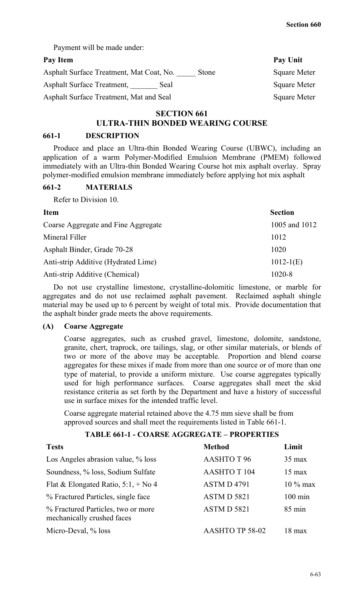Payment will be made under:

## Pay Item Pay Unit

| Asphalt Surface Treatment, Mat Coat, No. | Stone | <b>Square Meter</b> |
|------------------------------------------|-------|---------------------|
| Asphalt Surface Treatment,<br>Seal       |       | <b>Square Meter</b> |
| Asphalt Surface Treatment, Mat and Seal  |       | <b>Square Meter</b> |

# **SECTION 661**

# **ULTRA-THIN BONDED WEARING COURSE**

#### **661-1 DESCRIPTION**

Produce and place an Ultra-thin Bonded Wearing Course (UBWC), including an application of a warm Polymer-Modified Emulsion Membrane (PMEM) followed immediately with an Ultra-thin Bonded Wearing Course hot mix asphalt overlay. Spray polymer-modified emulsion membrane immediately before applying hot mix asphalt

#### **661-2 MATERIALS**

Refer to Division 10.

| <b>Item</b>                         | <b>Section</b> |
|-------------------------------------|----------------|
| Coarse Aggregate and Fine Aggregate | 1005 and 1012  |
| Mineral Filler                      | 1012           |
| Asphalt Binder, Grade 70-28         | 1020           |
| Anti-strip Additive (Hydrated Lime) | $1012 - 1(E)$  |
| Anti-strip Additive (Chemical)      | 1020-8         |

Do not use crystalline limestone, crystalline-dolomitic limestone, or marble for aggregates and do not use reclaimed asphalt pavement. Reclaimed asphalt shingle material may be used up to 6 percent by weight of total mix. Provide documentation that the asphalt binder grade meets the above requirements.

#### **(A) Coarse Aggregate**

Coarse aggregates, such as crushed gravel, limestone, dolomite, sandstone, granite, chert, traprock, ore tailings, slag, or other similar materials, or blends of two or more of the above may be acceptable. Proportion and blend coarse aggregates for these mixes if made from more than one source or of more than one type of material, to provide a uniform mixture. Use coarse aggregates typically used for high performance surfaces. Coarse aggregates shall meet the skid resistance criteria as set forth by the Department and have a history of successful use in surface mixes for the intended traffic level.

Coarse aggregate material retained above the 4.75 mm sieve shall be from approved sources and shall meet the requirements listed in Table 661-1.

# **TABLE 661-1 - COARSE AGGREGATE – PROPERTIES**

| <b>Tests</b>                                                     | <b>Method</b>          | Limit             |
|------------------------------------------------------------------|------------------------|-------------------|
| Los Angeles abrasion value, % loss                               | <b>AASHTOT 96</b>      | $35 \text{ max}$  |
| Soundness, % loss, Sodium Sulfate                                | <b>AASHTO T 104</b>    | $15 \text{ max}$  |
| Flat & Elongated Ratio, $5:1, +N_0 4$                            | <b>ASTMD4791</b>       | $10\%$ max        |
| % Fractured Particles, single face                               | ASTM D 5821            | $100 \text{ min}$ |
| % Fractured Particles, two or more<br>mechanically crushed faces | ASTMD 5821             | $85 \text{ min}$  |
| Micro-Deval, % loss                                              | <b>AASHTO TP 58-02</b> | $18 \text{ max}$  |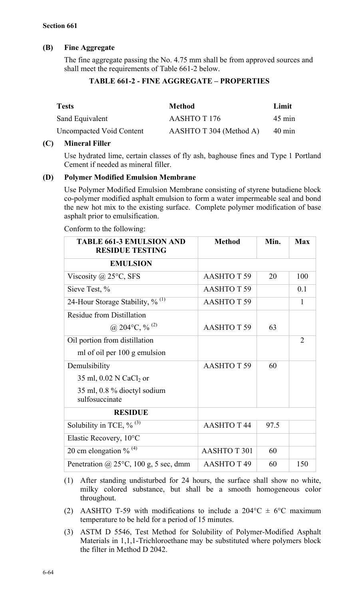# **(B) Fine Aggregate**

The fine aggregate passing the No. 4.75 mm shall be from approved sources and shall meet the requirements of Table 661-2 below.

# **TABLE 661-2 - FINE AGGREGATE – PROPERTIES**

| <b>Tests</b>             | <b>Method</b>           | Limit            |
|--------------------------|-------------------------|------------------|
| Sand Equivalent          | AASHTO T 176            | $45 \text{ min}$ |
| Uncompacted Void Content | AASHTO T 304 (Method A) | $40 \text{ min}$ |

#### **(C) Mineral Filler**

Use hydrated lime, certain classes of fly ash, baghouse fines and Type 1 Portland Cement if needed as mineral filler.

#### **(D) Polymer Modified Emulsion Membrane**

Use Polymer Modified Emulsion Membrane consisting of styrene butadiene block co-polymer modified asphalt emulsion to form a water impermeable seal and bond the new hot mix to the existing surface. Complete polymer modification of base asphalt prior to emulsification.

Conform to the following:

| <b>TABLE 661-3 EMULSION AND</b><br><b>RESIDUE TESTING</b> | <b>Method</b>          | Min. | <b>Max</b>     |
|-----------------------------------------------------------|------------------------|------|----------------|
| <b>EMULSION</b>                                           |                        |      |                |
| Viscosity @ 25°C, SFS                                     | <b>AASHTOT 59</b>      | 20   | 100            |
| Sieve Test, %                                             | <b>AASHTOT 59</b>      |      | 0.1            |
| 24-Hour Storage Stability, $\frac{9}{6}$ <sup>(1)</sup>   | <b>AASHTOT 59</b>      |      | 1              |
| <b>Residue from Distillation</b>                          |                        |      |                |
| @ 204 °C, $\%$ <sup>(2)</sup>                             | <b>AASHTOT 59</b>      | 63   |                |
| Oil portion from distillation                             |                        |      | $\overline{2}$ |
| ml of oil per 100 g emulsion                              |                        |      |                |
| Demulsibility                                             | <b>AASHTOT 59</b>      | 60   |                |
| 35 ml, 0.02 N CaCl <sub>2</sub> or                        |                        |      |                |
| 35 ml, 0.8 % dioctyl sodium<br>sulfosuccinate             |                        |      |                |
| <b>RESIDUE</b>                                            |                        |      |                |
| Solubility in TCE, $\%$ <sup>(3)</sup>                    | <b>AASHTOT44</b>       | 97.5 |                |
| Elastic Recovery, 10°C                                    |                        |      |                |
| 20 cm elongation % $(4)$                                  | <b>AASHTOT 301</b>     | 60   |                |
| Penetration @ $25^{\circ}$ C, 100 g, 5 sec, dmm           | AASHTO T <sub>49</sub> | 60   | 150            |

- (1) After standing undisturbed for 24 hours, the surface shall show no white, milky colored substance, but shall be a smooth homogeneous color throughout.
- (2) AASHTO T-59 with modifications to include a 204 °C  $\pm$  6 °C maximum temperature to be held for a period of 15 minutes.
- (3) ASTM D 5546, Test Method for Solubility of Polymer-Modified Asphalt Materials in 1,1,1-Trichloroethane may be substituted where polymers block the filter in Method D 2042.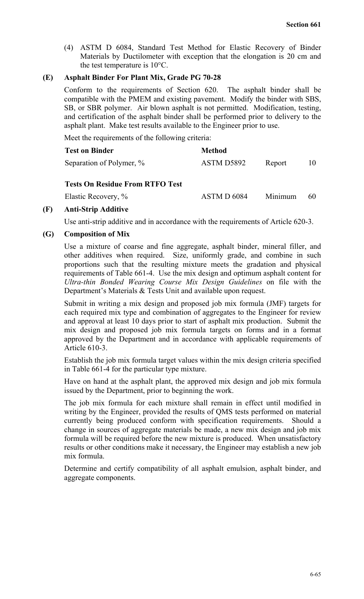(4) ASTM D 6084, Standard Test Method for Elastic Recovery of Binder Materials by Ductilometer with exception that the elongation is 20 cm and the test temperature is 10°C.

### **(E) Asphalt Binder For Plant Mix, Grade PG 70-28**

Conform to the requirements of Section 620. The asphalt binder shall be compatible with the PMEM and existing pavement. Modify the binder with SBS, SB, or SBR polymer. Air blown asphalt is not permitted. Modification, testing, and certification of the asphalt binder shall be performed prior to delivery to the asphalt plant. Make test results available to the Engineer prior to use.

Meet the requirements of the following criteria:

| <b>Test on Binder</b>    | <b>Method</b> |        |  |
|--------------------------|---------------|--------|--|
| Separation of Polymer, % | ASTM D5892    | Report |  |

#### **Tests On Residue From RTFO Test**

Elastic Recovery, % ASTM D 6084 Minimum 60

#### **(F) Anti-Strip Additive**

Use anti-strip additive and in accordance with the requirements of Article 620-3.

#### **(G) Composition of Mix**

Use a mixture of coarse and fine aggregate, asphalt binder, mineral filler, and other additives when required. Size, uniformly grade, and combine in such proportions such that the resulting mixture meets the gradation and physical requirements of Table 661-4. Use the mix design and optimum asphalt content for *Ultra-thin Bonded Wearing Course Mix Design Guidelines* on file with the Department's Materials & Tests Unit and available upon request.

Submit in writing a mix design and proposed job mix formula (JMF) targets for each required mix type and combination of aggregates to the Engineer for review and approval at least 10 days prior to start of asphalt mix production. Submit the mix design and proposed job mix formula targets on forms and in a format approved by the Department and in accordance with applicable requirements of Article 610-3.

Establish the job mix formula target values within the mix design criteria specified in Table 661-4 for the particular type mixture.

Have on hand at the asphalt plant, the approved mix design and job mix formula issued by the Department, prior to beginning the work.

The job mix formula for each mixture shall remain in effect until modified in writing by the Engineer, provided the results of QMS tests performed on material currently being produced conform with specification requirements. Should a change in sources of aggregate materials be made, a new mix design and job mix formula will be required before the new mixture is produced. When unsatisfactory results or other conditions make it necessary, the Engineer may establish a new job mix formula.

Determine and certify compatibility of all asphalt emulsion, asphalt binder, and aggregate components.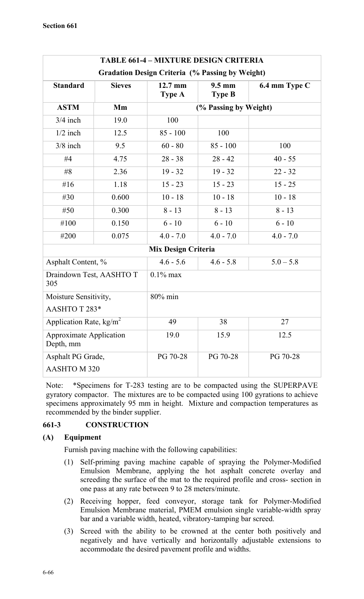| <b>TABLE 661-4 - MIXTURE DESIGN CRITERIA</b>           |               |                          |                                   |               |  |  |
|--------------------------------------------------------|---------------|--------------------------|-----------------------------------|---------------|--|--|
| <b>Gradation Design Criteria (% Passing by Weight)</b> |               |                          |                                   |               |  |  |
| <b>Standard</b>                                        | <b>Sieves</b> | 12.7 mm<br><b>Type A</b> | $9.5 \text{ mm}$<br><b>Type B</b> | 6.4 mm Type C |  |  |
| <b>ASTM</b>                                            | Mm            |                          | (% Passing by Weight)             |               |  |  |
| $3/4$ inch                                             | 19.0          | 100                      |                                   |               |  |  |
| $1/2$ inch                                             | 12.5          | $85 - 100$               | 100                               |               |  |  |
| $3/8$ inch                                             | 9.5           | $60 - 80$                | $85 - 100$                        | 100           |  |  |
| #4                                                     | 4.75          | $28 - 38$                | $28 - 42$                         | $40 - 55$     |  |  |
| #8                                                     | 2.36          | $19 - 32$                | $19 - 32$                         | $22 - 32$     |  |  |
| #16                                                    | 1.18          | $15 - 23$                | $15 - 23$                         | $15 - 25$     |  |  |
| #30                                                    | 0.600         | $10 - 18$                | $10 - 18$                         | $10 - 18$     |  |  |
| #50                                                    | 0.300         | $8 - 13$                 | $8 - 13$                          | $8 - 13$      |  |  |
| #100                                                   | 0.150         | $6 - 10$                 | $6 - 10$                          | $6 - 10$      |  |  |
| #200                                                   | 0.075         | $4.0 - 7.0$              | $4.0 - 7.0$                       | $4.0 - 7.0$   |  |  |
| <b>Mix Design Criteria</b>                             |               |                          |                                   |               |  |  |
| Asphalt Content, %                                     |               | $4.6 - 5.6$              | $4.6 - 5.8$                       | $5.0 - 5.8$   |  |  |
| Draindown Test, AASHTO T<br>305                        |               | $0.1\%$ max              |                                   |               |  |  |
| Moisture Sensitivity,                                  |               | 80% min                  |                                   |               |  |  |
| AASHTO T 283*                                          |               |                          |                                   |               |  |  |
| Application Rate, $\text{kg/m}^2$                      |               | 49                       | 38                                | 27            |  |  |
| <b>Approximate Application</b><br>Depth, mm            |               | 19.0                     | 15.9                              | 12.5          |  |  |
| Asphalt PG Grade,<br>AASHTO M 320                      |               | PG 70-28                 | PG 70-28                          | PG 70-28      |  |  |

Note: \*Specimens for T-283 testing are to be compacted using the SUPERPAVE gyratory compactor. The mixtures are to be compacted using 100 gyrations to achieve specimens approximately 95 mm in height. Mixture and compaction temperatures as recommended by the binder supplier.

# **661-3 CONSTRUCTION**

#### **(A) Equipment**

Furnish paving machine with the following capabilities:

- (1) Self-priming paving machine capable of spraying the Polymer-Modified Emulsion Membrane, applying the hot asphalt concrete overlay and screeding the surface of the mat to the required profile and cross- section in one pass at any rate between 9 to 28 meters/minute.
- (2) Receiving hopper, feed conveyor, storage tank for Polymer-Modified Emulsion Membrane material, PMEM emulsion single variable-width spray bar and a variable width, heated, vibratory-tamping bar screed.
- (3) Screed with the ability to be crowned at the center both positively and negatively and have vertically and horizontally adjustable extensions to accommodate the desired pavement profile and widths.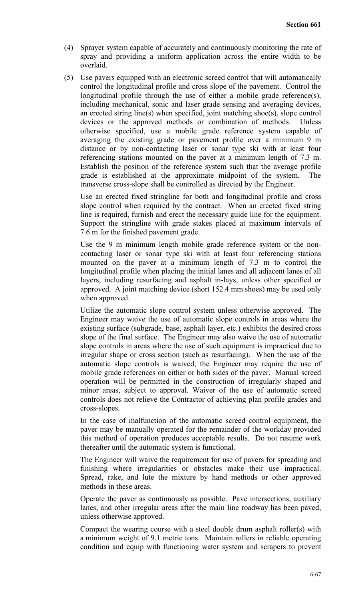- (4) Sprayer system capable of accurately and continuously monitoring the rate of spray and providing a uniform application across the entire width to be overlaid.
- (5) Use pavers equipped with an electronic screed control that will automatically control the longitudinal profile and cross slope of the pavement. Control the longitudinal profile through the use of either a mobile grade reference(s), including mechanical, sonic and laser grade sensing and averaging devices, an erected string line(s) when specified, joint matching shoe(s), slope control devices or the approved methods or combination of methods. Unless otherwise specified, use a mobile grade reference system capable of averaging the existing grade or pavement profile over a minimum 9 m distance or by non-contacting laser or sonar type ski with at least four referencing stations mounted on the paver at a minimum length of 7.3 m. Establish the position of the reference system such that the average profile grade is established at the approximate midpoint of the system. The transverse cross-slope shall be controlled as directed by the Engineer.

Use an erected fixed stringline for both and longitudinal profile and cross slope control when required by the contract. When an erected fixed string line is required, furnish and erect the necessary guide line for the equipment. Support the stringline with grade stakes placed at maximum intervals of 7.6 m for the finished pavement grade.

Use the 9 m minimum length mobile grade reference system or the noncontacting laser or sonar type ski with at least four referencing stations mounted on the paver at a minimum length of 7.3 m to control the longitudinal profile when placing the initial lanes and all adjacent lanes of all layers, including resurfacing and asphalt in-lays, unless other specified or approved. A joint matching device (short 152.4 mm shoes) may be used only when approved.

Utilize the automatic slope control system unless otherwise approved. The Engineer may waive the use of automatic slope controls in areas where the existing surface (subgrade, base, asphalt layer, etc.) exhibits the desired cross slope of the final surface. The Engineer may also waive the use of automatic slope controls in areas where the use of such equipment is impractical due to irregular shape or cross section (such as resurfacing). When the use of the automatic slope controls is waived, the Engineer may require the use of mobile grade references on either or both sides of the paver. Manual screed operation will be permitted in the construction of irregularly shaped and minor areas, subject to approval. Waiver of the use of automatic screed controls does not relieve the Contractor of achieving plan profile grades and cross-slopes.

In the case of malfunction of the automatic screed control equipment, the paver may be manually operated for the remainder of the workday provided this method of operation produces acceptable results. Do not resume work thereafter until the automatic system is functional.

The Engineer will waive the requirement for use of pavers for spreading and finishing where irregularities or obstacles make their use impractical. Spread, rake, and lute the mixture by hand methods or other approved methods in these areas.

Operate the paver as continuously as possible. Pave intersections, auxiliary lanes, and other irregular areas after the main line roadway has been paved, unless otherwise approved.

Compact the wearing course with a steel double drum asphalt roller(s) with a minimum weight of 9.1 metric tons. Maintain rollers in reliable operating condition and equip with functioning water system and scrapers to prevent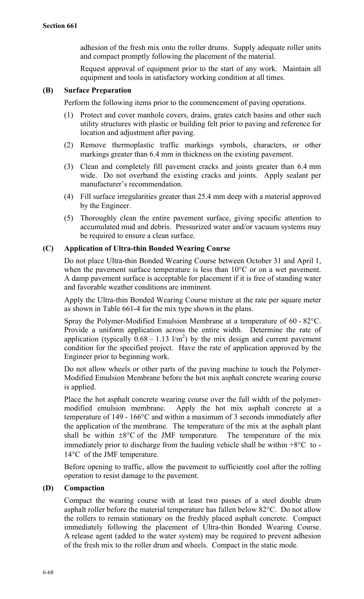adhesion of the fresh mix onto the roller drums. Supply adequate roller units and compact promptly following the placement of the material.

Request approval of equipment prior to the start of any work. Maintain all equipment and tools in satisfactory working condition at all times.

#### **(B) Surface Preparation**

Perform the following items prior to the commencement of paving operations.

- (1) Protect and cover manhole covers, drains, grates catch basins and other such utility structures with plastic or building felt prior to paving and reference for location and adjustment after paving.
- (2) Remove thermoplastic traffic markings symbols, characters, or other markings greater than 6.4 mm in thickness on the existing pavement.
- (3) Clean and completely fill pavement cracks and joints greater than 6.4 mm wide. Do not overband the existing cracks and joints. Apply sealant per manufacturer's recommendation.
- (4) Fill surface irregularities greater than 25.4 mm deep with a material approved by the Engineer.
- (5) Thoroughly clean the entire pavement surface, giving specific attention to accumulated mud and debris. Pressurized water and/or vacuum systems may be required to ensure a clean surface.

#### **(C) Application of Ultra-thin Bonded Wearing Course**

Do not place Ultra-thin Bonded Wearing Course between October 31 and April 1, when the pavement surface temperature is less than  $10^{\circ}$ C or on a wet pavement. A damp pavement surface is acceptable for placement if it is free of standing water and favorable weather conditions are imminent.

Apply the Ultra-thin Bonded Wearing Course mixture at the rate per square meter as shown in Table 661-4 for the mix type shown in the plans.

Spray the Polymer-Modified Emulsion Membrane at a temperature of 60 - 82°C. Provide a uniform application across the entire width. Determine the rate of application (typically  $0.68 - 1.13$  l/m<sup>2</sup>) by the mix design and current pavement condition for the specified project. Have the rate of application approved by the Engineer prior to beginning work.

Do not allow wheels or other parts of the paving machine to touch the Polymer-Modified Emulsion Membrane before the hot mix asphalt concrete wearing course is applied.

Place the hot asphalt concrete wearing course over the full width of the polymermodified emulsion membrane. Apply the hot mix asphalt concrete at a temperature of 149 - 166°C and within a maximum of 3 seconds immediately after the application of the membrane. The temperature of the mix at the asphalt plant shall be within  $\pm 8^{\circ}$ C of the JMF temperature. The temperature of the mix immediately prior to discharge from the hauling vehicle shall be within  $+8\degree$ C to -14°C of the JMF temperature.

Before opening to traffic, allow the pavement to sufficiently cool after the rolling operation to resist damage to the pavement.

#### **(D) Compaction**

Compact the wearing course with at least two passes of a steel double drum asphalt roller before the material temperature has fallen below 82°C. Do not allow the rollers to remain stationary on the freshly placed asphalt concrete. Compact immediately following the placement of Ultra-thin Bonded Wearing Course. A release agent (added to the water system) may be required to prevent adhesion of the fresh mix to the roller drum and wheels. Compact in the static mode.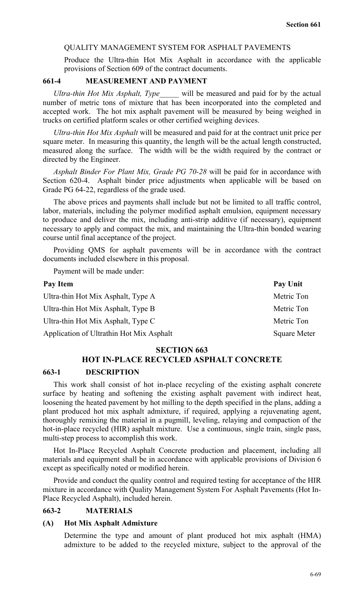#### QUALITY MANAGEMENT SYSTEM FOR ASPHALT PAVEMENTS

Produce the Ultra-thin Hot Mix Asphalt in accordance with the applicable provisions of Section 609 of the contract documents.

#### **661-4 MEASUREMENT AND PAYMENT**

*Ultra-thin Hot Mix Asphalt, Type\_\_\_\_\_* will be measured and paid for by the actual number of metric tons of mixture that has been incorporated into the completed and accepted work. The hot mix asphalt pavement will be measured by being weighed in trucks on certified platform scales or other certified weighing devices.

*Ultra-thin Hot Mix Asphalt* will be measured and paid for at the contract unit price per square meter. In measuring this quantity, the length will be the actual length constructed, measured along the surface. The width will be the width required by the contract or directed by the Engineer.

*Asphalt Binder For Plant Mix, Grade PG 70-28* will be paid for in accordance with Section 620-4. Asphalt binder price adjustments when applicable will be based on Grade PG 64-22, regardless of the grade used.

The above prices and payments shall include but not be limited to all traffic control, labor, materials, including the polymer modified asphalt emulsion, equipment necessary to produce and deliver the mix, including anti-strip additive (if necessary), equipment necessary to apply and compact the mix, and maintaining the Ultra-thin bonded wearing course until final acceptance of the project.

Providing QMS for asphalt pavements will be in accordance with the contract documents included elsewhere in this proposal.

Payment will be made under:

| Pay Item                                 | Pay Unit            |
|------------------------------------------|---------------------|
| Ultra-thin Hot Mix Asphalt, Type A       | Metric Ton          |
| Ultra-thin Hot Mix Asphalt, Type B       | Metric Ton          |
| Ultra-thin Hot Mix Asphalt, Type C       | Metric Ton          |
| Application of Ultrathin Hot Mix Asphalt | <b>Square Meter</b> |

#### **SECTION 663**

# **HOT IN-PLACE RECYCLED ASPHALT CONCRETE**

#### **663-1 DESCRIPTION**

This work shall consist of hot in-place recycling of the existing asphalt concrete surface by heating and softening the existing asphalt pavement with indirect heat, loosening the heated pavement by hot milling to the depth specified in the plans, adding a plant produced hot mix asphalt admixture, if required, applying a rejuvenating agent, thoroughly remixing the material in a pugmill, leveling, relaying and compaction of the hot-in-place recycled (HIR) asphalt mixture. Use a continuous, single train, single pass, multi-step process to accomplish this work.

Hot In-Place Recycled Asphalt Concrete production and placement, including all materials and equipment shall be in accordance with applicable provisions of Division 6 except as specifically noted or modified herein.

Provide and conduct the quality control and required testing for acceptance of the HIR mixture in accordance with Quality Management System For Asphalt Pavements (Hot In-Place Recycled Asphalt), included herein.

#### **663-2 MATERIALS**

#### **(A) Hot Mix Asphalt Admixture**

Determine the type and amount of plant produced hot mix asphalt (HMA) admixture to be added to the recycled mixture, subject to the approval of the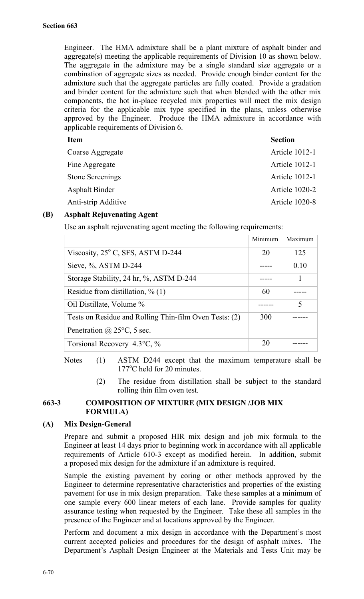Engineer. The HMA admixture shall be a plant mixture of asphalt binder and aggregate(s) meeting the applicable requirements of Division 10 as shown below. The aggregate in the admixture may be a single standard size aggregate or a combination of aggregate sizes as needed. Provide enough binder content for the admixture such that the aggregate particles are fully coated. Provide a gradation and binder content for the admixture such that when blended with the other mix components, the hot in-place recycled mix properties will meet the mix design criteria for the applicable mix type specified in the plans, unless otherwise approved by the Engineer. Produce the HMA admixture in accordance with applicable requirements of Division 6.

| <b>Item</b>             | <b>Section</b>        |
|-------------------------|-----------------------|
| Coarse Aggregate        | <b>Article 1012-1</b> |
| Fine Aggregate          | <b>Article 1012-1</b> |
| <b>Stone Screenings</b> | <b>Article 1012-1</b> |
| <b>Asphalt Binder</b>   | Article 1020-2        |
| Anti-strip Additive     | Article 1020-8        |
|                         |                       |

# **(B) Asphalt Rejuvenating Agent**

Use an asphalt rejuvenating agent meeting the following requirements:

|                                                        | Minimum | Maximum |
|--------------------------------------------------------|---------|---------|
| Viscosity, $25^{\circ}$ C, SFS, ASTM D-244             | 20      | 125     |
| Sieve, $\%$ , ASTM D-244                               |         | 0.10    |
| Storage Stability, 24 hr, %, ASTM D-244                |         | 1       |
| Residue from distillation, $\%$ (1)                    | 60      |         |
| Oil Distillate, Volume %                               |         | 5       |
| Tests on Residue and Rolling Thin-film Oven Tests: (2) | 300     |         |
| Penetration @ $25^{\circ}$ C, 5 sec.                   |         |         |
| Torsional Recovery $4.3^{\circ}$ C, %                  | 20      |         |

Notes (1) ASTM D244 except that the maximum temperature shall be 177°C held for 20 minutes.

> (2) The residue from distillation shall be subject to the standard rolling thin film oven test.

# **663-3 COMPOSITION OF MIXTURE (MIX DESIGN /JOB MIX FORMULA)**

#### **(A) Mix Design-General**

Prepare and submit a proposed HIR mix design and job mix formula to the Engineer at least 14 days prior to beginning work in accordance with all applicable requirements of Article 610-3 except as modified herein. In addition, submit a proposed mix design for the admixture if an admixture is required.

Sample the existing pavement by coring or other methods approved by the Engineer to determine representative characteristics and properties of the existing pavement for use in mix design preparation. Take these samples at a minimum of one sample every 600 linear meters of each lane. Provide samples for quality assurance testing when requested by the Engineer. Take these all samples in the presence of the Engineer and at locations approved by the Engineer.

Perform and document a mix design in accordance with the Department's most current accepted policies and procedures for the design of asphalt mixes. The Department's Asphalt Design Engineer at the Materials and Tests Unit may be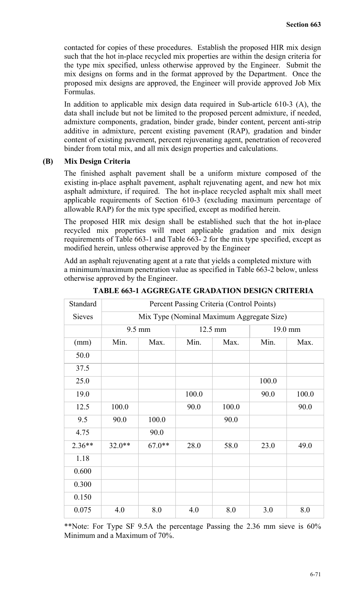contacted for copies of these procedures. Establish the proposed HIR mix design such that the hot in-place recycled mix properties are within the design criteria for the type mix specified, unless otherwise approved by the Engineer. Submit the mix designs on forms and in the format approved by the Department. Once the proposed mix designs are approved, the Engineer will provide approved Job Mix Formulas.

In addition to applicable mix design data required in Sub-article 610-3 (A), the data shall include but not be limited to the proposed percent admixture, if needed, admixture components, gradation, binder grade, binder content, percent anti-strip additive in admixture, percent existing pavement (RAP), gradation and binder content of existing pavement, percent rejuvenating agent, penetration of recovered binder from total mix, and all mix design properties and calculations.

### **(B) Mix Design Criteria**

The finished asphalt pavement shall be a uniform mixture composed of the existing in-place asphalt pavement, asphalt rejuvenating agent, and new hot mix asphalt admixture, if required. The hot in-place recycled asphalt mix shall meet applicable requirements of Section 610-3 (excluding maximum percentage of allowable RAP) for the mix type specified, except as modified herein.

The proposed HIR mix design shall be established such that the hot in-place recycled mix properties will meet applicable gradation and mix design requirements of Table 663-1 and Table 663- 2 for the mix type specified, except as modified herein, unless otherwise approved by the Engineer

Add an asphalt rejuvenating agent at a rate that yields a completed mixture with a minimum/maximum penetration value as specified in Table 663-2 below, unless otherwise approved by the Engineer.

| Standard      | Percent Passing Criteria (Control Points) |          |       |         |         |       |  |
|---------------|-------------------------------------------|----------|-------|---------|---------|-------|--|
| <b>Sieves</b> | Mix Type (Nominal Maximum Aggregate Size) |          |       |         |         |       |  |
|               |                                           | 9.5 mm   |       | 12.5 mm | 19.0 mm |       |  |
| (mm)          | Min.                                      | Max.     | Min.  | Max.    | Min.    | Max.  |  |
| 50.0          |                                           |          |       |         |         |       |  |
| 37.5          |                                           |          |       |         |         |       |  |
| 25.0          |                                           |          |       |         | 100.0   |       |  |
| 19.0          |                                           |          | 100.0 |         | 90.0    | 100.0 |  |
| 12.5          | 100.0                                     |          | 90.0  | 100.0   |         | 90.0  |  |
| 9.5           | 90.0                                      | 100.0    |       | 90.0    |         |       |  |
| 4.75          |                                           | 90.0     |       |         |         |       |  |
| $2.36**$      | $32.0**$                                  | $67.0**$ | 28.0  | 58.0    | 23.0    | 49.0  |  |
| 1.18          |                                           |          |       |         |         |       |  |
| 0.600         |                                           |          |       |         |         |       |  |
| 0.300         |                                           |          |       |         |         |       |  |
| 0.150         |                                           |          |       |         |         |       |  |
| 0.075         | 4.0                                       | 8.0      | 4.0   | 8.0     | 3.0     | 8.0   |  |

**TABLE 663-1 AGGREGATE GRADATION DESIGN CRITERIA**

\*\*Note: For Type SF 9.5A the percentage Passing the 2.36 mm sieve is 60% Minimum and a Maximum of 70%.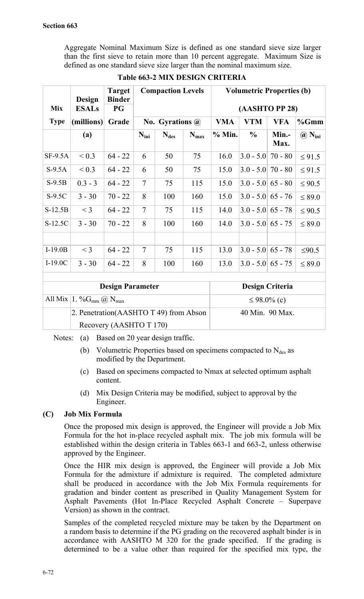Aggregate Nominal Maximum Size is defined as one standard sieve size larger than the first sieve to retain more than 10 percent aggregate. Maximum Size is defined as one standard sieve size larger than the nominal maximum size.

| <b>Mix</b>  | Design<br><b>ESALs</b> | <b>Target</b><br><b>Binder</b><br><b>PG</b> | <b>Compaction Levels</b> |                        | <b>Volumetric Properties (b)</b><br>(AASHTO PP 28) |            |                     |               |                                             |
|-------------|------------------------|---------------------------------------------|--------------------------|------------------------|----------------------------------------------------|------------|---------------------|---------------|---------------------------------------------|
| <b>Type</b> | (millions)             | Grade                                       |                          | No. Gyrations $\omega$ |                                                    | <b>VMA</b> | <b>VTM</b>          | <b>VFA</b>    | %Gmm                                        |
|             | (a)                    |                                             | $N_{\text{ini}}$         | $N_{des}$              | $N_{max}$                                          | % Min.     | $\frac{0}{0}$       | Min.-<br>Max. | $\left(\widehat{a}\right)$ N <sub>ini</sub> |
| $SF-9.5A$   | ${}_{0.3}$             | $64 - 22$                                   | 6                        | 50                     | 75                                                 | 16.0       | $3.0 - 5.0$         | $70 - 80$     | $\leq 91.5$                                 |
| $S-9.5A$    | ${}_{0.3}$             | $64 - 22$                                   | 6                        | 50                     | 75                                                 | 15.0       | $3.0 - 5.0$ 70 - 80 |               | $\leq 91.5$                                 |
| $S-9.5B$    | $0.3 - 3$              | $64 - 22$                                   | $\overline{7}$           | 75                     | 115                                                | 15.0       | $3.0 - 5.0$ 65 - 80 |               | $\leq 90.5$                                 |
| $S-9.5C$    | $3 - 30$               | $70 - 22$                                   | 8                        | 100                    | 160                                                | 15.0       | $3.0 - 5.0$ 65 - 76 |               | $\leq$ 89.0                                 |
| $S-12.5B$   | $<$ 3                  | $64 - 22$                                   | $\tau$                   | 75                     | 115                                                | 14.0       | $3.0 - 5.0$ 65 - 78 |               | $\leq 90.5$                                 |
| $S-12.5C$   | $3 - 30$               | $70 - 22$                                   | 8                        | 100                    | 160                                                | 14.0       | $3.0 - 5.0$ 65 - 75 |               | $\leq$ 89.0                                 |
|             |                        |                                             |                          |                        |                                                    |            |                     |               |                                             |
| $I-19.0B$   | $<$ 3                  | $64 - 22$                                   | $\tau$                   | 75                     | 115                                                | 13.0       | $3.0 - 5.0$         | $65 - 78$     | $\leq 90.5$                                 |
| $I-19.0C$   | $3 - 30$               | $64 - 22$                                   | 8                        | 100                    | 160                                                | 13.0       | $3.0 - 5.0$ 65 - 75 |               | $\leq$ 89.0                                 |

# **Table 663-2 MIX DESIGN CRITERIA**

| <b>Design Parameter</b>                 | Design Criteria   |  |  |
|-----------------------------------------|-------------------|--|--|
| All Mix 1. % $G_{mm}$ (a) $N_{max}$     | $\leq 98.0\%$ (c) |  |  |
| 2. Penetration (AASHTO T 49) from Abson | 40 Min. 90 Max.   |  |  |
| Recovery (AASHTO T 170)                 |                   |  |  |

Notes: (a) Based on 20 year design traffic.

- (b) Volumetric Properties based on specimens compacted to  $N_{des}$  as modified by the Department.
- (c) Based on specimens compacted to Nmax at selected optimum asphalt content.
- (d) Mix Design Criteria may be modified, subject to approval by the Engineer.

# **(C) Job Mix Formula**

Once the proposed mix design is approved, the Engineer will provide a Job Mix Formula for the hot in-place recycled asphalt mix. The job mix formula will be established within the design criteria in Tables 663-1 and 663-2, unless otherwise approved by the Engineer.

Once the HIR mix design is approved, the Engineer will provide a Job Mix Formula for the admixture if admixture is required. The completed admixture shall be produced in accordance with the Job Mix Formula requirements for gradation and binder content as prescribed in Quality Management System for Asphalt Pavements (Hot In-Place Recycled Asphalt Concrete – Superpave Version) as shown in the contract.

Samples of the completed recycled mixture may be taken by the Department on a random basis to determine if the PG grading on the recovered asphalt binder is in accordance with AASHTO M 320 for the grade specified. If the grading is determined to be a value other than required for the specified mix type, the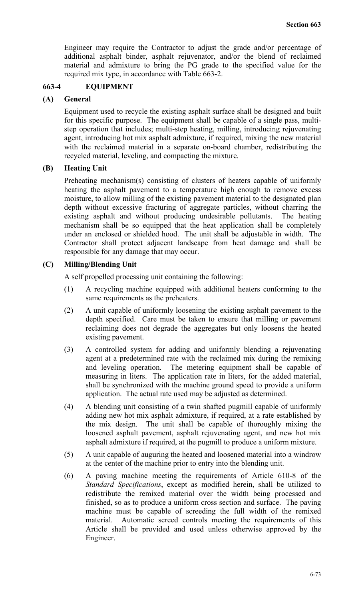Engineer may require the Contractor to adjust the grade and/or percentage of additional asphalt binder, asphalt rejuvenator, and/or the blend of reclaimed material and admixture to bring the PG grade to the specified value for the required mix type, in accordance with Table 663-2.

# **663-4 EQUIPMENT**

#### **(A) General**

Equipment used to recycle the existing asphalt surface shall be designed and built for this specific purpose. The equipment shall be capable of a single pass, multistep operation that includes; multi-step heating, milling, introducing rejuvenating agent, introducing hot mix asphalt admixture, if required, mixing the new material with the reclaimed material in a separate on-board chamber, redistributing the recycled material, leveling, and compacting the mixture.

#### **(B) Heating Unit**

Preheating mechanism(s) consisting of clusters of heaters capable of uniformly heating the asphalt pavement to a temperature high enough to remove excess moisture, to allow milling of the existing pavement material to the designated plan depth without excessive fracturing of aggregate particles, without charring the existing asphalt and without producing undesirable pollutants. The heating mechanism shall be so equipped that the heat application shall be completely under an enclosed or shielded hood. The unit shall be adjustable in width. The Contractor shall protect adjacent landscape from heat damage and shall be responsible for any damage that may occur.

#### **(C) Milling/Blending Unit**

A self propelled processing unit containing the following:

- (1) A recycling machine equipped with additional heaters conforming to the same requirements as the preheaters.
- (2) A unit capable of uniformly loosening the existing asphalt pavement to the depth specified. Care must be taken to ensure that milling or pavement reclaiming does not degrade the aggregates but only loosens the heated existing pavement.
- (3) A controlled system for adding and uniformly blending a rejuvenating agent at a predetermined rate with the reclaimed mix during the remixing and leveling operation. The metering equipment shall be capable of measuring in liters. The application rate in liters, for the added material, shall be synchronized with the machine ground speed to provide a uniform application. The actual rate used may be adjusted as determined.
- (4) A blending unit consisting of a twin shafted pugmill capable of uniformly adding new hot mix asphalt admixture, if required, at a rate established by the mix design. The unit shall be capable of thoroughly mixing the loosened asphalt pavement, asphalt rejuvenating agent, and new hot mix asphalt admixture if required, at the pugmill to produce a uniform mixture.
- (5) A unit capable of auguring the heated and loosened material into a windrow at the center of the machine prior to entry into the blending unit.
- (6) A paving machine meeting the requirements of Article 610-8 of the *Standard Specifications*, except as modified herein, shall be utilized to redistribute the remixed material over the width being processed and finished, so as to produce a uniform cross section and surface. The paving machine must be capable of screeding the full width of the remixed material. Automatic screed controls meeting the requirements of this Article shall be provided and used unless otherwise approved by the Engineer.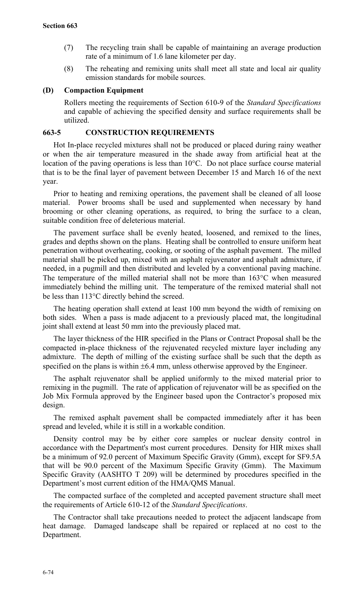- (7) The recycling train shall be capable of maintaining an average production rate of a minimum of 1.6 lane kilometer per day.
- (8) The reheating and remixing units shall meet all state and local air quality emission standards for mobile sources.

### **(D) Compaction Equipment**

Rollers meeting the requirements of Section 610-9 of the *Standard Specifications* and capable of achieving the specified density and surface requirements shall be utilized.

### **663-5 CONSTRUCTION REQUIREMENTS**

Hot In-place recycled mixtures shall not be produced or placed during rainy weather or when the air temperature measured in the shade away from artificial heat at the location of the paving operations is less than 10°C. Do not place surface course material that is to be the final layer of pavement between December 15 and March 16 of the next year.

Prior to heating and remixing operations, the pavement shall be cleaned of all loose material. Power brooms shall be used and supplemented when necessary by hand brooming or other cleaning operations, as required, to bring the surface to a clean, suitable condition free of deleterious material.

The pavement surface shall be evenly heated, loosened, and remixed to the lines, grades and depths shown on the plans. Heating shall be controlled to ensure uniform heat penetration without overheating, cooking, or sooting of the asphalt pavement. The milled material shall be picked up, mixed with an asphalt rejuvenator and asphalt admixture, if needed, in a pugmill and then distributed and leveled by a conventional paving machine. The temperature of the milled material shall not be more than 163°C when measured immediately behind the milling unit. The temperature of the remixed material shall not be less than 113°C directly behind the screed.

The heating operation shall extend at least 100 mm beyond the width of remixing on both sides. When a pass is made adjacent to a previously placed mat, the longitudinal joint shall extend at least 50 mm into the previously placed mat.

The layer thickness of the HIR specified in the Plans or Contract Proposal shall be the compacted in-place thickness of the rejuvenated recycled mixture layer including any admixture. The depth of milling of the existing surface shall be such that the depth as specified on the plans is within  $\pm 6.4$  mm, unless otherwise approved by the Engineer.

The asphalt rejuvenator shall be applied uniformly to the mixed material prior to remixing in the pugmill. The rate of application of rejuvenator will be as specified on the Job Mix Formula approved by the Engineer based upon the Contractor's proposed mix design.

The remixed asphalt pavement shall be compacted immediately after it has been spread and leveled, while it is still in a workable condition.

Density control may be by either core samples or nuclear density control in accordance with the Department's most current procedures. Density for HIR mixes shall be a minimum of 92.0 percent of Maximum Specific Gravity (Gmm), except for SF9.5A that will be 90.0 percent of the Maximum Specific Gravity (Gmm). The Maximum Specific Gravity (AASHTO T 209) will be determined by procedures specified in the Department's most current edition of the HMA/QMS Manual.

The compacted surface of the completed and accepted pavement structure shall meet the requirements of Article 610-12 of the *Standard Specifications*.

The Contractor shall take precautions needed to protect the adjacent landscape from heat damage. Damaged landscape shall be repaired or replaced at no cost to the Department.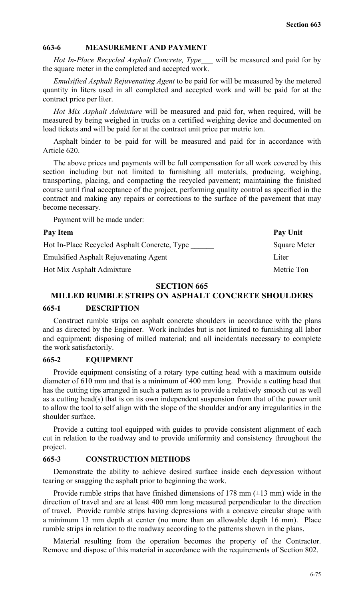### **663-6 MEASUREMENT AND PAYMENT**

*Hot In-Place Recycled Asphalt Concrete, Type\_\_\_* will be measured and paid for by the square meter in the completed and accepted work.

*Emulsified Asphalt Rejuvenating Agent* to be paid for will be measured by the metered quantity in liters used in all completed and accepted work and will be paid for at the contract price per liter.

*Hot Mix Asphalt Admixture* will be measured and paid for, when required, will be measured by being weighed in trucks on a certified weighing device and documented on load tickets and will be paid for at the contract unit price per metric ton.

Asphalt binder to be paid for will be measured and paid for in accordance with Article 620.

The above prices and payments will be full compensation for all work covered by this section including but not limited to furnishing all materials, producing, weighing, transporting, placing, and compacting the recycled pavement; maintaining the finished course until final acceptance of the project, performing quality control as specified in the contract and making any repairs or corrections to the surface of the pavement that may become necessary.

Payment will be made under:

#### Pay Item Pay Unit

| <b>Square Meter</b> |
|---------------------|
| Liter               |
| Metric Ton          |
|                     |

### **SECTION 665**

# **MILLED RUMBLE STRIPS ON ASPHALT CONCRETE SHOULDERS**

#### **665-1 DESCRIPTION**

Construct rumble strips on asphalt concrete shoulders in accordance with the plans and as directed by the Engineer. Work includes but is not limited to furnishing all labor and equipment; disposing of milled material; and all incidentals necessary to complete the work satisfactorily.

#### **665-2 EQUIPMENT**

Provide equipment consisting of a rotary type cutting head with a maximum outside diameter of 610 mm and that is a minimum of 400 mm long. Provide a cutting head that has the cutting tips arranged in such a pattern as to provide a relatively smooth cut as well as a cutting head(s) that is on its own independent suspension from that of the power unit to allow the tool to self align with the slope of the shoulder and/or any irregularities in the shoulder surface.

Provide a cutting tool equipped with guides to provide consistent alignment of each cut in relation to the roadway and to provide uniformity and consistency throughout the project.

### **665-3 CONSTRUCTION METHODS**

Demonstrate the ability to achieve desired surface inside each depression without tearing or snagging the asphalt prior to beginning the work.

Provide rumble strips that have finished dimensions of 178 mm  $(\pm 13 \text{ mm})$  wide in the direction of travel and are at least 400 mm long measured perpendicular to the direction of travel. Provide rumble strips having depressions with a concave circular shape with a minimum 13 mm depth at center (no more than an allowable depth 16 mm). Place rumble strips in relation to the roadway according to the patterns shown in the plans.

Material resulting from the operation becomes the property of the Contractor. Remove and dispose of this material in accordance with the requirements of Section 802.